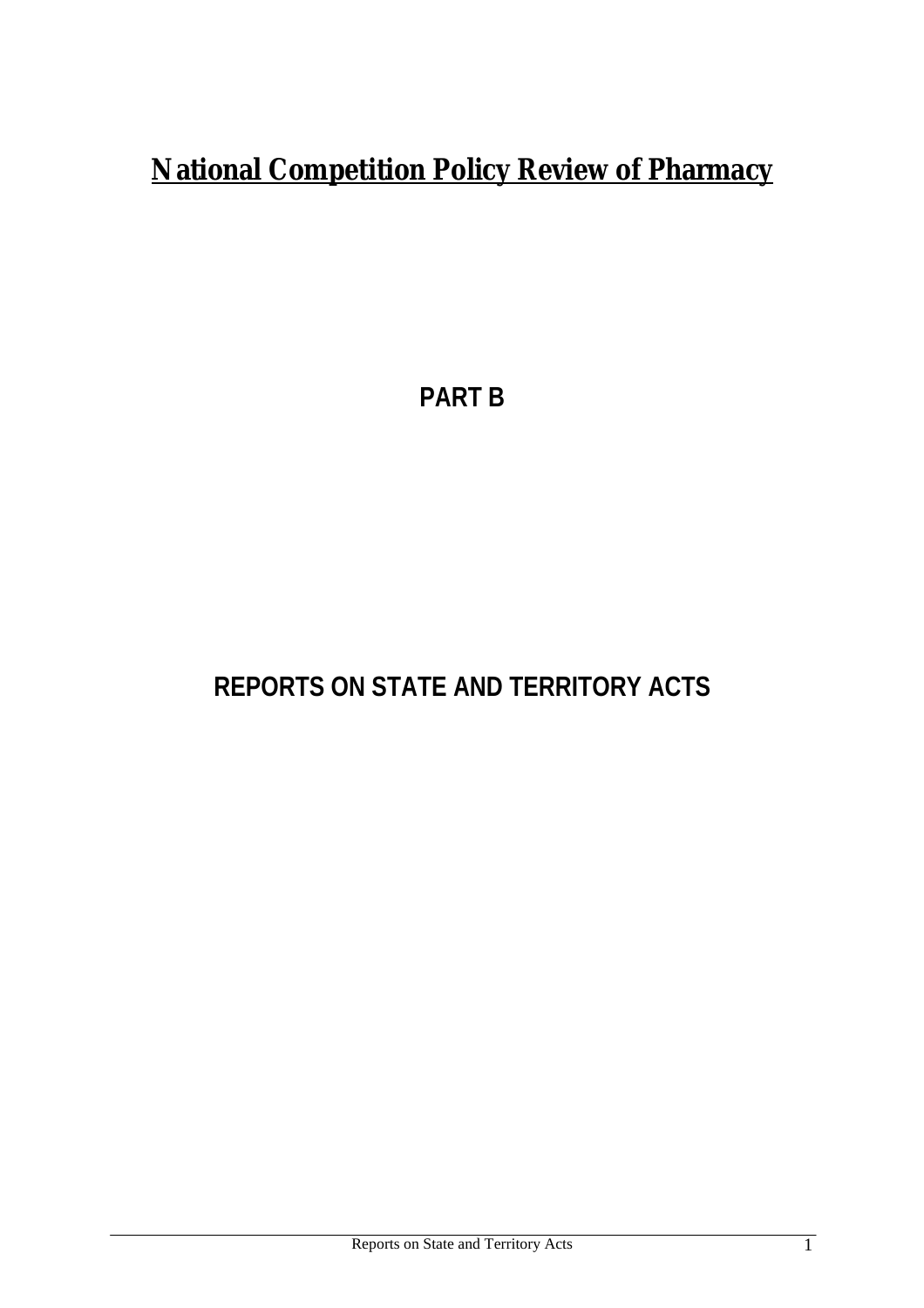# **National Competition Policy Review of Pharmacy**

**PART B**

# **REPORTS ON STATE AND TERRITORY ACTS**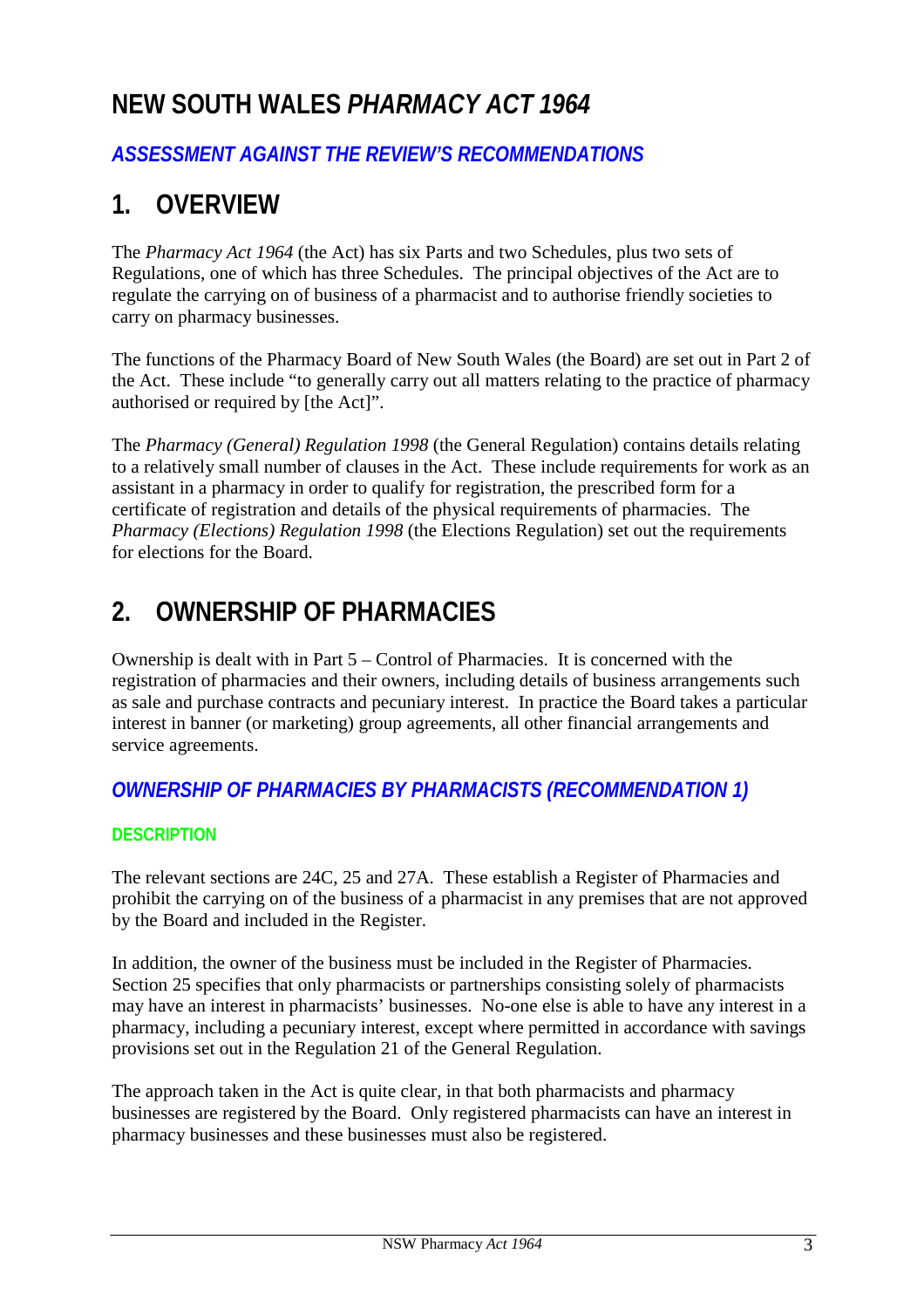# **NEW SOUTH WALES** *PHARMACY ACT 1964*

# *ASSESSMENT AGAINST THE REVIEW'S RECOMMENDATIONS*

# **1. OVERVIEW**

The *Pharmacy Act 1964* (the Act) has six Parts and two Schedules, plus two sets of Regulations, one of which has three Schedules. The principal objectives of the Act are to regulate the carrying on of business of a pharmacist and to authorise friendly societies to carry on pharmacy businesses.

The functions of the Pharmacy Board of New South Wales (the Board) are set out in Part 2 of the Act. These include "to generally carry out all matters relating to the practice of pharmacy authorised or required by [the Act]".

The *Pharmacy (General) Regulation 1998* (the General Regulation) contains details relating to a relatively small number of clauses in the Act. These include requirements for work as an assistant in a pharmacy in order to qualify for registration, the prescribed form for a certificate of registration and details of the physical requirements of pharmacies. The *Pharmacy (Elections) Regulation 1998* (the Elections Regulation) set out the requirements for elections for the Board.

# **2. OWNERSHIP OF PHARMACIES**

Ownership is dealt with in Part 5 – Control of Pharmacies. It is concerned with the registration of pharmacies and their owners, including details of business arrangements such as sale and purchase contracts and pecuniary interest. In practice the Board takes a particular interest in banner (or marketing) group agreements, all other financial arrangements and service agreements.

# *OWNERSHIP OF PHARMACIES BY PHARMACISTS (RECOMMENDATION 1)*

# **DESCRIPTION**

The relevant sections are 24C, 25 and 27A. These establish a Register of Pharmacies and prohibit the carrying on of the business of a pharmacist in any premises that are not approved by the Board and included in the Register.

In addition, the owner of the business must be included in the Register of Pharmacies. Section 25 specifies that only pharmacists or partnerships consisting solely of pharmacists may have an interest in pharmacists' businesses. No-one else is able to have any interest in a pharmacy, including a pecuniary interest, except where permitted in accordance with savings provisions set out in the Regulation 21 of the General Regulation.

The approach taken in the Act is quite clear, in that both pharmacists and pharmacy businesses are registered by the Board. Only registered pharmacists can have an interest in pharmacy businesses and these businesses must also be registered.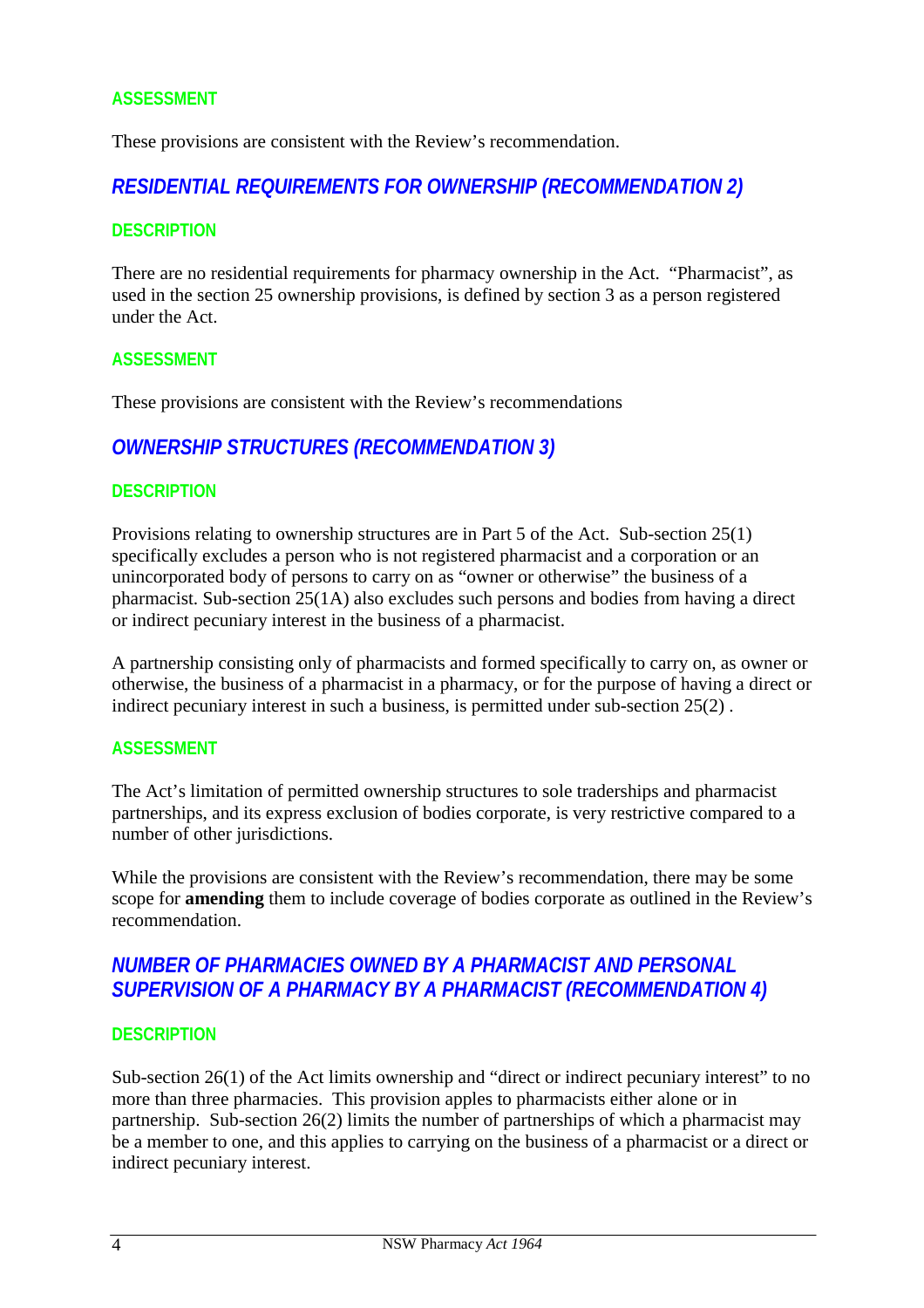## **ASSESSMENT**

These provisions are consistent with the Review's recommendation.

# *RESIDENTIAL REQUIREMENTS FOR OWNERSHIP (RECOMMENDATION 2)*

#### **DESCRIPTION**

There are no residential requirements for pharmacy ownership in the Act. "Pharmacist", as used in the section 25 ownership provisions, is defined by section 3 as a person registered under the Act.

#### **ASSESSMENT**

These provisions are consistent with the Review's recommendations

# *OWNERSHIP STRUCTURES (RECOMMENDATION 3)*

#### **DESCRIPTION**

Provisions relating to ownership structures are in Part 5 of the Act. Sub-section 25(1) specifically excludes a person who is not registered pharmacist and a corporation or an unincorporated body of persons to carry on as "owner or otherwise" the business of a pharmacist. Sub-section 25(1A) also excludes such persons and bodies from having a direct or indirect pecuniary interest in the business of a pharmacist.

A partnership consisting only of pharmacists and formed specifically to carry on, as owner or otherwise, the business of a pharmacist in a pharmacy, or for the purpose of having a direct or indirect pecuniary interest in such a business, is permitted under sub-section 25(2) .

#### **ASSESSMENT**

The Act's limitation of permitted ownership structures to sole traderships and pharmacist partnerships, and its express exclusion of bodies corporate, is very restrictive compared to a number of other jurisdictions.

While the provisions are consistent with the Review's recommendation, there may be some scope for **amending** them to include coverage of bodies corporate as outlined in the Review's recommendation.

# *NUMBER OF PHARMACIES OWNED BY A PHARMACIST AND PERSONAL SUPERVISION OF A PHARMACY BY A PHARMACIST (RECOMMENDATION 4)*

#### **DESCRIPTION**

Sub-section 26(1) of the Act limits ownership and "direct or indirect pecuniary interest" to no more than three pharmacies. This provision apples to pharmacists either alone or in partnership. Sub-section 26(2) limits the number of partnerships of which a pharmacist may be a member to one, and this applies to carrying on the business of a pharmacist or a direct or indirect pecuniary interest.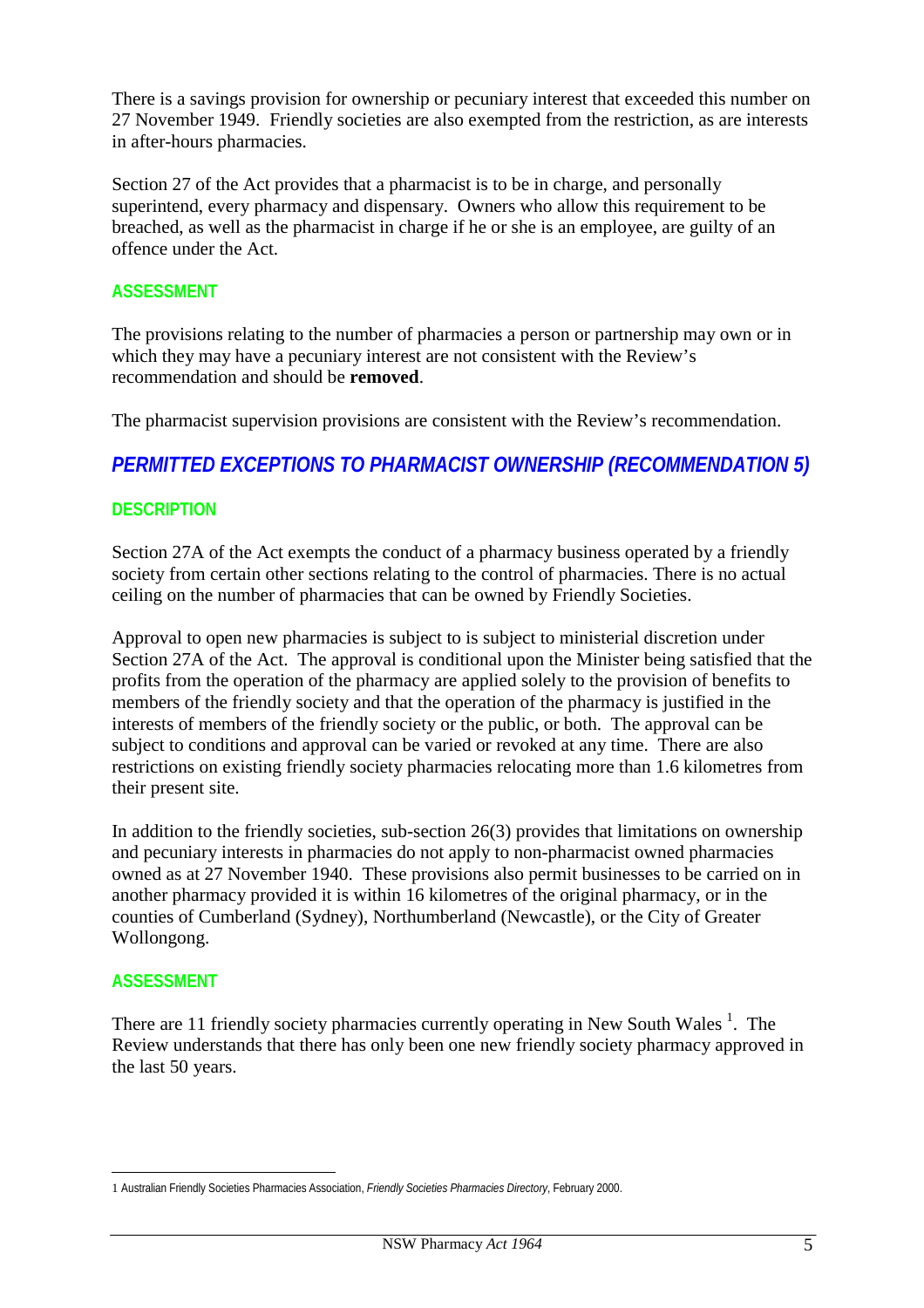There is a savings provision for ownership or pecuniary interest that exceeded this number on 27 November 1949. Friendly societies are also exempted from the restriction, as are interests in after-hours pharmacies.

Section 27 of the Act provides that a pharmacist is to be in charge, and personally superintend, every pharmacy and dispensary. Owners who allow this requirement to be breached, as well as the pharmacist in charge if he or she is an employee, are guilty of an offence under the Act.

### **ASSESSMENT**

The provisions relating to the number of pharmacies a person or partnership may own or in which they may have a pecuniary interest are not consistent with the Review's recommendation and should be **removed**.

The pharmacist supervision provisions are consistent with the Review's recommendation.

# *PERMITTED EXCEPTIONS TO PHARMACIST OWNERSHIP (RECOMMENDATION 5)*

#### **DESCRIPTION**

Section 27A of the Act exempts the conduct of a pharmacy business operated by a friendly society from certain other sections relating to the control of pharmacies. There is no actual ceiling on the number of pharmacies that can be owned by Friendly Societies.

Approval to open new pharmacies is subject to is subject to ministerial discretion under Section 27A of the Act. The approval is conditional upon the Minister being satisfied that the profits from the operation of the pharmacy are applied solely to the provision of benefits to members of the friendly society and that the operation of the pharmacy is justified in the interests of members of the friendly society or the public, or both. The approval can be subject to conditions and approval can be varied or revoked at any time. There are also restrictions on existing friendly society pharmacies relocating more than 1.6 kilometres from their present site.

In addition to the friendly societies, sub-section 26(3) provides that limitations on ownership and pecuniary interests in pharmacies do not apply to non-pharmacist owned pharmacies owned as at 27 November 1940. These provisions also permit businesses to be carried on in another pharmacy provided it is within 16 kilometres of the original pharmacy, or in the counties of Cumberland (Sydney), Northumberland (Newcastle), or the City of Greater Wollongong.

#### **ASSESSMENT**

There are 11 friendly society pharmacies currently operating in New South Wales  $<sup>1</sup>$ . The</sup> Review understands that there has only been one new friendly society pharmacy approved in the last 50 years.

 $\overline{a}$ 1 Australian Friendly Societies Pharmacies Association, *Friendly Societies Pharmacies Directory*, February 2000.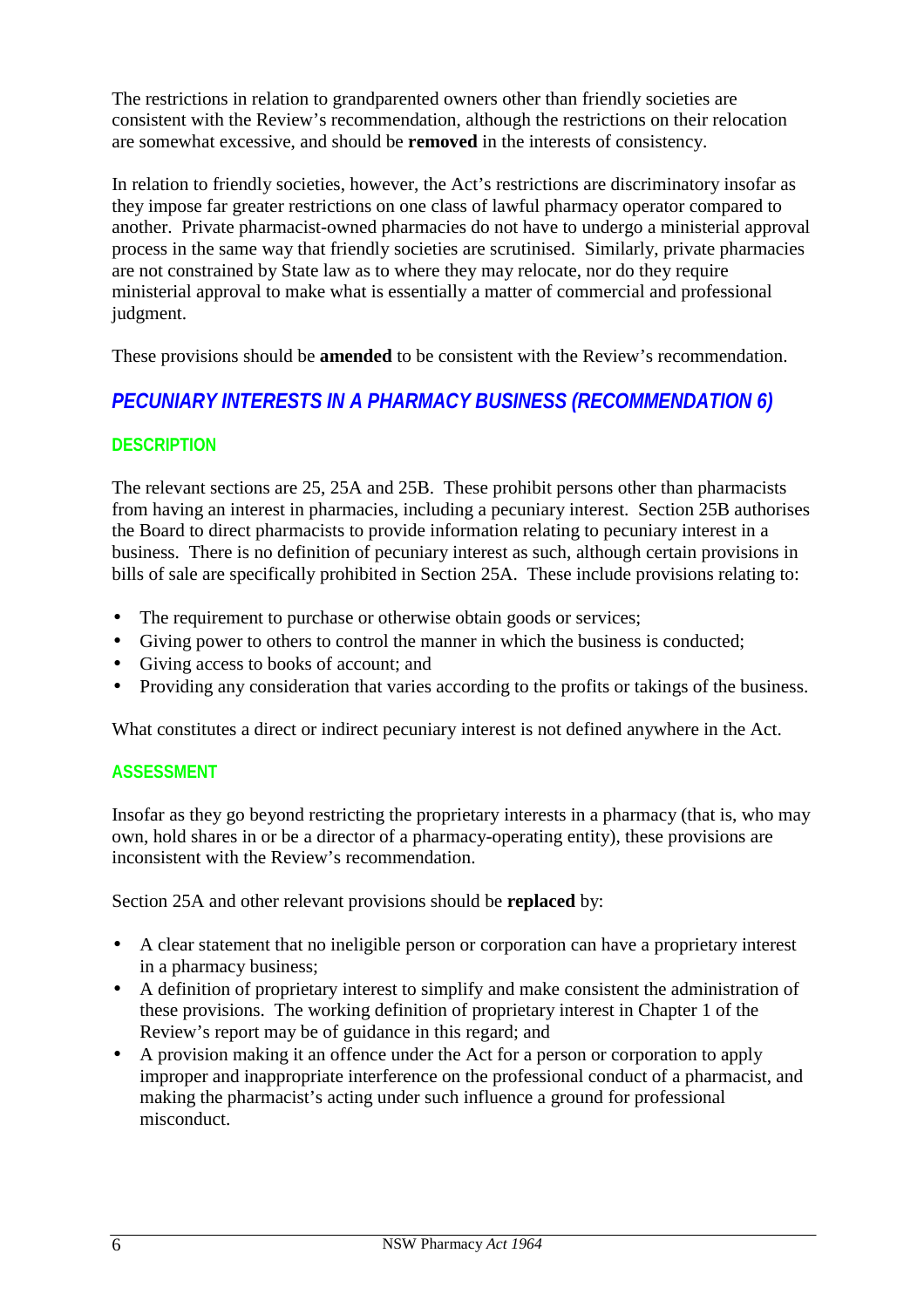The restrictions in relation to grandparented owners other than friendly societies are consistent with the Review's recommendation, although the restrictions on their relocation are somewhat excessive, and should be **removed** in the interests of consistency.

In relation to friendly societies, however, the Act's restrictions are discriminatory insofar as they impose far greater restrictions on one class of lawful pharmacy operator compared to another. Private pharmacist-owned pharmacies do not have to undergo a ministerial approval process in the same way that friendly societies are scrutinised. Similarly, private pharmacies are not constrained by State law as to where they may relocate, nor do they require ministerial approval to make what is essentially a matter of commercial and professional judgment.

These provisions should be **amended** to be consistent with the Review's recommendation.

# *PECUNIARY INTERESTS IN A PHARMACY BUSINESS (RECOMMENDATION 6)*

# **DESCRIPTION**

The relevant sections are 25, 25A and 25B. These prohibit persons other than pharmacists from having an interest in pharmacies, including a pecuniary interest. Section 25B authorises the Board to direct pharmacists to provide information relating to pecuniary interest in a business. There is no definition of pecuniary interest as such, although certain provisions in bills of sale are specifically prohibited in Section 25A. These include provisions relating to:

- The requirement to purchase or otherwise obtain goods or services;
- Giving power to others to control the manner in which the business is conducted;
- Giving access to books of account; and
- Providing any consideration that varies according to the profits or takings of the business.

What constitutes a direct or indirect pecuniary interest is not defined anywhere in the Act.

# **ASSESSMENT**

Insofar as they go beyond restricting the proprietary interests in a pharmacy (that is, who may own, hold shares in or be a director of a pharmacy-operating entity), these provisions are inconsistent with the Review's recommendation.

Section 25A and other relevant provisions should be **replaced** by:

- A clear statement that no ineligible person or corporation can have a proprietary interest in a pharmacy business;
- A definition of proprietary interest to simplify and make consistent the administration of these provisions. The working definition of proprietary interest in Chapter 1 of the Review's report may be of guidance in this regard; and
- A provision making it an offence under the Act for a person or corporation to apply improper and inappropriate interference on the professional conduct of a pharmacist, and making the pharmacist's acting under such influence a ground for professional misconduct.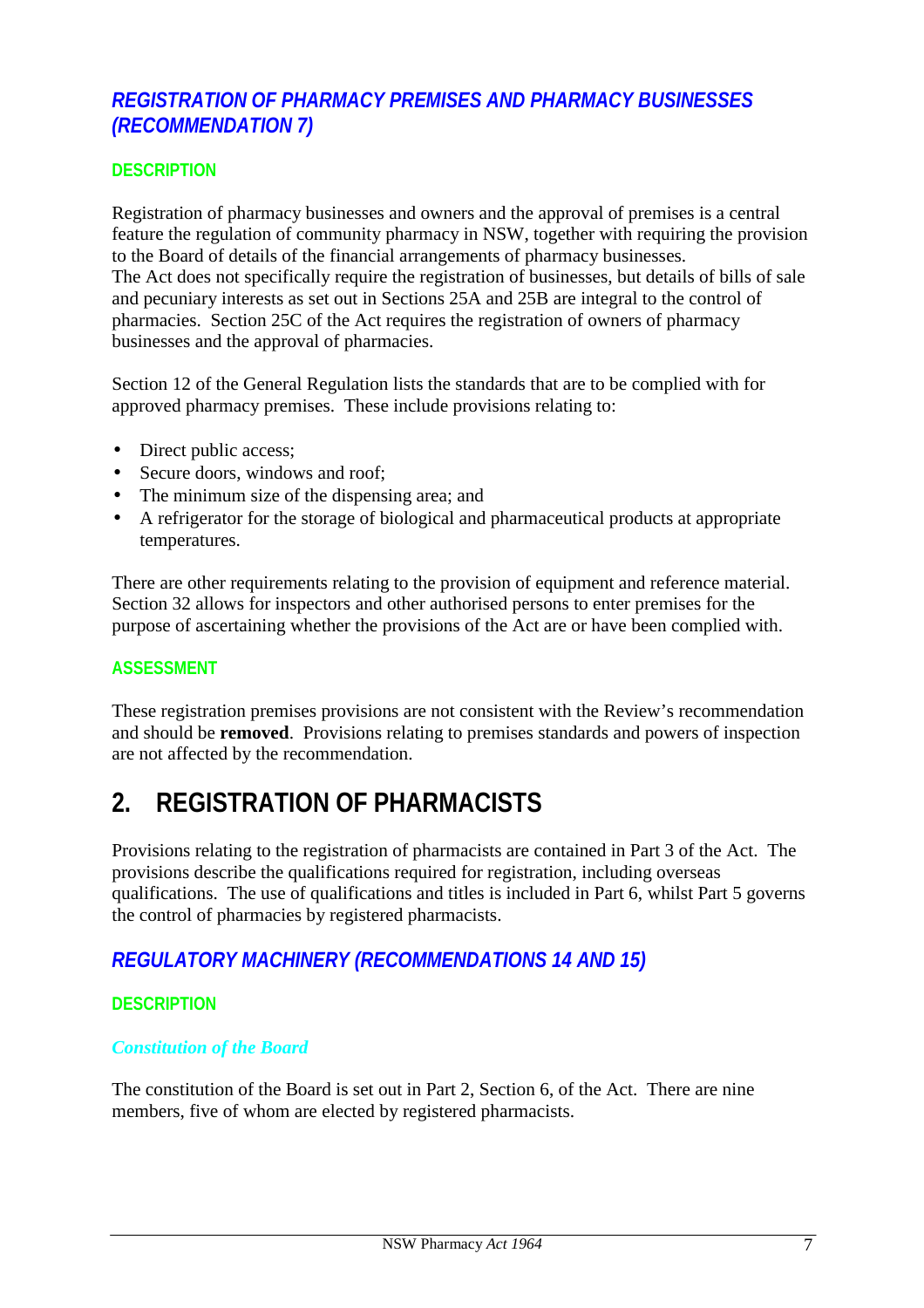# *REGISTRATION OF PHARMACY PREMISES AND PHARMACY BUSINESSES (RECOMMENDATION 7)*

## **DESCRIPTION**

Registration of pharmacy businesses and owners and the approval of premises is a central feature the regulation of community pharmacy in NSW, together with requiring the provision to the Board of details of the financial arrangements of pharmacy businesses. The Act does not specifically require the registration of businesses, but details of bills of sale and pecuniary interests as set out in Sections 25A and 25B are integral to the control of pharmacies. Section 25C of the Act requires the registration of owners of pharmacy businesses and the approval of pharmacies.

Section 12 of the General Regulation lists the standards that are to be complied with for approved pharmacy premises. These include provisions relating to:

- Direct public access;
- Secure doors, windows and roof:
- The minimum size of the dispensing area; and
- A refrigerator for the storage of biological and pharmaceutical products at appropriate temperatures.

There are other requirements relating to the provision of equipment and reference material. Section 32 allows for inspectors and other authorised persons to enter premises for the purpose of ascertaining whether the provisions of the Act are or have been complied with.

## **ASSESSMENT**

These registration premises provisions are not consistent with the Review's recommendation and should be **removed**. Provisions relating to premises standards and powers of inspection are not affected by the recommendation.

# **2. REGISTRATION OF PHARMACISTS**

Provisions relating to the registration of pharmacists are contained in Part 3 of the Act. The provisions describe the qualifications required for registration, including overseas qualifications. The use of qualifications and titles is included in Part 6, whilst Part 5 governs the control of pharmacies by registered pharmacists.

# *REGULATORY MACHINERY (RECOMMENDATIONS 14 AND 15)*

## **DESCRIPTION**

## *Constitution of the Board*

The constitution of the Board is set out in Part 2, Section 6, of the Act. There are nine members, five of whom are elected by registered pharmacists.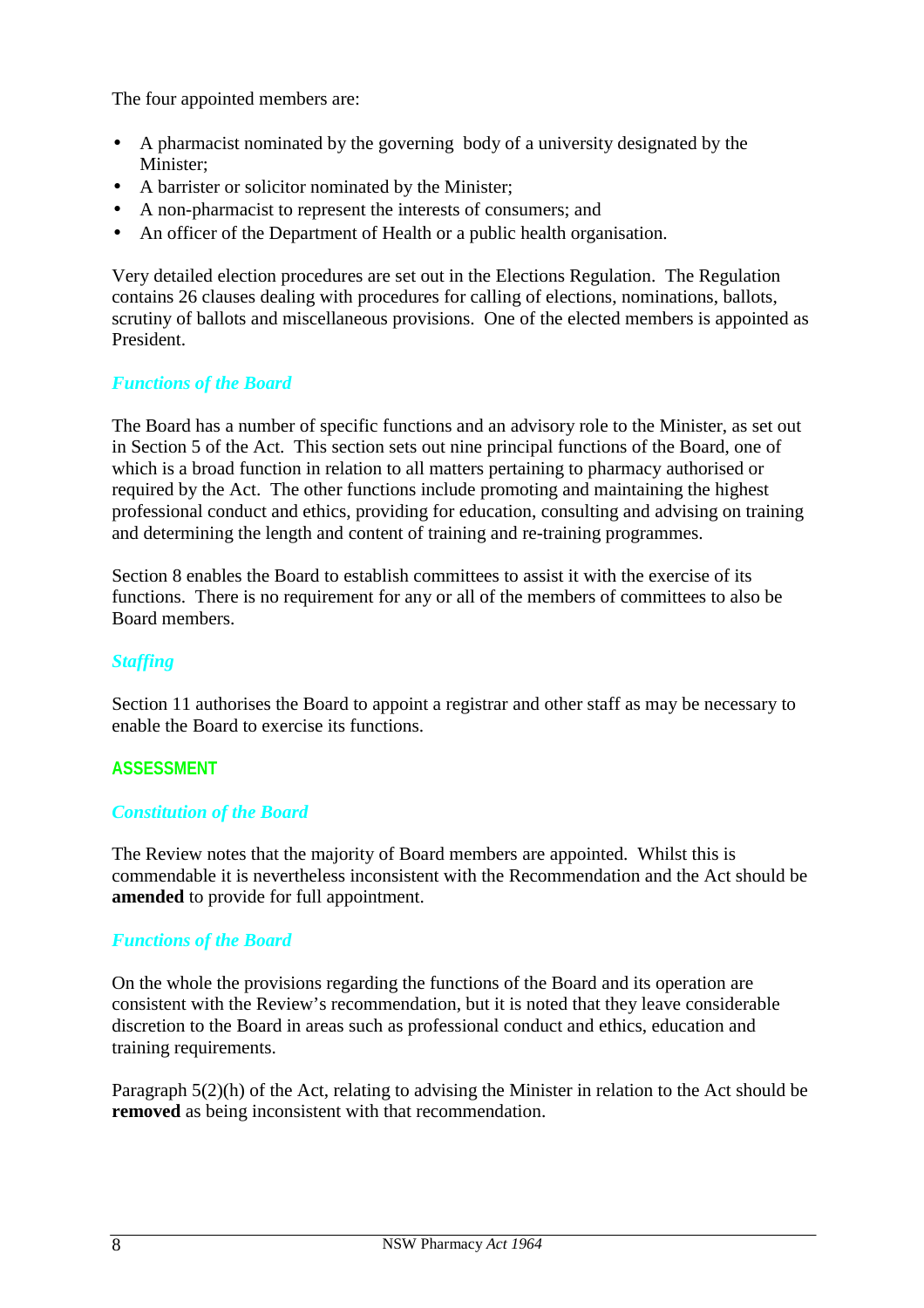The four appointed members are:

- A pharmacist nominated by the governing body of a university designated by the Minister;
- A barrister or solicitor nominated by the Minister;
- A non-pharmacist to represent the interests of consumers; and
- An officer of the Department of Health or a public health organisation.

Very detailed election procedures are set out in the Elections Regulation. The Regulation contains 26 clauses dealing with procedures for calling of elections, nominations, ballots, scrutiny of ballots and miscellaneous provisions. One of the elected members is appointed as President.

## *Functions of the Board*

The Board has a number of specific functions and an advisory role to the Minister, as set out in Section 5 of the Act. This section sets out nine principal functions of the Board, one of which is a broad function in relation to all matters pertaining to pharmacy authorised or required by the Act. The other functions include promoting and maintaining the highest professional conduct and ethics, providing for education, consulting and advising on training and determining the length and content of training and re-training programmes.

Section 8 enables the Board to establish committees to assist it with the exercise of its functions. There is no requirement for any or all of the members of committees to also be Board members.

## *Staffing*

Section 11 authorises the Board to appoint a registrar and other staff as may be necessary to enable the Board to exercise its functions.

## **ASSESSMENT**

## *Constitution of the Board*

The Review notes that the majority of Board members are appointed. Whilst this is commendable it is nevertheless inconsistent with the Recommendation and the Act should be **amended** to provide for full appointment.

## *Functions of the Board*

On the whole the provisions regarding the functions of the Board and its operation are consistent with the Review's recommendation, but it is noted that they leave considerable discretion to the Board in areas such as professional conduct and ethics, education and training requirements.

Paragraph 5(2)(h) of the Act, relating to advising the Minister in relation to the Act should be **removed** as being inconsistent with that recommendation.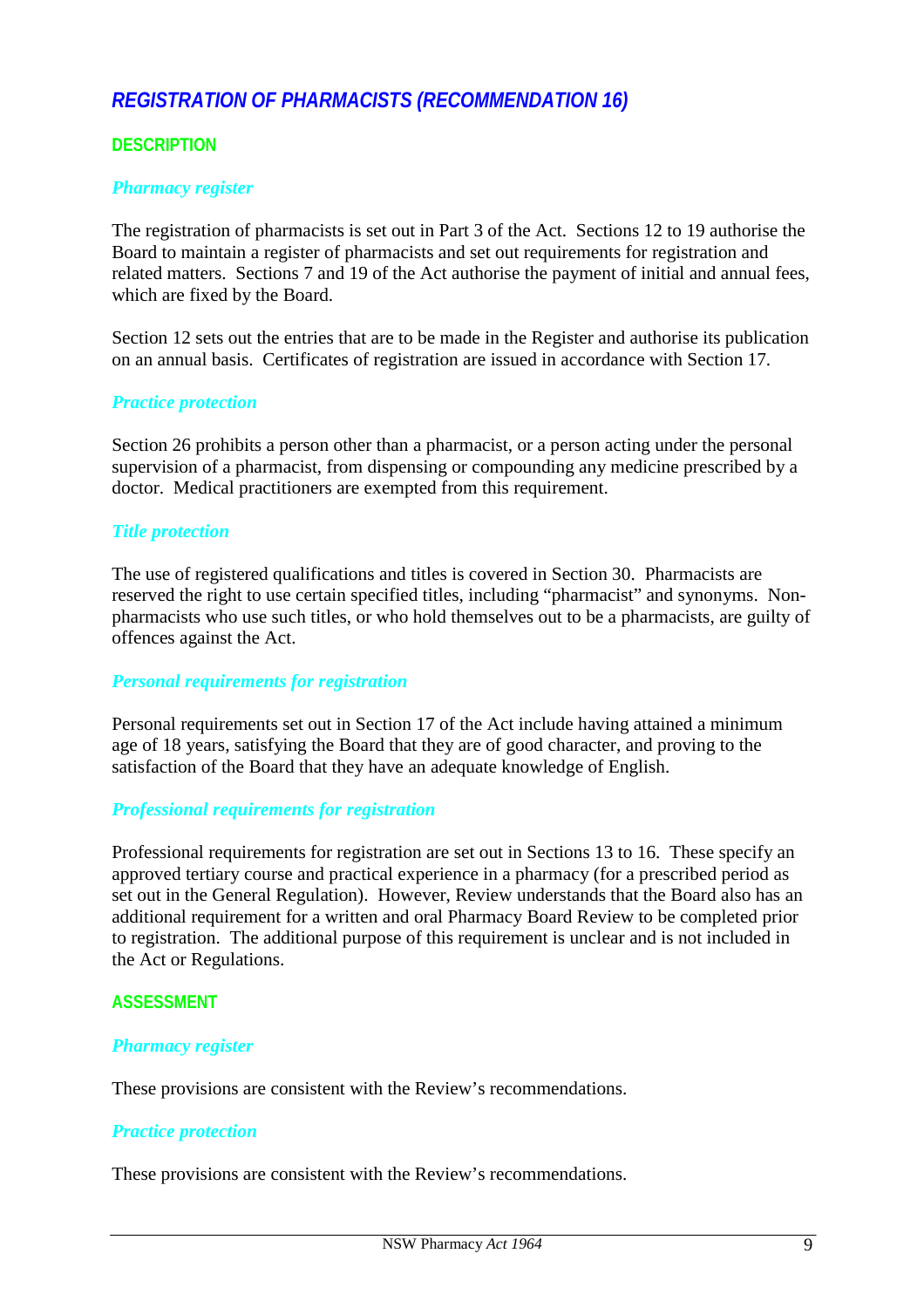# *REGISTRATION OF PHARMACISTS (RECOMMENDATION 16)*

## **DESCRIPTION**

#### *Pharmacy register*

The registration of pharmacists is set out in Part 3 of the Act. Sections 12 to 19 authorise the Board to maintain a register of pharmacists and set out requirements for registration and related matters. Sections 7 and 19 of the Act authorise the payment of initial and annual fees, which are fixed by the Board.

Section 12 sets out the entries that are to be made in the Register and authorise its publication on an annual basis. Certificates of registration are issued in accordance with Section 17.

#### *Practice protection*

Section 26 prohibits a person other than a pharmacist, or a person acting under the personal supervision of a pharmacist, from dispensing or compounding any medicine prescribed by a doctor. Medical practitioners are exempted from this requirement.

#### *Title protection*

The use of registered qualifications and titles is covered in Section 30. Pharmacists are reserved the right to use certain specified titles, including "pharmacist" and synonyms. Nonpharmacists who use such titles, or who hold themselves out to be a pharmacists, are guilty of offences against the Act.

#### *Personal requirements for registration*

Personal requirements set out in Section 17 of the Act include having attained a minimum age of 18 years, satisfying the Board that they are of good character, and proving to the satisfaction of the Board that they have an adequate knowledge of English.

#### *Professional requirements for registration*

Professional requirements for registration are set out in Sections 13 to 16. These specify an approved tertiary course and practical experience in a pharmacy (for a prescribed period as set out in the General Regulation). However, Review understands that the Board also has an additional requirement for a written and oral Pharmacy Board Review to be completed prior to registration. The additional purpose of this requirement is unclear and is not included in the Act or Regulations.

#### **ASSESSMENT**

#### *Pharmacy register*

These provisions are consistent with the Review's recommendations.

## *Practice protection*

These provisions are consistent with the Review's recommendations.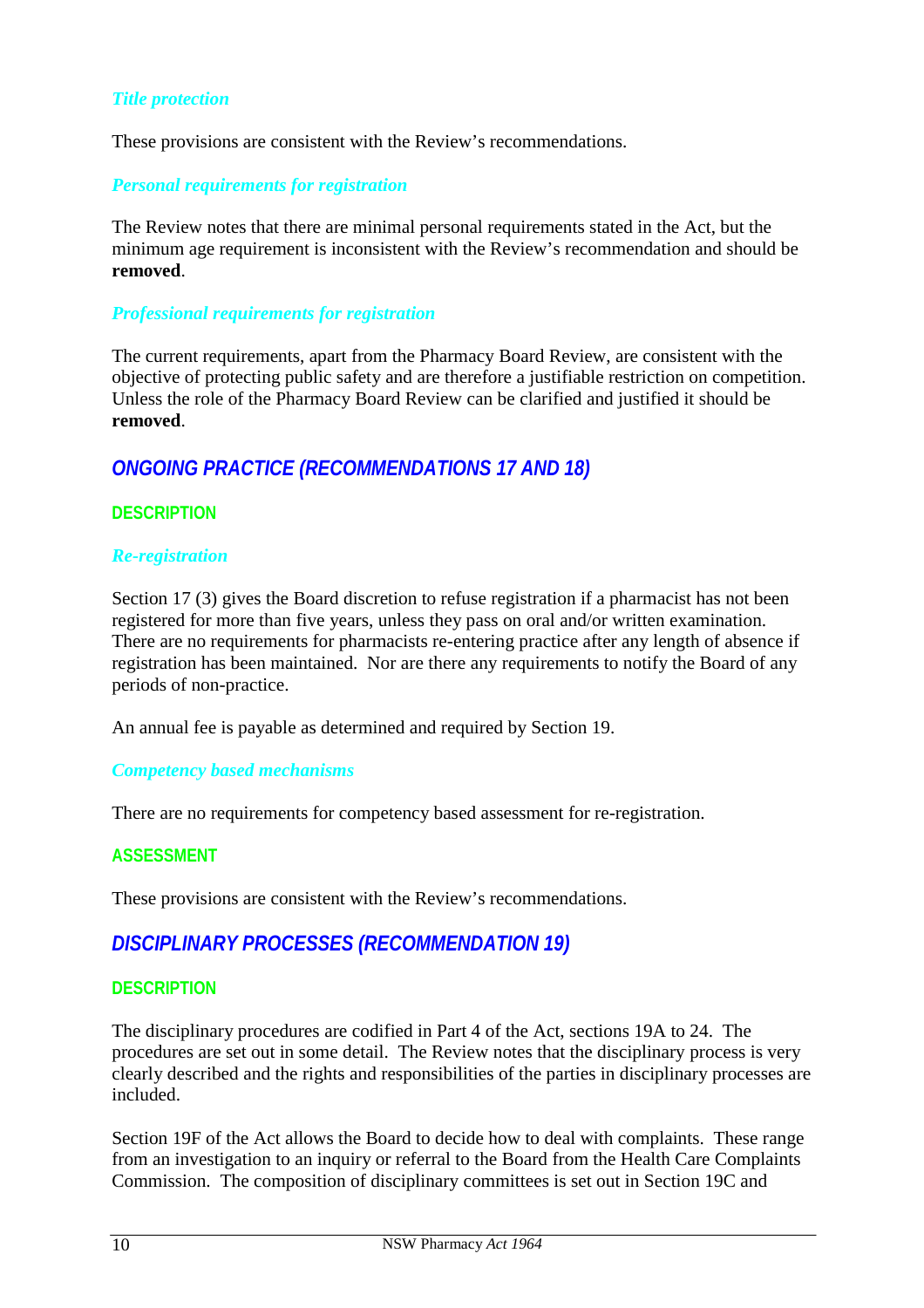## *Title protection*

These provisions are consistent with the Review's recommendations.

### *Personal requirements for registration*

The Review notes that there are minimal personal requirements stated in the Act, but the minimum age requirement is inconsistent with the Review's recommendation and should be **removed**.

### *Professional requirements for registration*

The current requirements, apart from the Pharmacy Board Review, are consistent with the objective of protecting public safety and are therefore a justifiable restriction on competition. Unless the role of the Pharmacy Board Review can be clarified and justified it should be **removed**.

# *ONGOING PRACTICE (RECOMMENDATIONS 17 AND 18)*

## **DESCRIPTION**

#### *Re-registration*

Section 17 (3) gives the Board discretion to refuse registration if a pharmacist has not been registered for more than five years, unless they pass on oral and/or written examination. There are no requirements for pharmacists re-entering practice after any length of absence if registration has been maintained. Nor are there any requirements to notify the Board of any periods of non-practice.

An annual fee is payable as determined and required by Section 19.

#### *Competency based mechanisms*

There are no requirements for competency based assessment for re-registration.

## **ASSESSMENT**

These provisions are consistent with the Review's recommendations.

# *DISCIPLINARY PROCESSES (RECOMMENDATION 19)*

## **DESCRIPTION**

The disciplinary procedures are codified in Part 4 of the Act, sections 19A to 24. The procedures are set out in some detail. The Review notes that the disciplinary process is very clearly described and the rights and responsibilities of the parties in disciplinary processes are included.

Section 19F of the Act allows the Board to decide how to deal with complaints. These range from an investigation to an inquiry or referral to the Board from the Health Care Complaints Commission. The composition of disciplinary committees is set out in Section 19C and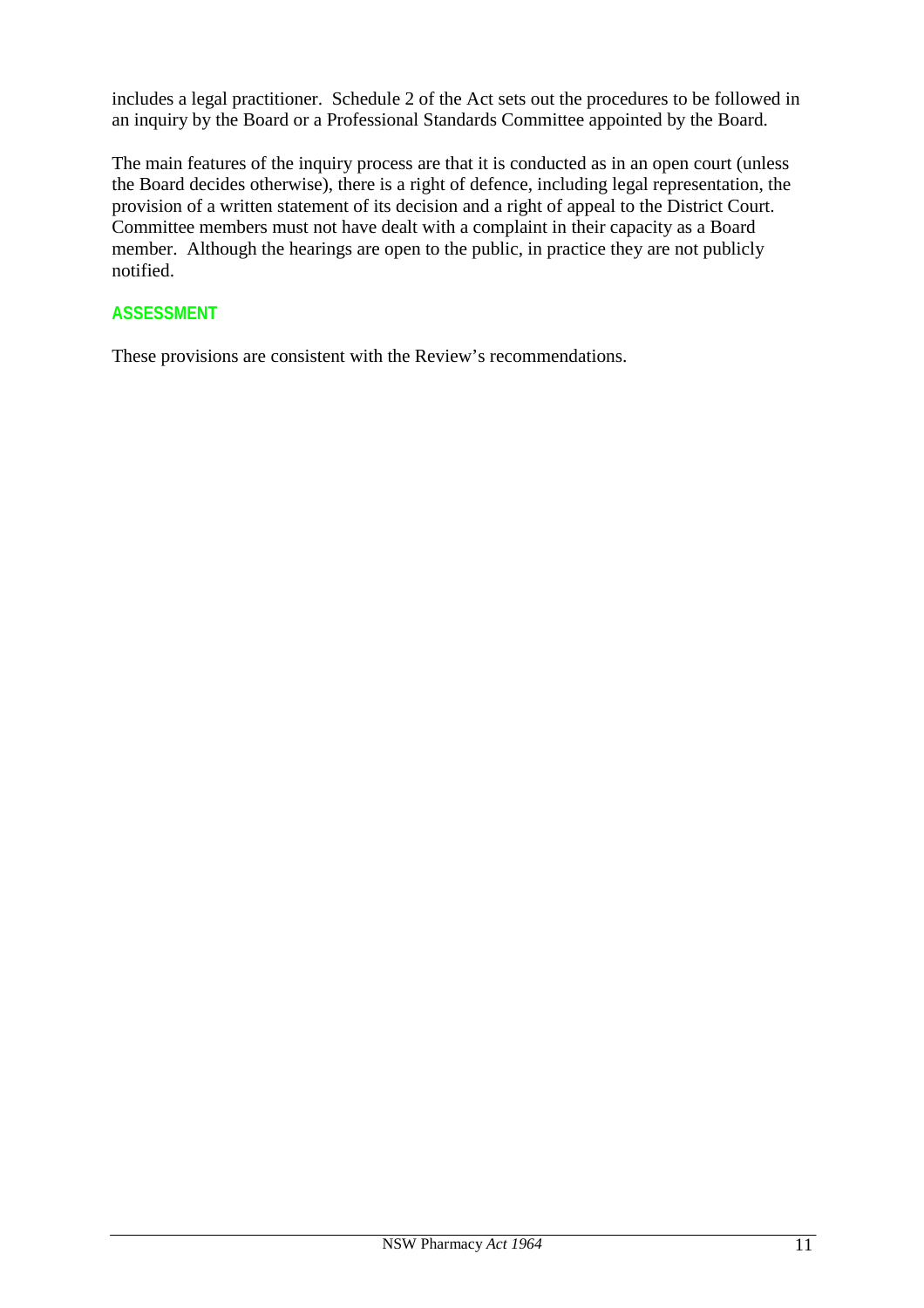includes a legal practitioner. Schedule 2 of the Act sets out the procedures to be followed in an inquiry by the Board or a Professional Standards Committee appointed by the Board.

The main features of the inquiry process are that it is conducted as in an open court (unless the Board decides otherwise), there is a right of defence, including legal representation, the provision of a written statement of its decision and a right of appeal to the District Court. Committee members must not have dealt with a complaint in their capacity as a Board member. Although the hearings are open to the public, in practice they are not publicly notified.

# **ASSESSMENT**

These provisions are consistent with the Review's recommendations.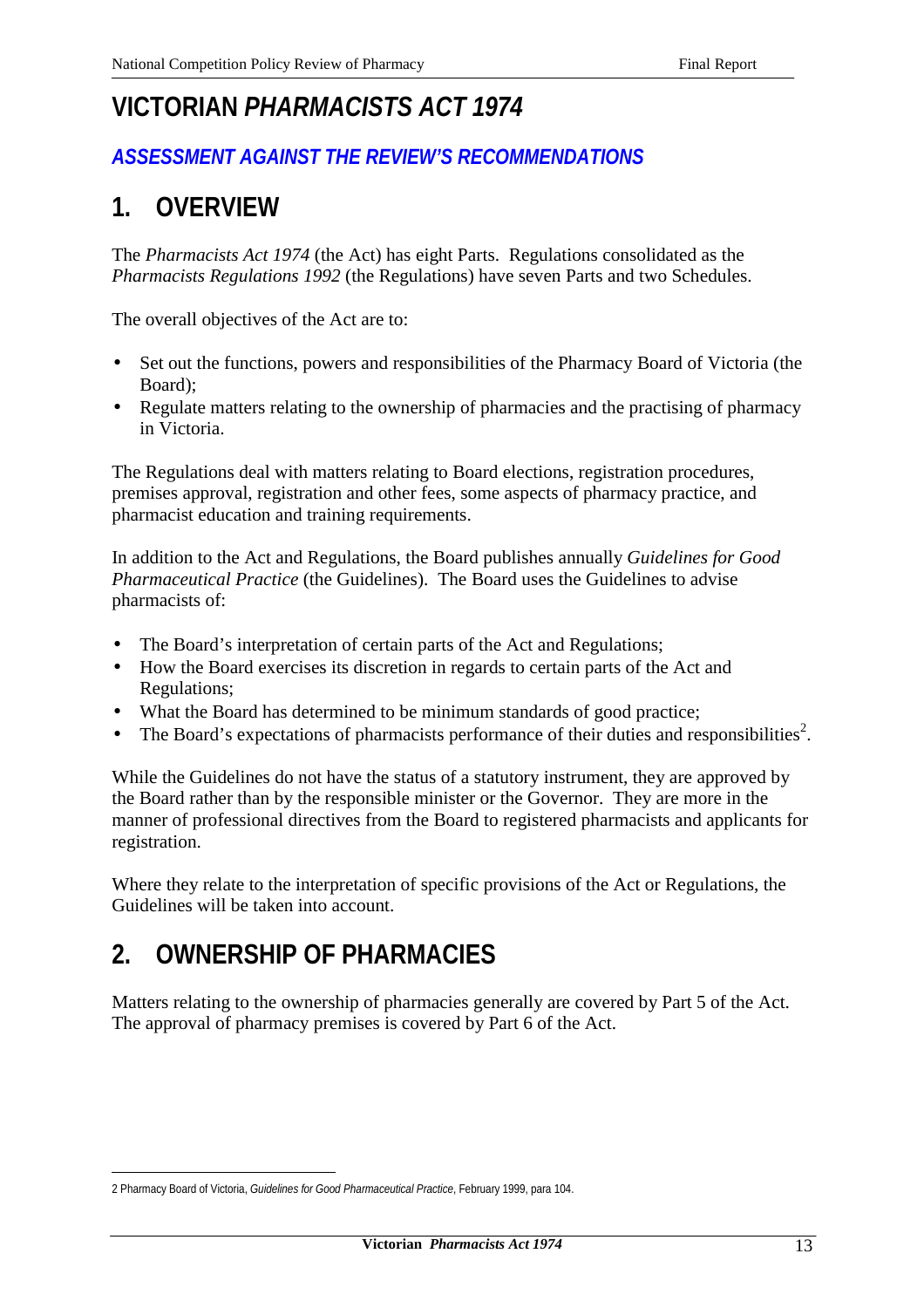# **VICTORIAN** *PHARMACISTS ACT 1974*

# *ASSESSMENT AGAINST THE REVIEW'S RECOMMENDATIONS*

# **1. OVERVIEW**

The *Pharmacists Act 1974* (the Act) has eight Parts. Regulations consolidated as the *Pharmacists Regulations 1992* (the Regulations) have seven Parts and two Schedules.

The overall objectives of the Act are to:

- Set out the functions, powers and responsibilities of the Pharmacy Board of Victoria (the Board);
- Regulate matters relating to the ownership of pharmacies and the practising of pharmacy in Victoria.

The Regulations deal with matters relating to Board elections, registration procedures, premises approval, registration and other fees, some aspects of pharmacy practice, and pharmacist education and training requirements.

In addition to the Act and Regulations, the Board publishes annually *Guidelines for Good Pharmaceutical Practice* (the Guidelines). The Board uses the Guidelines to advise pharmacists of:

- The Board's interpretation of certain parts of the Act and Regulations;
- How the Board exercises its discretion in regards to certain parts of the Act and Regulations;
- What the Board has determined to be minimum standards of good practice;
- The Board's expectations of pharmacists performance of their duties and responsibilities<sup>2</sup>.

While the Guidelines do not have the status of a statutory instrument, they are approved by the Board rather than by the responsible minister or the Governor. They are more in the manner of professional directives from the Board to registered pharmacists and applicants for registration.

Where they relate to the interpretation of specific provisions of the Act or Regulations, the Guidelines will be taken into account.

# **2. OWNERSHIP OF PHARMACIES**

Matters relating to the ownership of pharmacies generally are covered by Part 5 of the Act. The approval of pharmacy premises is covered by Part 6 of the Act.

 $\overline{a}$ 2 Pharmacy Board of Victoria, *Guidelines for Good Pharmaceutical Practice*, February 1999, para 104.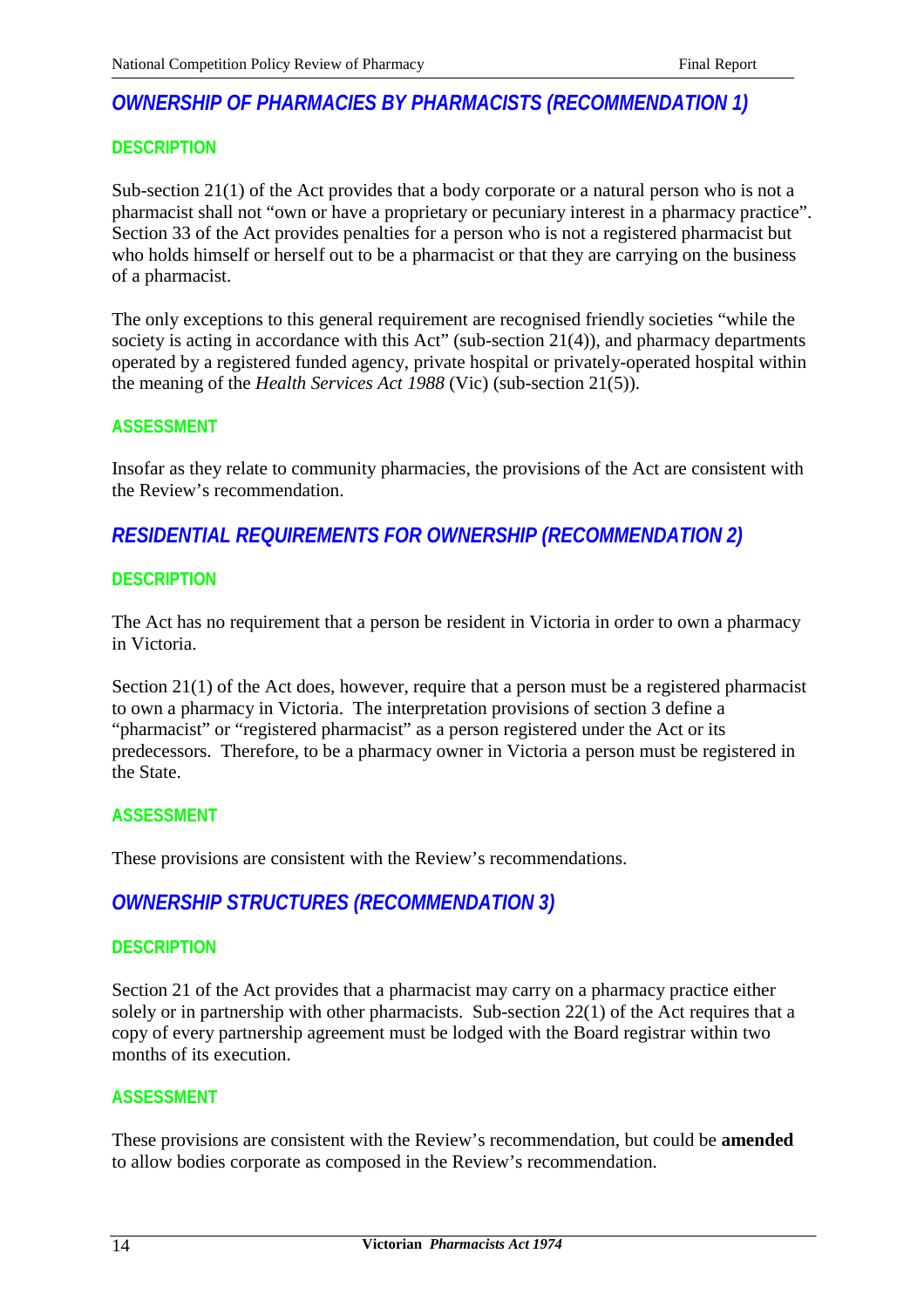# *OWNERSHIP OF PHARMACIES BY PHARMACISTS (RECOMMENDATION 1)*

## **DESCRIPTION**

Sub-section 21(1) of the Act provides that a body corporate or a natural person who is not a pharmacist shall not "own or have a proprietary or pecuniary interest in a pharmacy practice". Section 33 of the Act provides penalties for a person who is not a registered pharmacist but who holds himself or herself out to be a pharmacist or that they are carrying on the business of a pharmacist.

The only exceptions to this general requirement are recognised friendly societies "while the society is acting in accordance with this Act" (sub-section 21(4)), and pharmacy departments operated by a registered funded agency, private hospital or privately-operated hospital within the meaning of the *Health Services Act 1988* (Vic) (sub-section 21(5)).

## **ASSESSMENT**

Insofar as they relate to community pharmacies, the provisions of the Act are consistent with the Review's recommendation.

# *RESIDENTIAL REQUIREMENTS FOR OWNERSHIP (RECOMMENDATION 2)*

## **DESCRIPTION**

The Act has no requirement that a person be resident in Victoria in order to own a pharmacy in Victoria.

Section 21(1) of the Act does, however, require that a person must be a registered pharmacist to own a pharmacy in Victoria. The interpretation provisions of section 3 define a "pharmacist" or "registered pharmacist" as a person registered under the Act or its predecessors. Therefore, to be a pharmacy owner in Victoria a person must be registered in the State.

## **ASSESSMENT**

These provisions are consistent with the Review's recommendations.

# *OWNERSHIP STRUCTURES (RECOMMENDATION 3)*

#### **DESCRIPTION**

Section 21 of the Act provides that a pharmacist may carry on a pharmacy practice either solely or in partnership with other pharmacists. Sub-section  $22(1)$  of the Act requires that a copy of every partnership agreement must be lodged with the Board registrar within two months of its execution.

## **ASSESSMENT**

These provisions are consistent with the Review's recommendation, but could be **amended** to allow bodies corporate as composed in the Review's recommendation.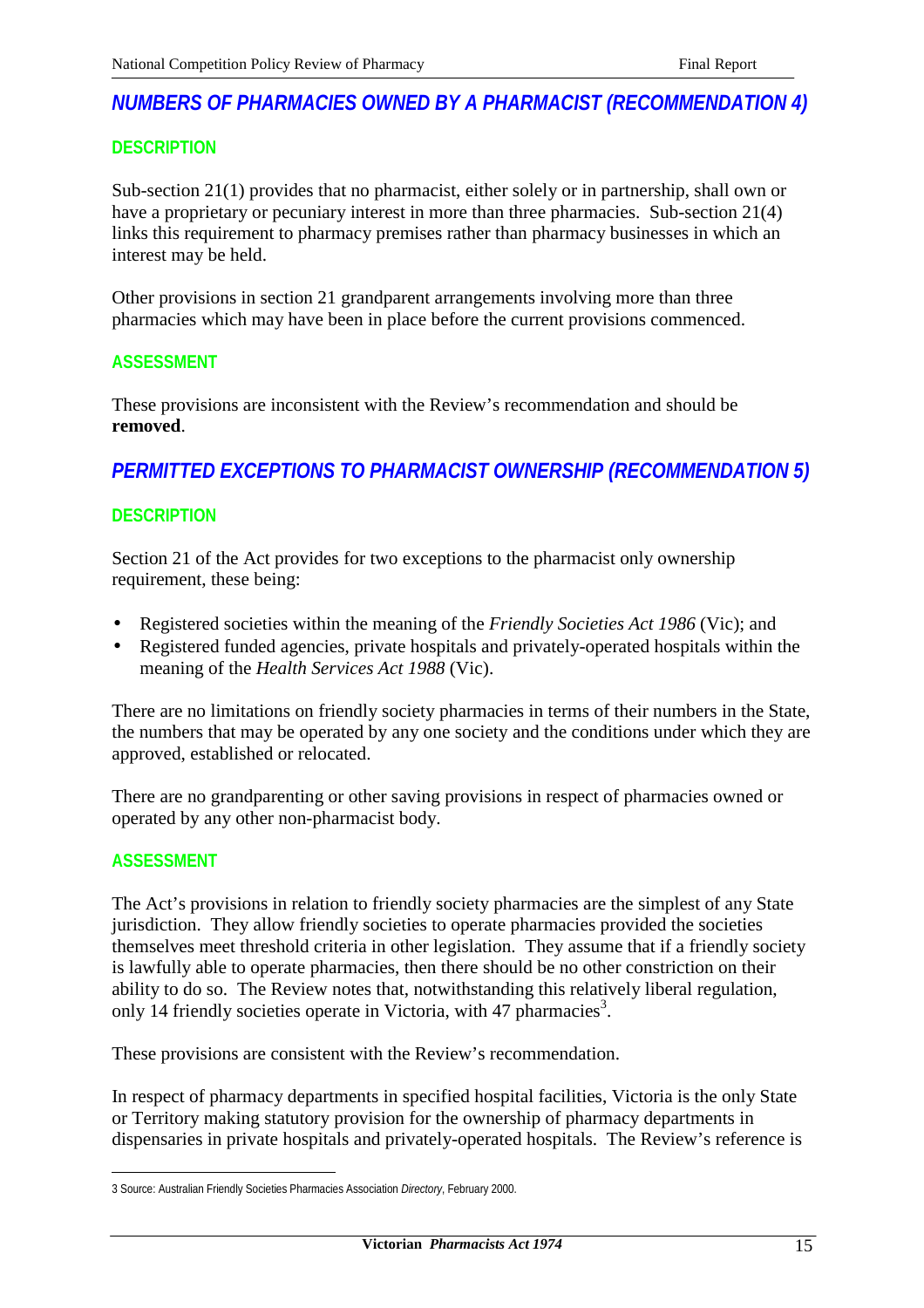# *NUMBERS OF PHARMACIES OWNED BY A PHARMACIST (RECOMMENDATION 4)*

## **DESCRIPTION**

Sub-section 21(1) provides that no pharmacist, either solely or in partnership, shall own or have a proprietary or pecuniary interest in more than three pharmacies. Sub-section 21(4) links this requirement to pharmacy premises rather than pharmacy businesses in which an interest may be held.

Other provisions in section 21 grandparent arrangements involving more than three pharmacies which may have been in place before the current provisions commenced.

#### **ASSESSMENT**

These provisions are inconsistent with the Review's recommendation and should be **removed**.

# *PERMITTED EXCEPTIONS TO PHARMACIST OWNERSHIP (RECOMMENDATION 5)*

## **DESCRIPTION**

Section 21 of the Act provides for two exceptions to the pharmacist only ownership requirement, these being:

- Registered societies within the meaning of the *Friendly Societies Act 1986* (Vic); and
- Registered funded agencies, private hospitals and privately-operated hospitals within the meaning of the *Health Services Act 1988* (Vic).

There are no limitations on friendly society pharmacies in terms of their numbers in the State, the numbers that may be operated by any one society and the conditions under which they are approved, established or relocated.

There are no grandparenting or other saving provisions in respect of pharmacies owned or operated by any other non-pharmacist body.

## **ASSESSMENT**

The Act's provisions in relation to friendly society pharmacies are the simplest of any State jurisdiction. They allow friendly societies to operate pharmacies provided the societies themselves meet threshold criteria in other legislation. They assume that if a friendly society is lawfully able to operate pharmacies, then there should be no other constriction on their ability to do so. The Review notes that, notwithstanding this relatively liberal regulation, only 14 friendly societies operate in Victoria, with 47 pharmacies<sup>3</sup>.

These provisions are consistent with the Review's recommendation.

In respect of pharmacy departments in specified hospital facilities, Victoria is the only State or Territory making statutory provision for the ownership of pharmacy departments in dispensaries in private hospitals and privately-operated hospitals. The Review's reference is

 $\overline{a}$ 3 Source: Australian Friendly Societies Pharmacies Association *Directory*, February 2000.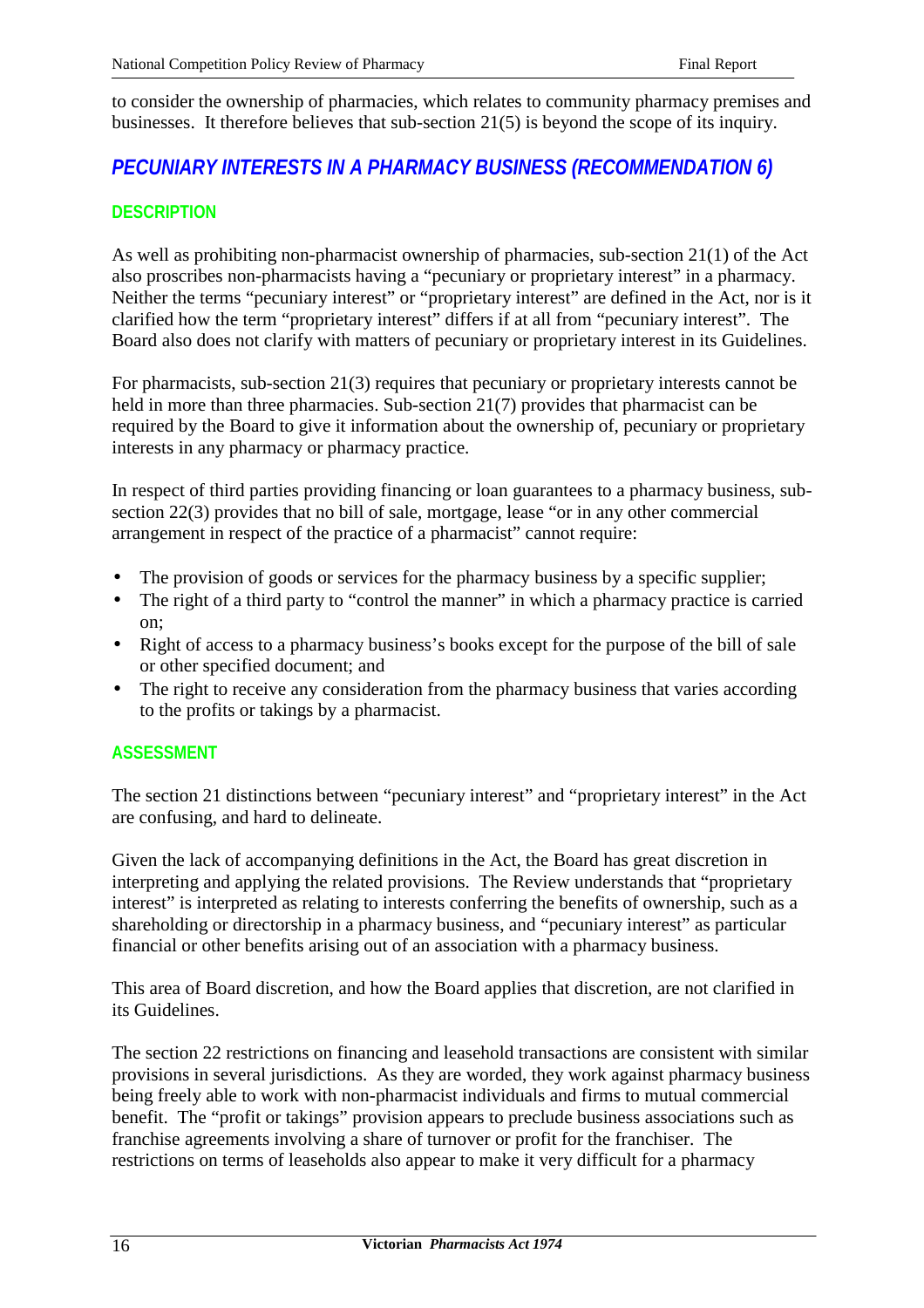to consider the ownership of pharmacies, which relates to community pharmacy premises and businesses. It therefore believes that sub-section 21(5) is beyond the scope of its inquiry.

# *PECUNIARY INTERESTS IN A PHARMACY BUSINESS (RECOMMENDATION 6)*

# **DESCRIPTION**

As well as prohibiting non-pharmacist ownership of pharmacies, sub-section 21(1) of the Act also proscribes non-pharmacists having a "pecuniary or proprietary interest" in a pharmacy. Neither the terms "pecuniary interest" or "proprietary interest" are defined in the Act, nor is it clarified how the term "proprietary interest" differs if at all from "pecuniary interest". The Board also does not clarify with matters of pecuniary or proprietary interest in its Guidelines.

For pharmacists, sub-section 21(3) requires that pecuniary or proprietary interests cannot be held in more than three pharmacies. Sub-section 21(7) provides that pharmacist can be required by the Board to give it information about the ownership of, pecuniary or proprietary interests in any pharmacy or pharmacy practice.

In respect of third parties providing financing or loan guarantees to a pharmacy business, subsection 22(3) provides that no bill of sale, mortgage, lease "or in any other commercial arrangement in respect of the practice of a pharmacist" cannot require:

- The provision of goods or services for the pharmacy business by a specific supplier;
- The right of a third party to "control the manner" in which a pharmacy practice is carried on;
- Right of access to a pharmacy business's books except for the purpose of the bill of sale or other specified document; and
- The right to receive any consideration from the pharmacy business that varies according to the profits or takings by a pharmacist.

# **ASSESSMENT**

The section 21 distinctions between "pecuniary interest" and "proprietary interest" in the Act are confusing, and hard to delineate.

Given the lack of accompanying definitions in the Act, the Board has great discretion in interpreting and applying the related provisions. The Review understands that "proprietary interest" is interpreted as relating to interests conferring the benefits of ownership, such as a shareholding or directorship in a pharmacy business, and "pecuniary interest" as particular financial or other benefits arising out of an association with a pharmacy business.

This area of Board discretion, and how the Board applies that discretion, are not clarified in its Guidelines.

The section 22 restrictions on financing and leasehold transactions are consistent with similar provisions in several jurisdictions. As they are worded, they work against pharmacy business being freely able to work with non-pharmacist individuals and firms to mutual commercial benefit. The "profit or takings" provision appears to preclude business associations such as franchise agreements involving a share of turnover or profit for the franchiser. The restrictions on terms of leaseholds also appear to make it very difficult for a pharmacy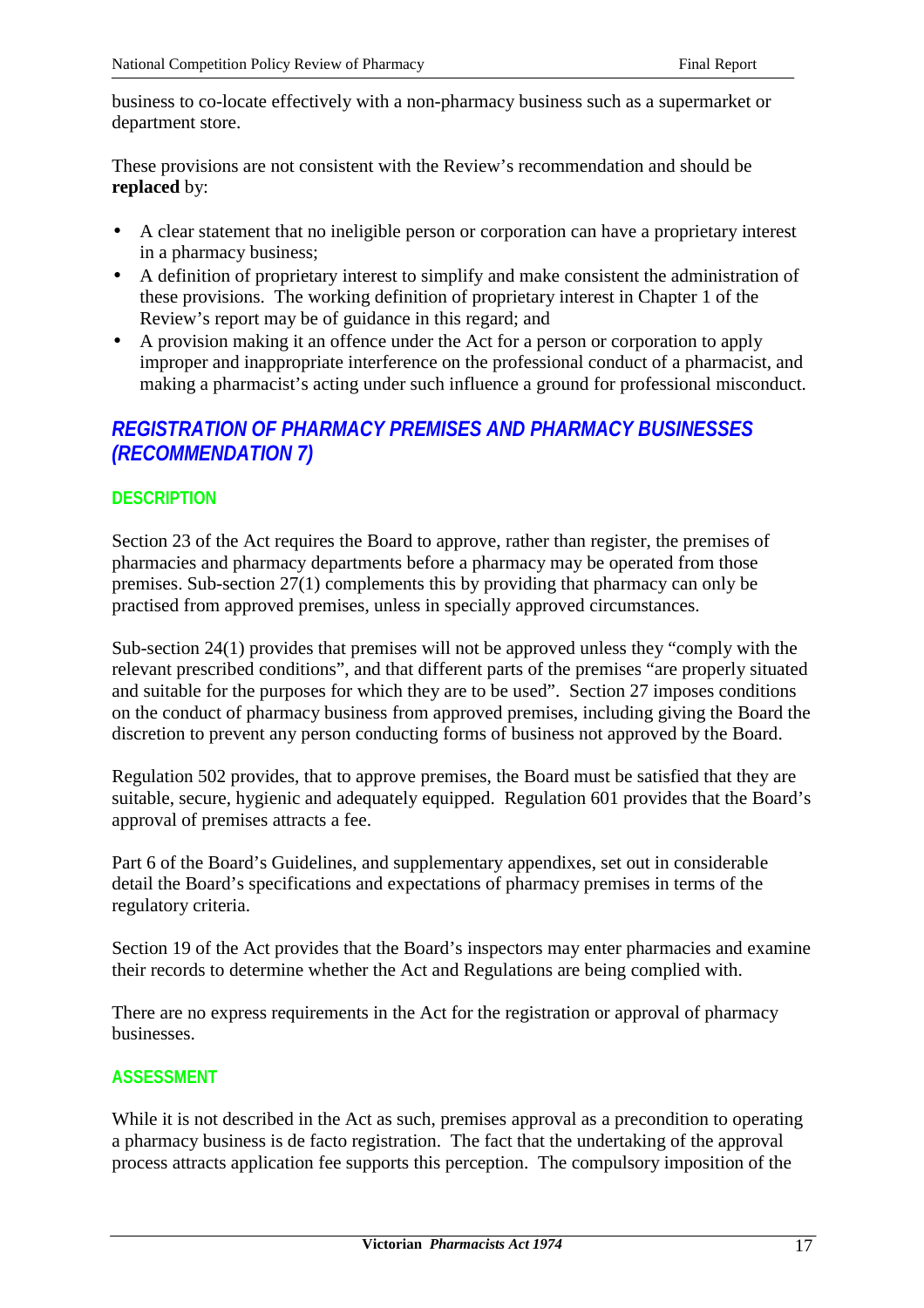business to co-locate effectively with a non-pharmacy business such as a supermarket or department store.

These provisions are not consistent with the Review's recommendation and should be **replaced** by:

- A clear statement that no ineligible person or corporation can have a proprietary interest in a pharmacy business;
- A definition of proprietary interest to simplify and make consistent the administration of these provisions. The working definition of proprietary interest in Chapter 1 of the Review's report may be of guidance in this regard; and
- A provision making it an offence under the Act for a person or corporation to apply improper and inappropriate interference on the professional conduct of a pharmacist, and making a pharmacist's acting under such influence a ground for professional misconduct.

# *REGISTRATION OF PHARMACY PREMISES AND PHARMACY BUSINESSES (RECOMMENDATION 7)*

# **DESCRIPTION**

Section 23 of the Act requires the Board to approve, rather than register, the premises of pharmacies and pharmacy departments before a pharmacy may be operated from those premises. Sub-section 27(1) complements this by providing that pharmacy can only be practised from approved premises, unless in specially approved circumstances.

Sub-section 24(1) provides that premises will not be approved unless they "comply with the relevant prescribed conditions", and that different parts of the premises "are properly situated and suitable for the purposes for which they are to be used". Section 27 imposes conditions on the conduct of pharmacy business from approved premises, including giving the Board the discretion to prevent any person conducting forms of business not approved by the Board.

Regulation 502 provides, that to approve premises, the Board must be satisfied that they are suitable, secure, hygienic and adequately equipped. Regulation 601 provides that the Board's approval of premises attracts a fee.

Part 6 of the Board's Guidelines, and supplementary appendixes, set out in considerable detail the Board's specifications and expectations of pharmacy premises in terms of the regulatory criteria.

Section 19 of the Act provides that the Board's inspectors may enter pharmacies and examine their records to determine whether the Act and Regulations are being complied with.

There are no express requirements in the Act for the registration or approval of pharmacy businesses.

# **ASSESSMENT**

While it is not described in the Act as such, premises approval as a precondition to operating a pharmacy business is de facto registration. The fact that the undertaking of the approval process attracts application fee supports this perception. The compulsory imposition of the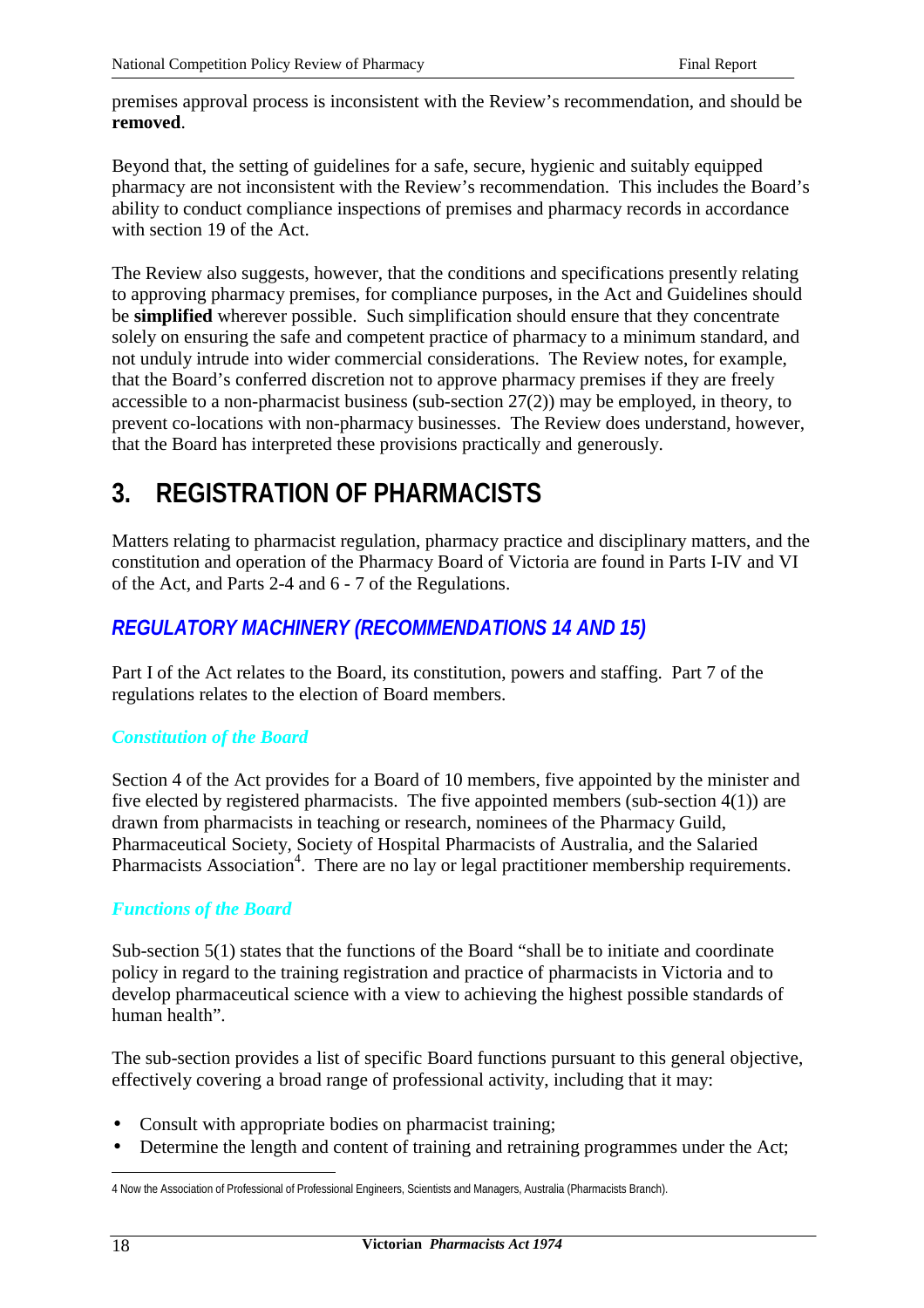premises approval process is inconsistent with the Review's recommendation, and should be **removed**.

Beyond that, the setting of guidelines for a safe, secure, hygienic and suitably equipped pharmacy are not inconsistent with the Review's recommendation. This includes the Board's ability to conduct compliance inspections of premises and pharmacy records in accordance with section 19 of the Act.

The Review also suggests, however, that the conditions and specifications presently relating to approving pharmacy premises, for compliance purposes, in the Act and Guidelines should be **simplified** wherever possible. Such simplification should ensure that they concentrate solely on ensuring the safe and competent practice of pharmacy to a minimum standard, and not unduly intrude into wider commercial considerations. The Review notes, for example, that the Board's conferred discretion not to approve pharmacy premises if they are freely accessible to a non-pharmacist business (sub-section 27(2)) may be employed, in theory, to prevent co-locations with non-pharmacy businesses. The Review does understand, however, that the Board has interpreted these provisions practically and generously.

# **3. REGISTRATION OF PHARMACISTS**

Matters relating to pharmacist regulation, pharmacy practice and disciplinary matters, and the constitution and operation of the Pharmacy Board of Victoria are found in Parts I-IV and VI of the Act, and Parts 2-4 and 6 - 7 of the Regulations.

# *REGULATORY MACHINERY (RECOMMENDATIONS 14 AND 15)*

Part I of the Act relates to the Board, its constitution, powers and staffing. Part 7 of the regulations relates to the election of Board members.

# *Constitution of the Board*

Section 4 of the Act provides for a Board of 10 members, five appointed by the minister and five elected by registered pharmacists. The five appointed members (sub-section 4(1)) are drawn from pharmacists in teaching or research, nominees of the Pharmacy Guild, Pharmaceutical Society, Society of Hospital Pharmacists of Australia, and the Salaried Pharmacists Association<sup>4</sup>. There are no lay or legal practitioner membership requirements.

# *Functions of the Board*

Sub-section 5(1) states that the functions of the Board "shall be to initiate and coordinate policy in regard to the training registration and practice of pharmacists in Victoria and to develop pharmaceutical science with a view to achieving the highest possible standards of human health".

The sub-section provides a list of specific Board functions pursuant to this general objective, effectively covering a broad range of professional activity, including that it may:

- Consult with appropriate bodies on pharmacist training;
- Determine the length and content of training and retraining programmes under the Act;

 $\overline{a}$ 4 Now the Association of Professional of Professional Engineers, Scientists and Managers, Australia (Pharmacists Branch).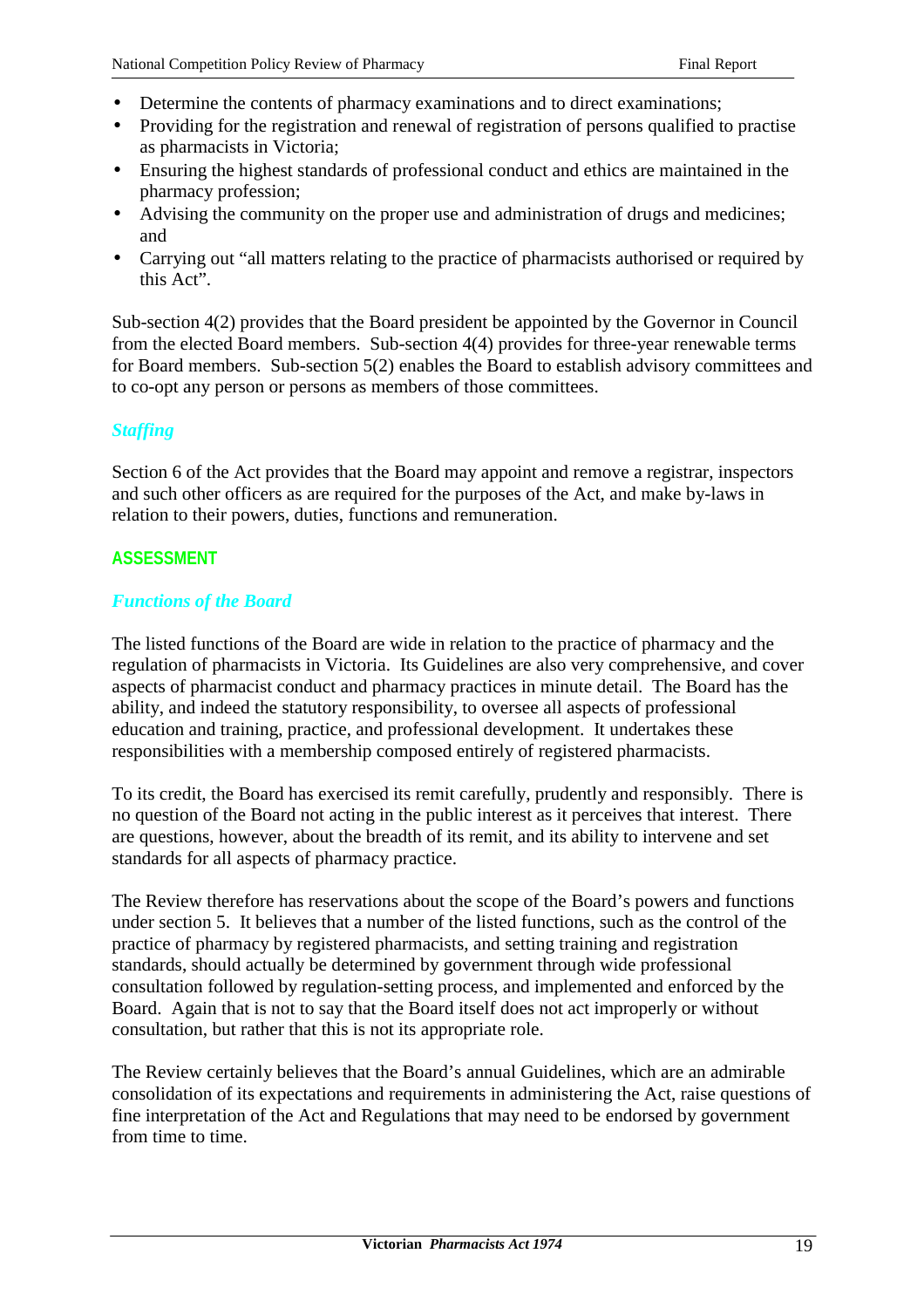- Determine the contents of pharmacy examinations and to direct examinations;
- Providing for the registration and renewal of registration of persons qualified to practise as pharmacists in Victoria;
- Ensuring the highest standards of professional conduct and ethics are maintained in the pharmacy profession;
- Advising the community on the proper use and administration of drugs and medicines; and
- Carrying out "all matters relating to the practice of pharmacists authorised or required by this Act".

Sub-section 4(2) provides that the Board president be appointed by the Governor in Council from the elected Board members. Sub-section 4(4) provides for three-year renewable terms for Board members. Sub-section 5(2) enables the Board to establish advisory committees and to co-opt any person or persons as members of those committees.

## *Staffing*

Section 6 of the Act provides that the Board may appoint and remove a registrar, inspectors and such other officers as are required for the purposes of the Act, and make by-laws in relation to their powers, duties, functions and remuneration.

## **ASSESSMENT**

## *Functions of the Board*

The listed functions of the Board are wide in relation to the practice of pharmacy and the regulation of pharmacists in Victoria. Its Guidelines are also very comprehensive, and cover aspects of pharmacist conduct and pharmacy practices in minute detail. The Board has the ability, and indeed the statutory responsibility, to oversee all aspects of professional education and training, practice, and professional development. It undertakes these responsibilities with a membership composed entirely of registered pharmacists.

To its credit, the Board has exercised its remit carefully, prudently and responsibly. There is no question of the Board not acting in the public interest as it perceives that interest. There are questions, however, about the breadth of its remit, and its ability to intervene and set standards for all aspects of pharmacy practice.

The Review therefore has reservations about the scope of the Board's powers and functions under section 5. It believes that a number of the listed functions, such as the control of the practice of pharmacy by registered pharmacists, and setting training and registration standards, should actually be determined by government through wide professional consultation followed by regulation-setting process, and implemented and enforced by the Board. Again that is not to say that the Board itself does not act improperly or without consultation, but rather that this is not its appropriate role.

The Review certainly believes that the Board's annual Guidelines, which are an admirable consolidation of its expectations and requirements in administering the Act, raise questions of fine interpretation of the Act and Regulations that may need to be endorsed by government from time to time.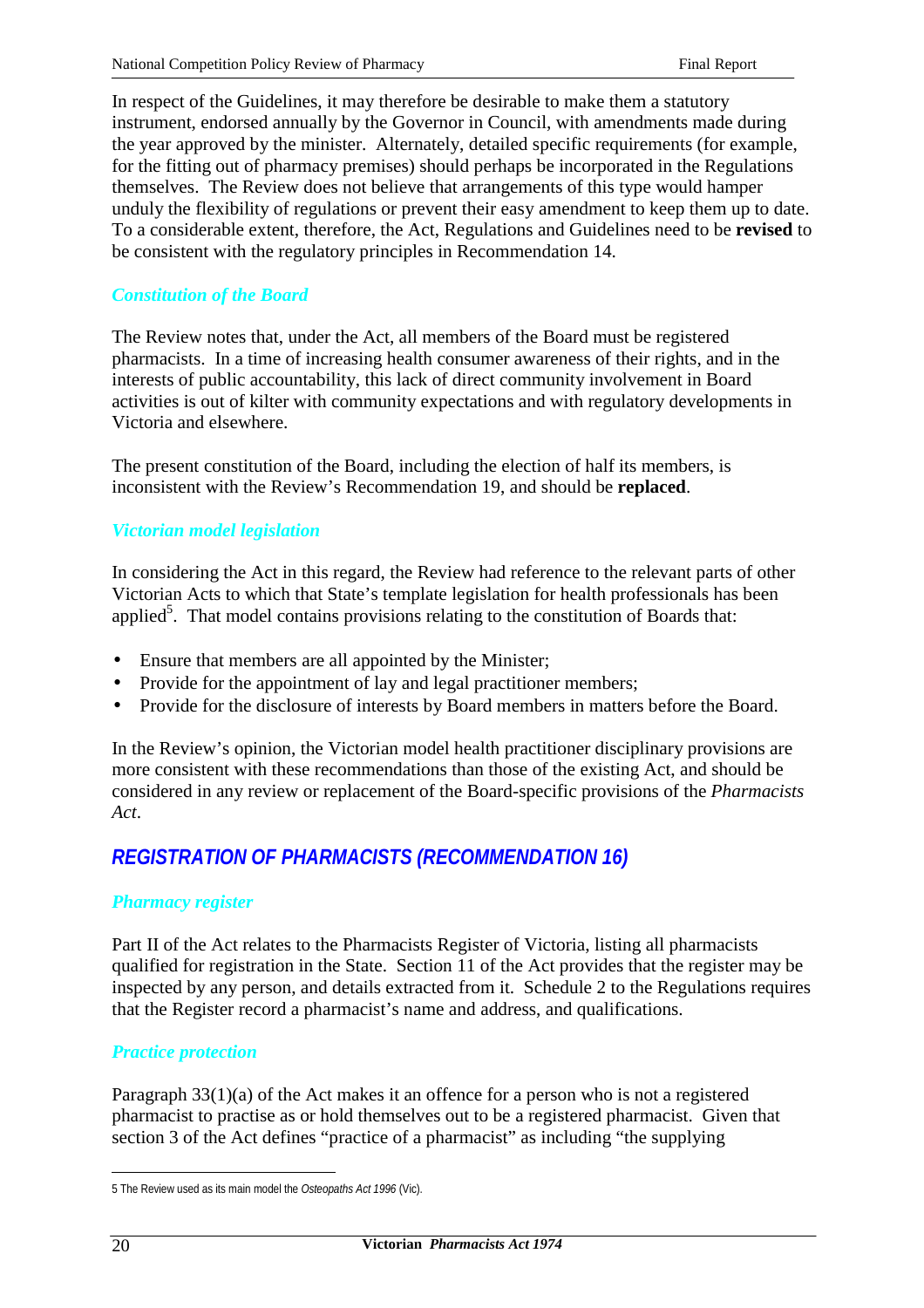In respect of the Guidelines, it may therefore be desirable to make them a statutory instrument, endorsed annually by the Governor in Council, with amendments made during the year approved by the minister. Alternately, detailed specific requirements (for example, for the fitting out of pharmacy premises) should perhaps be incorporated in the Regulations themselves. The Review does not believe that arrangements of this type would hamper unduly the flexibility of regulations or prevent their easy amendment to keep them up to date. To a considerable extent, therefore, the Act, Regulations and Guidelines need to be **revised** to be consistent with the regulatory principles in Recommendation 14.

#### *Constitution of the Board*

The Review notes that, under the Act, all members of the Board must be registered pharmacists. In a time of increasing health consumer awareness of their rights, and in the interests of public accountability, this lack of direct community involvement in Board activities is out of kilter with community expectations and with regulatory developments in Victoria and elsewhere.

The present constitution of the Board, including the election of half its members, is inconsistent with the Review's Recommendation 19, and should be **replaced**.

#### *Victorian model legislation*

In considering the Act in this regard, the Review had reference to the relevant parts of other Victorian Acts to which that State's template legislation for health professionals has been applied<sup>5</sup>. That model contains provisions relating to the constitution of Boards that:

- Ensure that members are all appointed by the Minister;
- Provide for the appointment of lay and legal practitioner members;
- Provide for the disclosure of interests by Board members in matters before the Board.

In the Review's opinion, the Victorian model health practitioner disciplinary provisions are more consistent with these recommendations than those of the existing Act, and should be considered in any review or replacement of the Board-specific provisions of the *Pharmacists Act*.

# *REGISTRATION OF PHARMACISTS (RECOMMENDATION 16)*

#### *Pharmacy register*

Part II of the Act relates to the Pharmacists Register of Victoria, listing all pharmacists qualified for registration in the State. Section 11 of the Act provides that the register may be inspected by any person, and details extracted from it. Schedule 2 to the Regulations requires that the Register record a pharmacist's name and address, and qualifications.

## *Practice protection*

Paragraph 33(1)(a) of the Act makes it an offence for a person who is not a registered pharmacist to practise as or hold themselves out to be a registered pharmacist. Given that section 3 of the Act defines "practice of a pharmacist" as including "the supplying

 $\overline{a}$ 5 The Review used as its main model the *Osteopaths Act 1996* (Vic).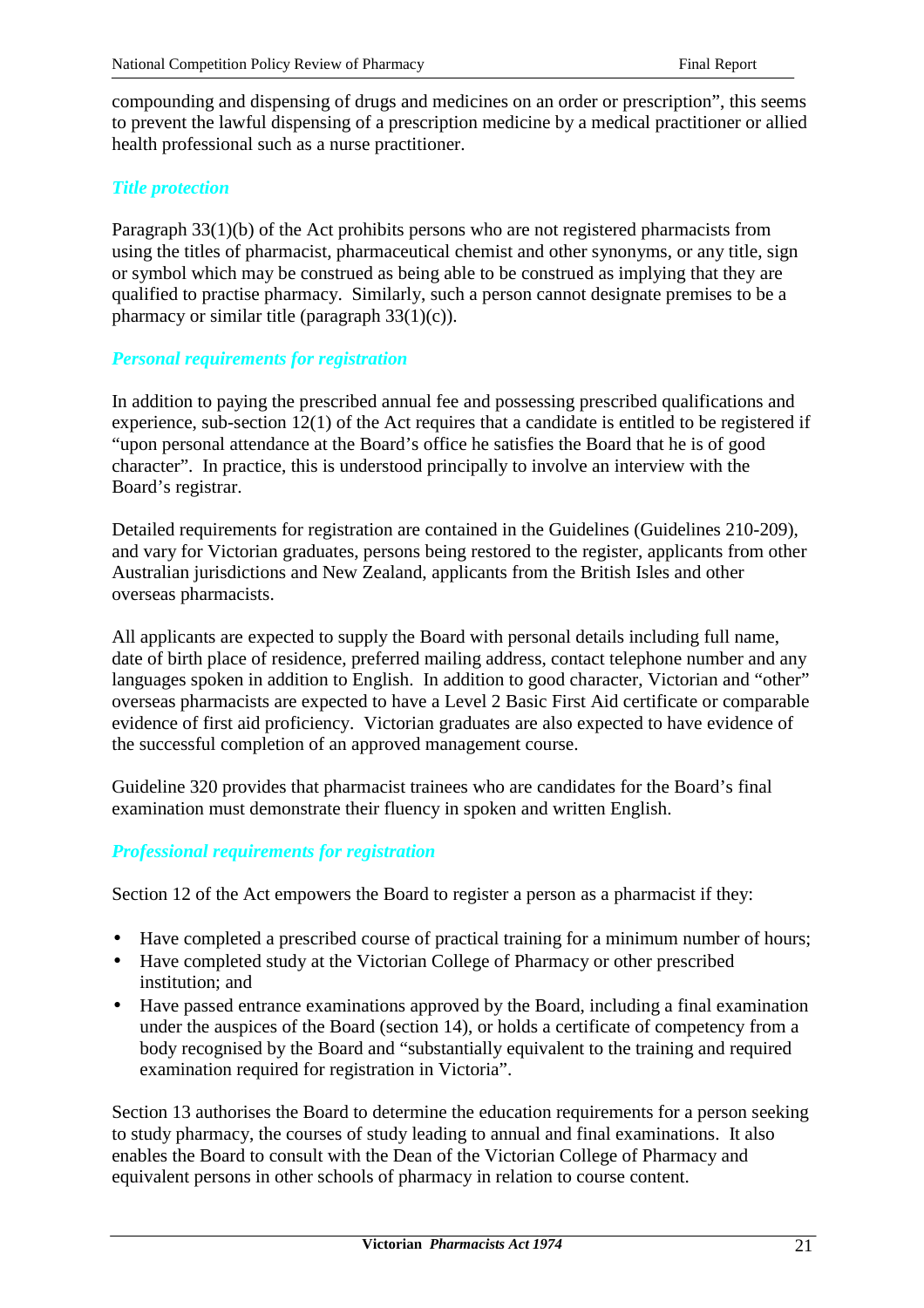compounding and dispensing of drugs and medicines on an order or prescription", this seems to prevent the lawful dispensing of a prescription medicine by a medical practitioner or allied health professional such as a nurse practitioner.

### *Title protection*

Paragraph 33(1)(b) of the Act prohibits persons who are not registered pharmacists from using the titles of pharmacist, pharmaceutical chemist and other synonyms, or any title, sign or symbol which may be construed as being able to be construed as implying that they are qualified to practise pharmacy. Similarly, such a person cannot designate premises to be a pharmacy or similar title (paragraph 33(1)(c)).

#### *Personal requirements for registration*

In addition to paying the prescribed annual fee and possessing prescribed qualifications and experience, sub-section 12(1) of the Act requires that a candidate is entitled to be registered if "upon personal attendance at the Board's office he satisfies the Board that he is of good character". In practice, this is understood principally to involve an interview with the Board's registrar.

Detailed requirements for registration are contained in the Guidelines (Guidelines 210-209), and vary for Victorian graduates, persons being restored to the register, applicants from other Australian jurisdictions and New Zealand, applicants from the British Isles and other overseas pharmacists.

All applicants are expected to supply the Board with personal details including full name, date of birth place of residence, preferred mailing address, contact telephone number and any languages spoken in addition to English. In addition to good character, Victorian and "other" overseas pharmacists are expected to have a Level 2 Basic First Aid certificate or comparable evidence of first aid proficiency. Victorian graduates are also expected to have evidence of the successful completion of an approved management course.

Guideline 320 provides that pharmacist trainees who are candidates for the Board's final examination must demonstrate their fluency in spoken and written English.

## *Professional requirements for registration*

Section 12 of the Act empowers the Board to register a person as a pharmacist if they:

- Have completed a prescribed course of practical training for a minimum number of hours;
- Have completed study at the Victorian College of Pharmacy or other prescribed institution; and
- Have passed entrance examinations approved by the Board, including a final examination under the auspices of the Board (section 14), or holds a certificate of competency from a body recognised by the Board and "substantially equivalent to the training and required examination required for registration in Victoria".

Section 13 authorises the Board to determine the education requirements for a person seeking to study pharmacy, the courses of study leading to annual and final examinations. It also enables the Board to consult with the Dean of the Victorian College of Pharmacy and equivalent persons in other schools of pharmacy in relation to course content.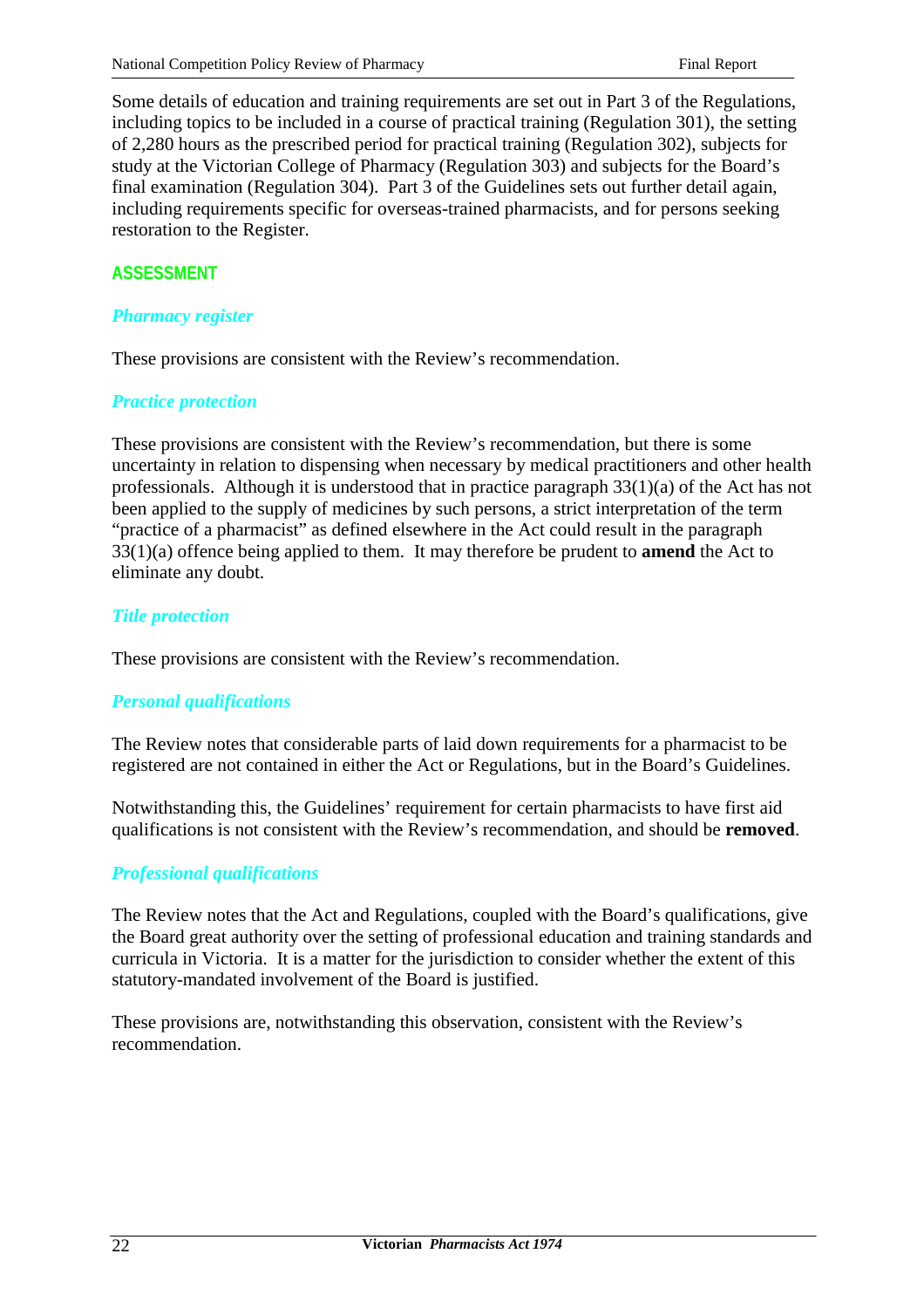Some details of education and training requirements are set out in Part 3 of the Regulations, including topics to be included in a course of practical training (Regulation 301), the setting of 2,280 hours as the prescribed period for practical training (Regulation 302), subjects for study at the Victorian College of Pharmacy (Regulation 303) and subjects for the Board's final examination (Regulation 304). Part 3 of the Guidelines sets out further detail again, including requirements specific for overseas-trained pharmacists, and for persons seeking restoration to the Register.

# **ASSESSMENT**

# *Pharmacy register*

These provisions are consistent with the Review's recommendation.

## *Practice protection*

These provisions are consistent with the Review's recommendation, but there is some uncertainty in relation to dispensing when necessary by medical practitioners and other health professionals. Although it is understood that in practice paragraph 33(1)(a) of the Act has not been applied to the supply of medicines by such persons, a strict interpretation of the term "practice of a pharmacist" as defined elsewhere in the Act could result in the paragraph 33(1)(a) offence being applied to them. It may therefore be prudent to **amend** the Act to eliminate any doubt.

## *Title protection*

These provisions are consistent with the Review's recommendation.

# *Personal qualifications*

The Review notes that considerable parts of laid down requirements for a pharmacist to be registered are not contained in either the Act or Regulations, but in the Board's Guidelines.

Notwithstanding this, the Guidelines' requirement for certain pharmacists to have first aid qualifications is not consistent with the Review's recommendation, and should be **removed**.

# *Professional qualifications*

The Review notes that the Act and Regulations, coupled with the Board's qualifications, give the Board great authority over the setting of professional education and training standards and curricula in Victoria. It is a matter for the jurisdiction to consider whether the extent of this statutory-mandated involvement of the Board is justified.

These provisions are, notwithstanding this observation, consistent with the Review's recommendation.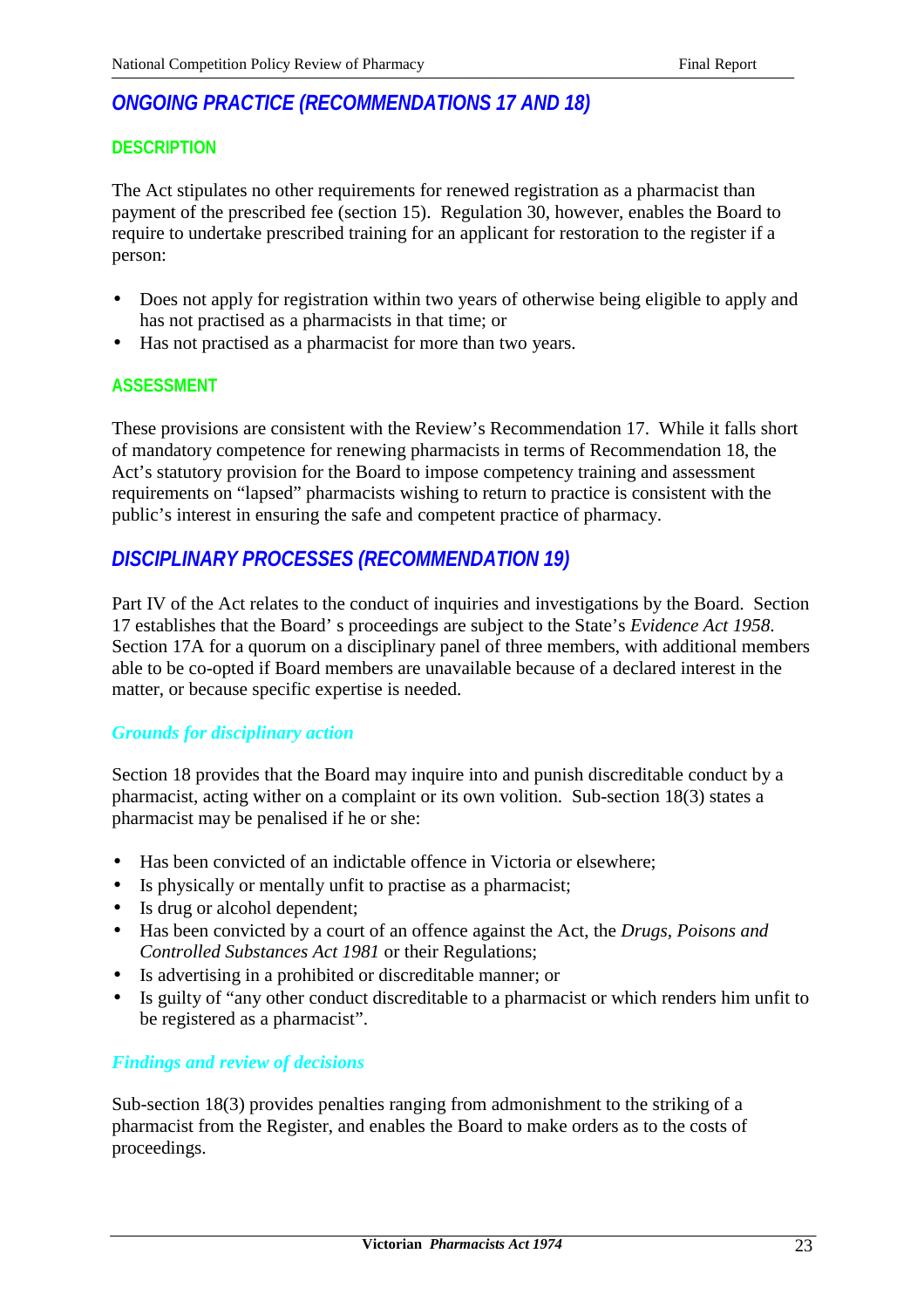# *ONGOING PRACTICE (RECOMMENDATIONS 17 AND 18)*

## **DESCRIPTION**

The Act stipulates no other requirements for renewed registration as a pharmacist than payment of the prescribed fee (section 15). Regulation 30, however, enables the Board to require to undertake prescribed training for an applicant for restoration to the register if a person:

- Does not apply for registration within two years of otherwise being eligible to apply and has not practised as a pharmacists in that time; or
- Has not practised as a pharmacist for more than two years.

## **ASSESSMENT**

These provisions are consistent with the Review's Recommendation 17. While it falls short of mandatory competence for renewing pharmacists in terms of Recommendation 18, the Act's statutory provision for the Board to impose competency training and assessment requirements on "lapsed" pharmacists wishing to return to practice is consistent with the public's interest in ensuring the safe and competent practice of pharmacy.

# *DISCIPLINARY PROCESSES (RECOMMENDATION 19)*

Part IV of the Act relates to the conduct of inquiries and investigations by the Board. Section 17 establishes that the Board' s proceedings are subject to the State's *Evidence Act 1958*. Section 17A for a quorum on a disciplinary panel of three members, with additional members able to be co-opted if Board members are unavailable because of a declared interest in the matter, or because specific expertise is needed.

## *Grounds for disciplinary action*

Section 18 provides that the Board may inquire into and punish discreditable conduct by a pharmacist, acting wither on a complaint or its own volition. Sub-section 18(3) states a pharmacist may be penalised if he or she:

- Has been convicted of an indictable offence in Victoria or elsewhere;
- Is physically or mentally unfit to practise as a pharmacist;
- Is drug or alcohol dependent;
- Has been convicted by a court of an offence against the Act, the *Drugs, Poisons and Controlled Substances Act 1981* or their Regulations;
- Is advertising in a prohibited or discreditable manner; or
- Is guilty of "any other conduct discreditable to a pharmacist or which renders him unfit to be registered as a pharmacist".

## *Findings and review of decisions*

Sub-section 18(3) provides penalties ranging from admonishment to the striking of a pharmacist from the Register, and enables the Board to make orders as to the costs of proceedings.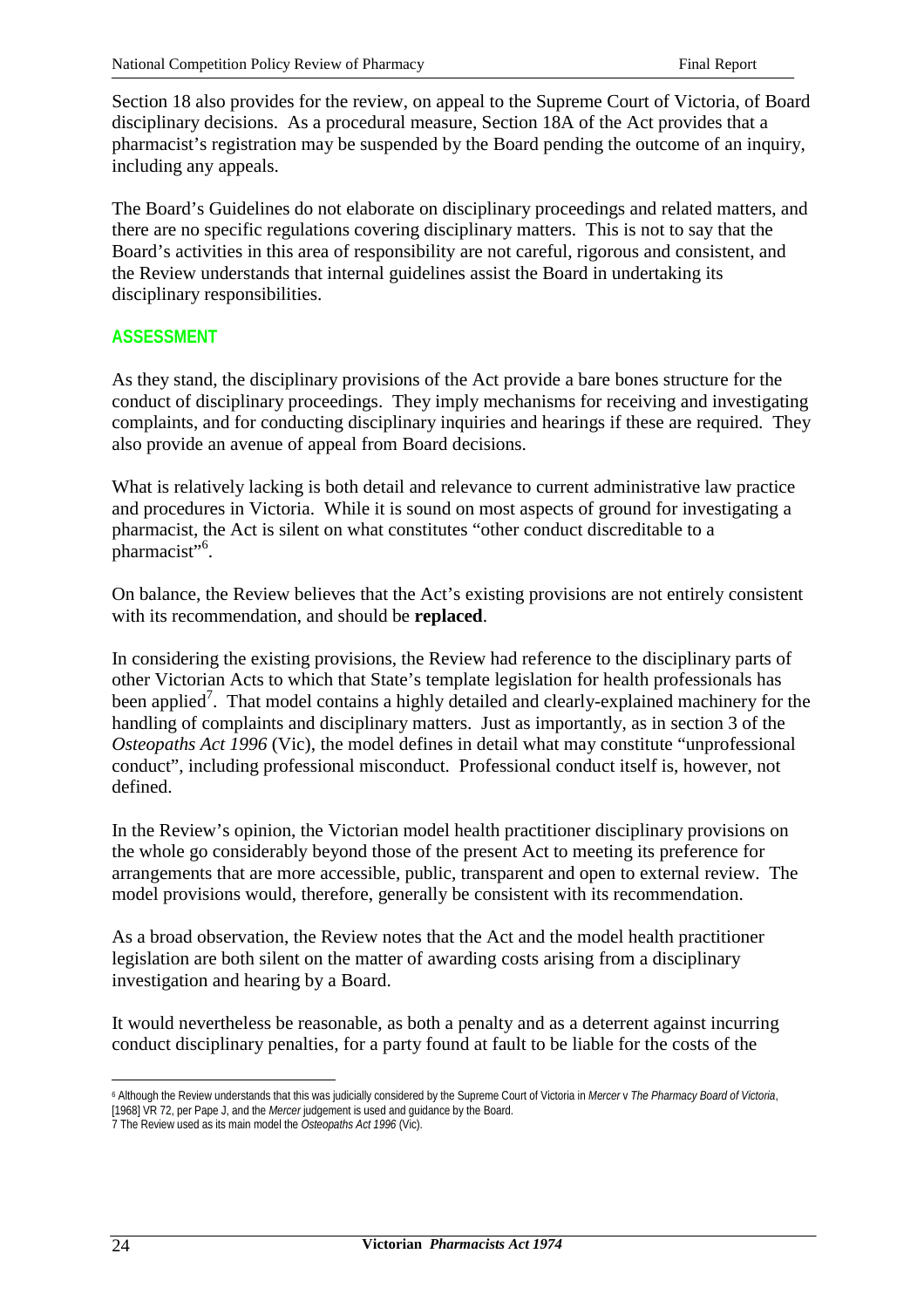Section 18 also provides for the review, on appeal to the Supreme Court of Victoria, of Board disciplinary decisions. As a procedural measure, Section 18A of the Act provides that a pharmacist's registration may be suspended by the Board pending the outcome of an inquiry, including any appeals.

The Board's Guidelines do not elaborate on disciplinary proceedings and related matters, and there are no specific regulations covering disciplinary matters. This is not to say that the Board's activities in this area of responsibility are not careful, rigorous and consistent, and the Review understands that internal guidelines assist the Board in undertaking its disciplinary responsibilities.

## **ASSESSMENT**

As they stand, the disciplinary provisions of the Act provide a bare bones structure for the conduct of disciplinary proceedings. They imply mechanisms for receiving and investigating complaints, and for conducting disciplinary inquiries and hearings if these are required. They also provide an avenue of appeal from Board decisions.

What is relatively lacking is both detail and relevance to current administrative law practice and procedures in Victoria. While it is sound on most aspects of ground for investigating a pharmacist, the Act is silent on what constitutes "other conduct discreditable to a pharmacist"<sup>6</sup>.

On balance, the Review believes that the Act's existing provisions are not entirely consistent with its recommendation, and should be **replaced**.

In considering the existing provisions, the Review had reference to the disciplinary parts of other Victorian Acts to which that State's template legislation for health professionals has been applied<sup>7</sup>. That model contains a highly detailed and clearly-explained machinery for the handling of complaints and disciplinary matters. Just as importantly, as in section 3 of the *Osteopaths Act 1996* (Vic), the model defines in detail what may constitute "unprofessional conduct", including professional misconduct. Professional conduct itself is, however, not defined.

In the Review's opinion, the Victorian model health practitioner disciplinary provisions on the whole go considerably beyond those of the present Act to meeting its preference for arrangements that are more accessible, public, transparent and open to external review. The model provisions would, therefore, generally be consistent with its recommendation.

As a broad observation, the Review notes that the Act and the model health practitioner legislation are both silent on the matter of awarding costs arising from a disciplinary investigation and hearing by a Board.

It would nevertheless be reasonable, as both a penalty and as a deterrent against incurring conduct disciplinary penalties, for a party found at fault to be liable for the costs of the

 $\overline{a}$ 

<sup>6</sup> Although the Review understands that this was judicially considered by the Supreme Court of Victoria in *Mercer* v *The Pharmacy Board of Victoria*, [1968] VR 72, per Pape J, and the *Mercer* judgement is used and guidance by the Board.

<sup>7</sup> The Review used as its main model the *Osteopaths Act 1996* (Vic).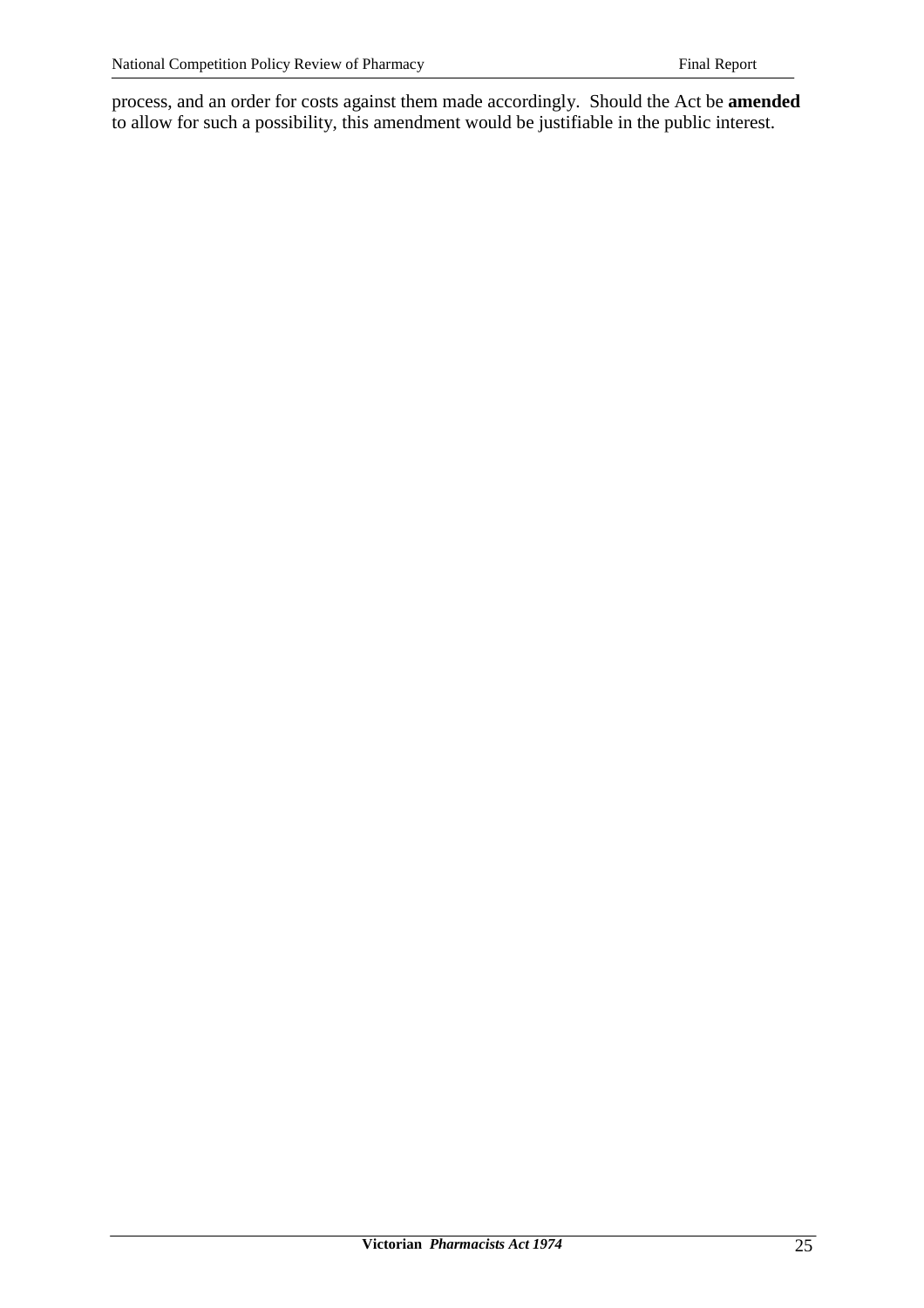process, and an order for costs against them made accordingly. Should the Act be **amended** to allow for such a possibility, this amendment would be justifiable in the public interest.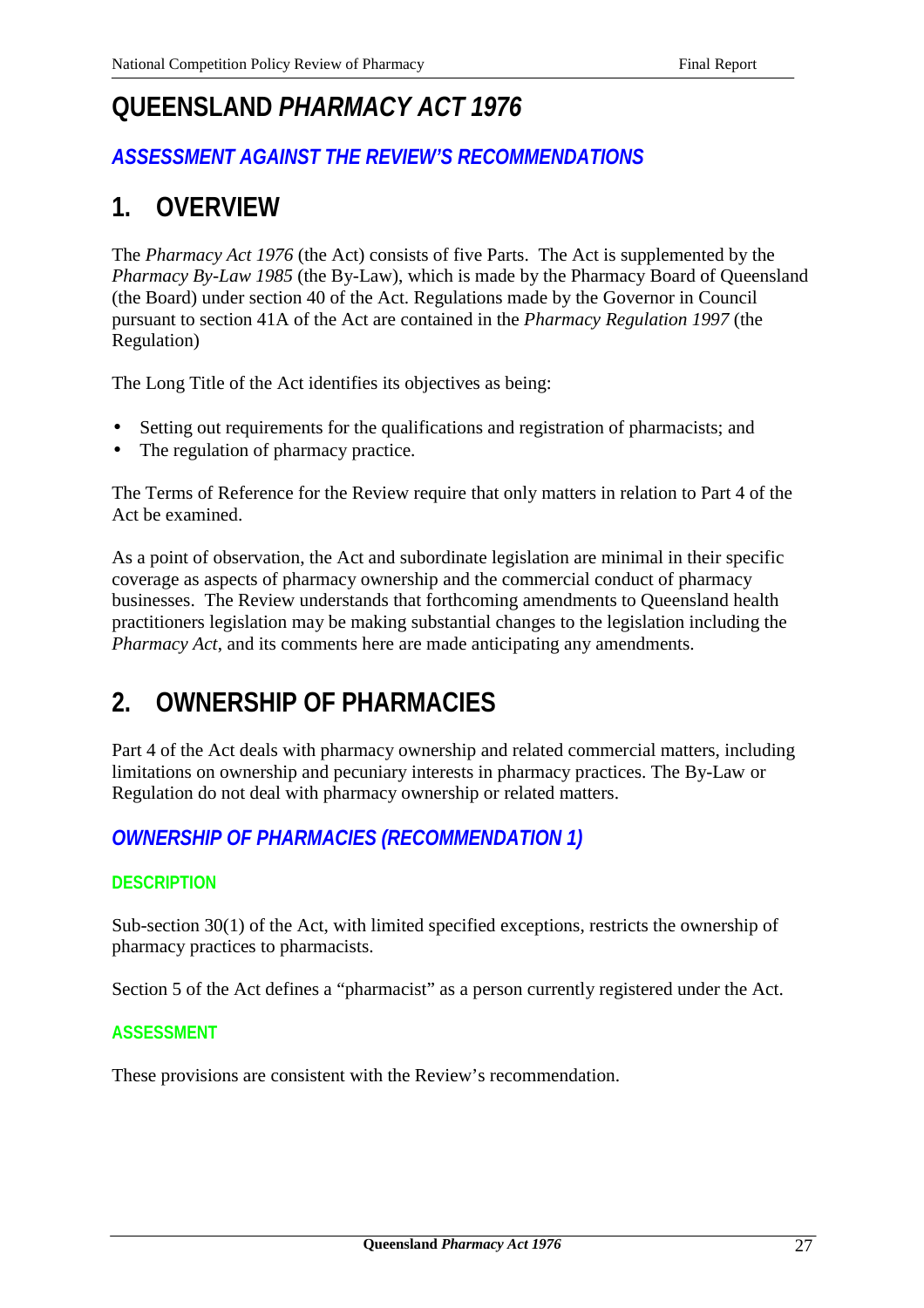# **QUEENSLAND** *PHARMACY ACT 1976*

# *ASSESSMENT AGAINST THE REVIEW'S RECOMMENDATIONS*

# **1. OVERVIEW**

The *Pharmacy Act 1976* (the Act) consists of five Parts. The Act is supplemented by the *Pharmacy By-Law 1985* (the By-Law), which is made by the Pharmacy Board of Queensland (the Board) under section 40 of the Act. Regulations made by the Governor in Council pursuant to section 41A of the Act are contained in the *Pharmacy Regulation 1997* (the Regulation)

The Long Title of the Act identifies its objectives as being:

- Setting out requirements for the qualifications and registration of pharmacists; and
- The regulation of pharmacy practice.

The Terms of Reference for the Review require that only matters in relation to Part 4 of the Act be examined.

As a point of observation, the Act and subordinate legislation are minimal in their specific coverage as aspects of pharmacy ownership and the commercial conduct of pharmacy businesses. The Review understands that forthcoming amendments to Queensland health practitioners legislation may be making substantial changes to the legislation including the *Pharmacy Act*, and its comments here are made anticipating any amendments.

# **2. OWNERSHIP OF PHARMACIES**

Part 4 of the Act deals with pharmacy ownership and related commercial matters, including limitations on ownership and pecuniary interests in pharmacy practices. The By-Law or Regulation do not deal with pharmacy ownership or related matters.

# *OWNERSHIP OF PHARMACIES (RECOMMENDATION 1)*

# **DESCRIPTION**

Sub-section 30(1) of the Act, with limited specified exceptions, restricts the ownership of pharmacy practices to pharmacists.

Section 5 of the Act defines a "pharmacist" as a person currently registered under the Act.

## **ASSESSMENT**

These provisions are consistent with the Review's recommendation.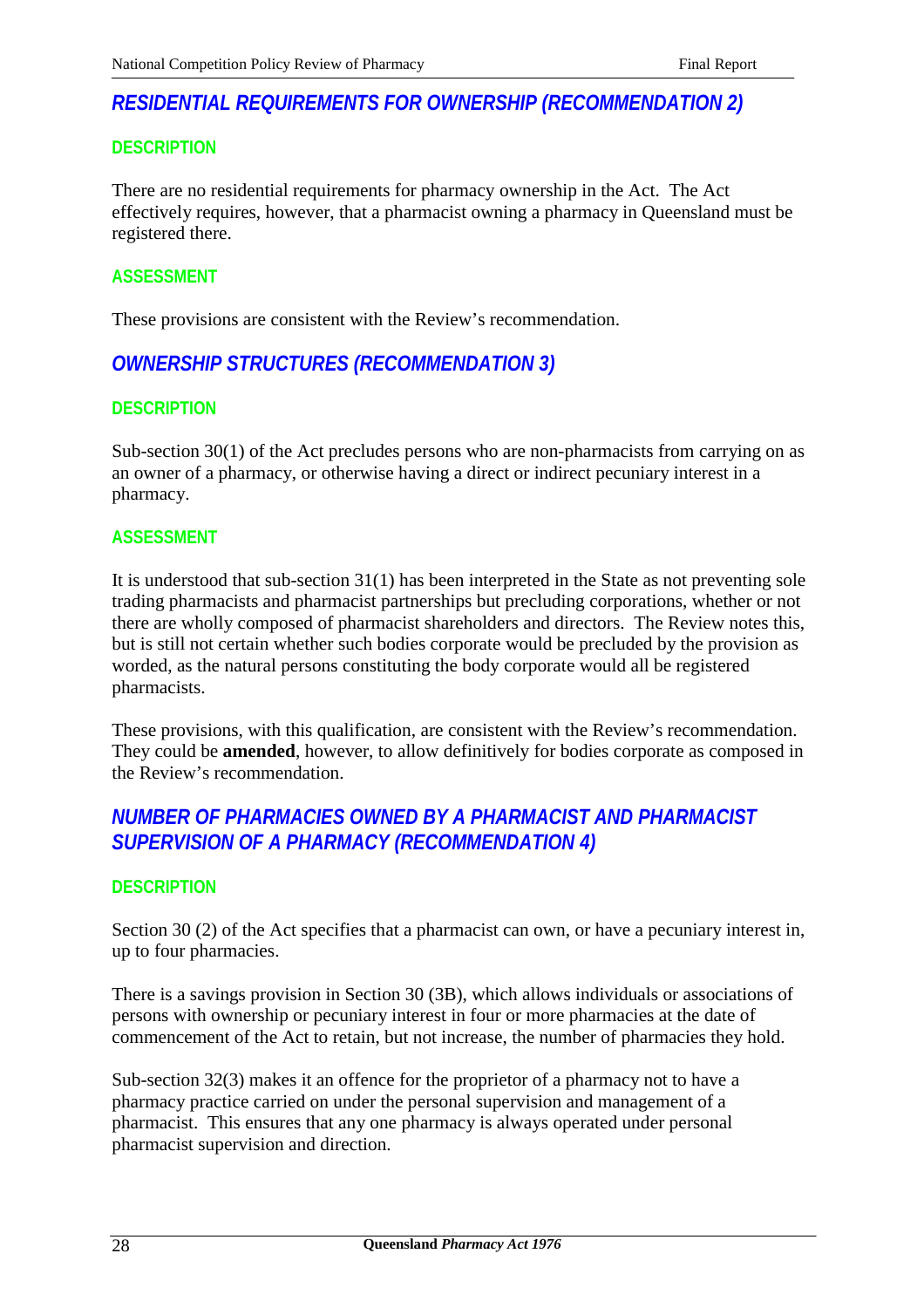# *RESIDENTIAL REQUIREMENTS FOR OWNERSHIP (RECOMMENDATION 2)*

## **DESCRIPTION**

There are no residential requirements for pharmacy ownership in the Act. The Act effectively requires, however, that a pharmacist owning a pharmacy in Queensland must be registered there.

## **ASSESSMENT**

These provisions are consistent with the Review's recommendation.

# *OWNERSHIP STRUCTURES (RECOMMENDATION 3)*

## **DESCRIPTION**

Sub-section 30(1) of the Act precludes persons who are non-pharmacists from carrying on as an owner of a pharmacy, or otherwise having a direct or indirect pecuniary interest in a pharmacy.

## **ASSESSMENT**

It is understood that sub-section 31(1) has been interpreted in the State as not preventing sole trading pharmacists and pharmacist partnerships but precluding corporations, whether or not there are wholly composed of pharmacist shareholders and directors. The Review notes this, but is still not certain whether such bodies corporate would be precluded by the provision as worded, as the natural persons constituting the body corporate would all be registered pharmacists.

These provisions, with this qualification, are consistent with the Review's recommendation. They could be **amended**, however, to allow definitively for bodies corporate as composed in the Review's recommendation.

# *NUMBER OF PHARMACIES OWNED BY A PHARMACIST AND PHARMACIST SUPERVISION OF A PHARMACY (RECOMMENDATION 4)*

## **DESCRIPTION**

Section 30 (2) of the Act specifies that a pharmacist can own, or have a pecuniary interest in, up to four pharmacies.

There is a savings provision in Section 30 (3B), which allows individuals or associations of persons with ownership or pecuniary interest in four or more pharmacies at the date of commencement of the Act to retain, but not increase, the number of pharmacies they hold.

Sub-section 32(3) makes it an offence for the proprietor of a pharmacy not to have a pharmacy practice carried on under the personal supervision and management of a pharmacist. This ensures that any one pharmacy is always operated under personal pharmacist supervision and direction.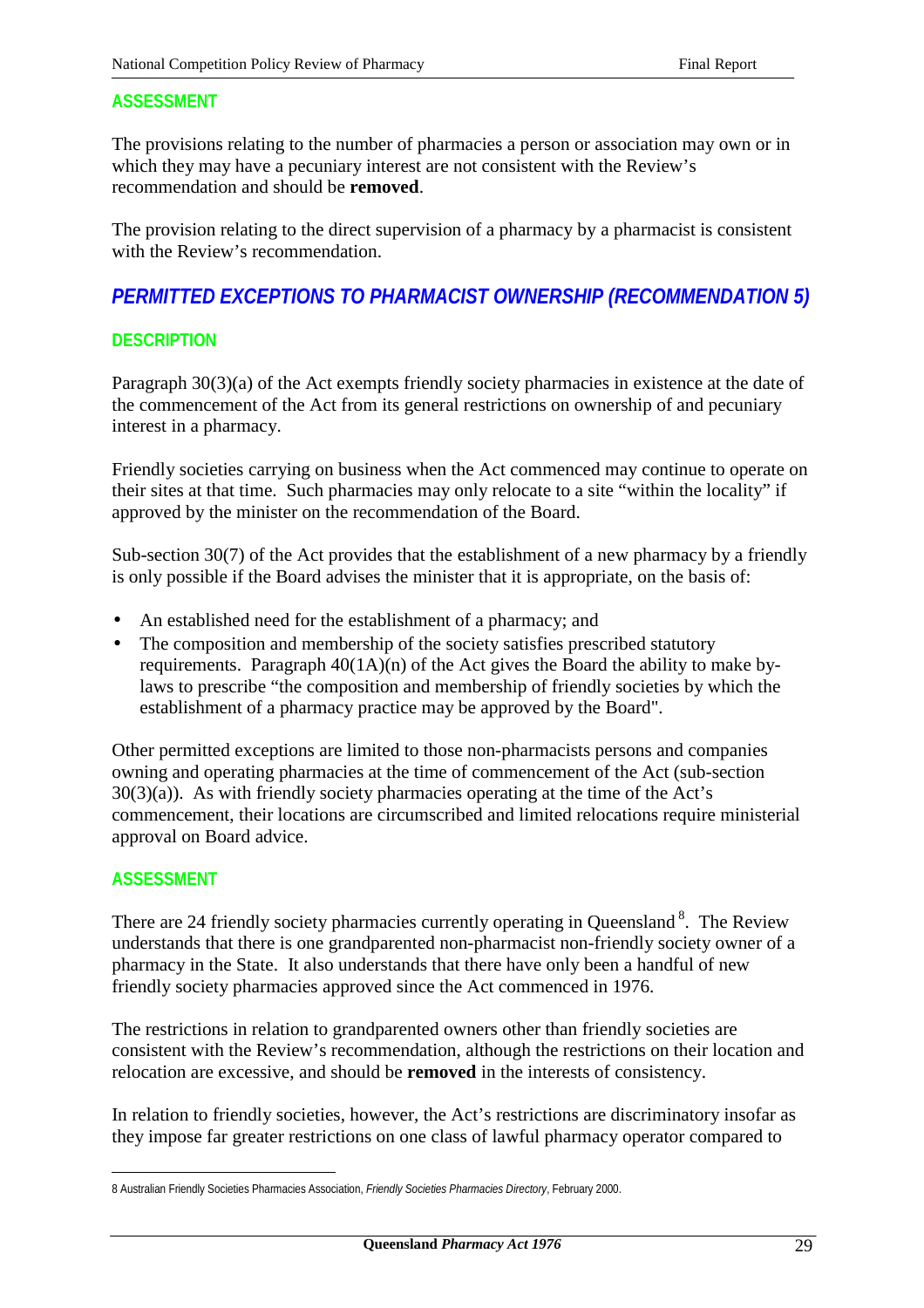## **ASSESSMENT**

The provisions relating to the number of pharmacies a person or association may own or in which they may have a pecuniary interest are not consistent with the Review's recommendation and should be **removed**.

The provision relating to the direct supervision of a pharmacy by a pharmacist is consistent with the Review's recommendation.

# *PERMITTED EXCEPTIONS TO PHARMACIST OWNERSHIP (RECOMMENDATION 5)*

## **DESCRIPTION**

Paragraph 30(3)(a) of the Act exempts friendly society pharmacies in existence at the date of the commencement of the Act from its general restrictions on ownership of and pecuniary interest in a pharmacy.

Friendly societies carrying on business when the Act commenced may continue to operate on their sites at that time. Such pharmacies may only relocate to a site "within the locality" if approved by the minister on the recommendation of the Board.

Sub-section 30(7) of the Act provides that the establishment of a new pharmacy by a friendly is only possible if the Board advises the minister that it is appropriate, on the basis of:

- An established need for the establishment of a pharmacy; and
- The composition and membership of the society satisfies prescribed statutory requirements. Paragraph  $40(1A)(n)$  of the Act gives the Board the ability to make bylaws to prescribe "the composition and membership of friendly societies by which the establishment of a pharmacy practice may be approved by the Board".

Other permitted exceptions are limited to those non-pharmacists persons and companies owning and operating pharmacies at the time of commencement of the Act (sub-section  $30(3)(a)$ . As with friendly society pharmacies operating at the time of the Act's commencement, their locations are circumscribed and limited relocations require ministerial approval on Board advice.

## **ASSESSMENT**

 $\overline{a}$ 

There are 24 friendly society pharmacies currently operating in Queensland<sup>8</sup>. The Review understands that there is one grandparented non-pharmacist non-friendly society owner of a pharmacy in the State. It also understands that there have only been a handful of new friendly society pharmacies approved since the Act commenced in 1976.

The restrictions in relation to grandparented owners other than friendly societies are consistent with the Review's recommendation, although the restrictions on their location and relocation are excessive, and should be **removed** in the interests of consistency.

In relation to friendly societies, however, the Act's restrictions are discriminatory insofar as they impose far greater restrictions on one class of lawful pharmacy operator compared to

<sup>8</sup> Australian Friendly Societies Pharmacies Association, *Friendly Societies Pharmacies Directory*, February 2000.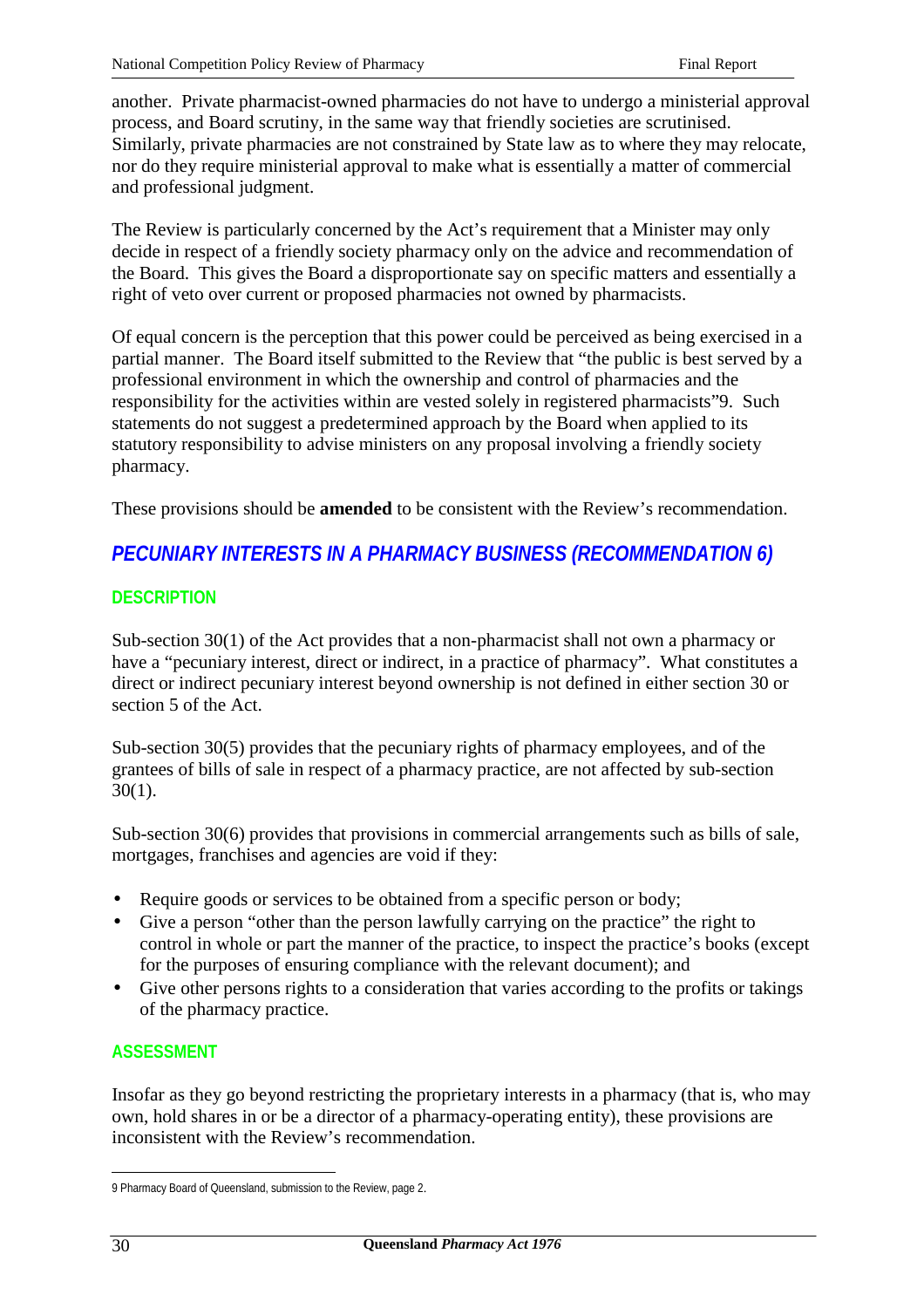another. Private pharmacist-owned pharmacies do not have to undergo a ministerial approval process, and Board scrutiny, in the same way that friendly societies are scrutinised. Similarly, private pharmacies are not constrained by State law as to where they may relocate, nor do they require ministerial approval to make what is essentially a matter of commercial and professional judgment.

The Review is particularly concerned by the Act's requirement that a Minister may only decide in respect of a friendly society pharmacy only on the advice and recommendation of the Board. This gives the Board a disproportionate say on specific matters and essentially a right of veto over current or proposed pharmacies not owned by pharmacists.

Of equal concern is the perception that this power could be perceived as being exercised in a partial manner. The Board itself submitted to the Review that "the public is best served by a professional environment in which the ownership and control of pharmacies and the responsibility for the activities within are vested solely in registered pharmacists"9. Such statements do not suggest a predetermined approach by the Board when applied to its statutory responsibility to advise ministers on any proposal involving a friendly society pharmacy.

These provisions should be **amended** to be consistent with the Review's recommendation.

# *PECUNIARY INTERESTS IN A PHARMACY BUSINESS (RECOMMENDATION 6)*

## **DESCRIPTION**

Sub-section 30(1) of the Act provides that a non-pharmacist shall not own a pharmacy or have a "pecuniary interest, direct or indirect, in a practice of pharmacy". What constitutes a direct or indirect pecuniary interest beyond ownership is not defined in either section 30 or section 5 of the Act.

Sub-section 30(5) provides that the pecuniary rights of pharmacy employees, and of the grantees of bills of sale in respect of a pharmacy practice, are not affected by sub-section 30(1).

Sub-section 30(6) provides that provisions in commercial arrangements such as bills of sale, mortgages, franchises and agencies are void if they:

- Require goods or services to be obtained from a specific person or body;
- Give a person "other than the person lawfully carrying on the practice" the right to control in whole or part the manner of the practice, to inspect the practice's books (except for the purposes of ensuring compliance with the relevant document); and
- Give other persons rights to a consideration that varies according to the profits or takings of the pharmacy practice.

## **ASSESSMENT**

Insofar as they go beyond restricting the proprietary interests in a pharmacy (that is, who may own, hold shares in or be a director of a pharmacy-operating entity), these provisions are inconsistent with the Review's recommendation.

 $\overline{a}$ 

<sup>9</sup> Pharmacy Board of Queensland, submission to the Review, page 2.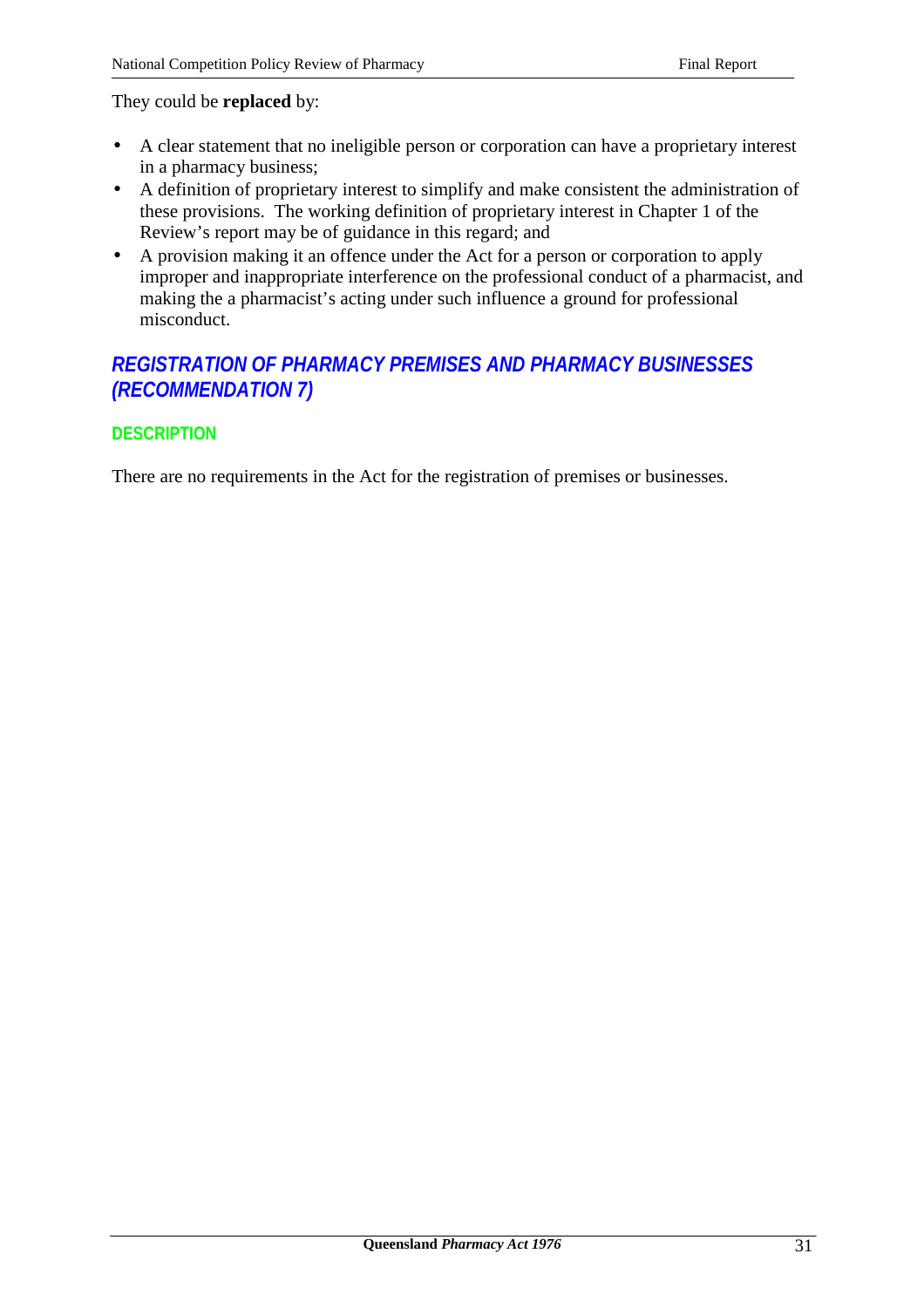#### They could be **replaced** by:

- A clear statement that no ineligible person or corporation can have a proprietary interest in a pharmacy business;
- A definition of proprietary interest to simplify and make consistent the administration of these provisions. The working definition of proprietary interest in Chapter 1 of the Review's report may be of guidance in this regard; and
- A provision making it an offence under the Act for a person or corporation to apply improper and inappropriate interference on the professional conduct of a pharmacist, and making the a pharmacist's acting under such influence a ground for professional misconduct.

# *REGISTRATION OF PHARMACY PREMISES AND PHARMACY BUSINESSES (RECOMMENDATION 7)*

## **DESCRIPTION**

There are no requirements in the Act for the registration of premises or businesses.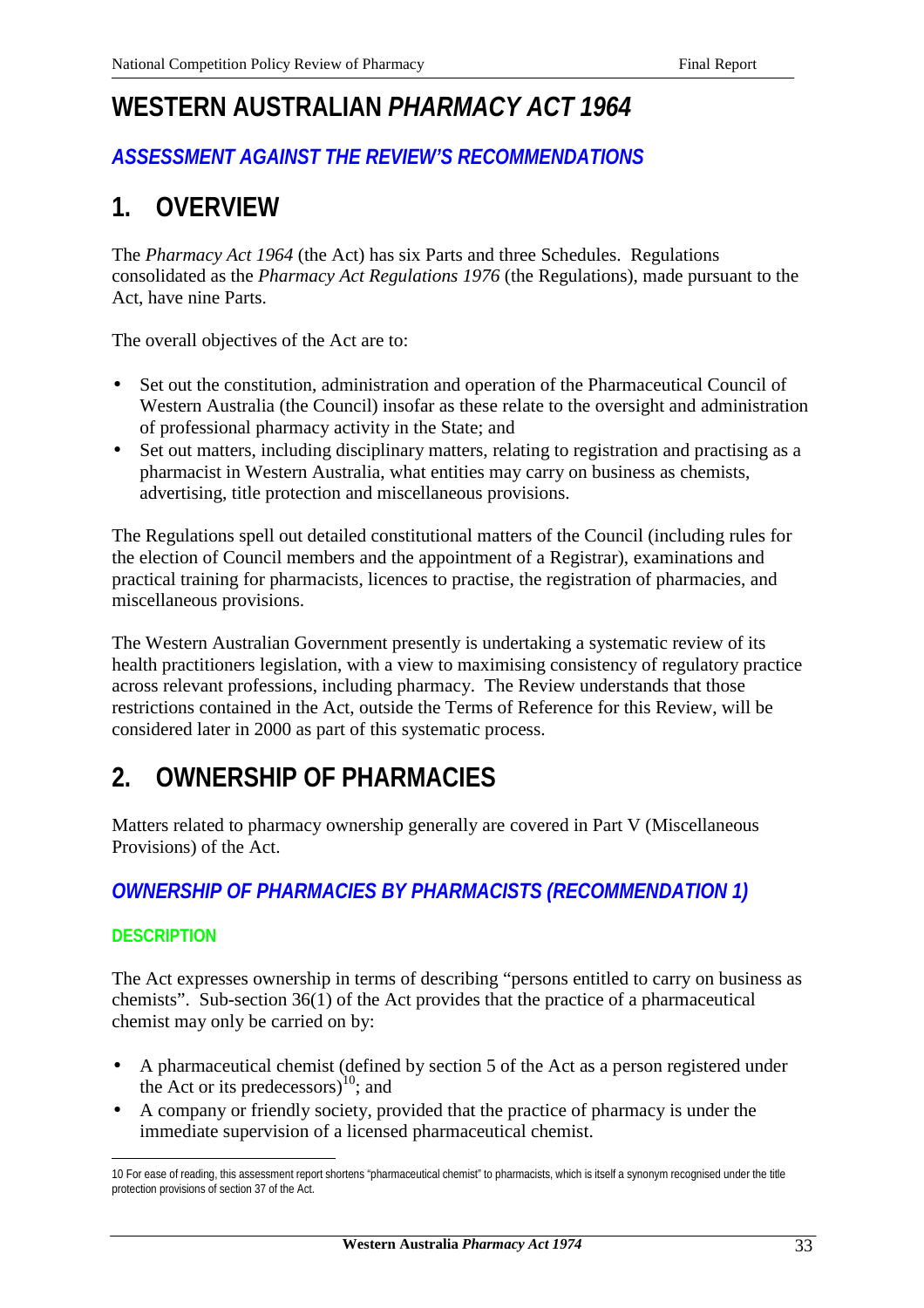# **WESTERN AUSTRALIAN** *PHARMACY ACT 1964*

# *ASSESSMENT AGAINST THE REVIEW'S RECOMMENDATIONS*

# **1. OVERVIEW**

The *Pharmacy Act 1964* (the Act) has six Parts and three Schedules. Regulations consolidated as the *Pharmacy Act Regulations 1976* (the Regulations), made pursuant to the Act, have nine Parts.

The overall objectives of the Act are to:

- Set out the constitution, administration and operation of the Pharmaceutical Council of Western Australia (the Council) insofar as these relate to the oversight and administration of professional pharmacy activity in the State; and
- Set out matters, including disciplinary matters, relating to registration and practising as a pharmacist in Western Australia, what entities may carry on business as chemists, advertising, title protection and miscellaneous provisions.

The Regulations spell out detailed constitutional matters of the Council (including rules for the election of Council members and the appointment of a Registrar), examinations and practical training for pharmacists, licences to practise, the registration of pharmacies, and miscellaneous provisions.

The Western Australian Government presently is undertaking a systematic review of its health practitioners legislation, with a view to maximising consistency of regulatory practice across relevant professions, including pharmacy. The Review understands that those restrictions contained in the Act, outside the Terms of Reference for this Review, will be considered later in 2000 as part of this systematic process.

# **2. OWNERSHIP OF PHARMACIES**

Matters related to pharmacy ownership generally are covered in Part V (Miscellaneous Provisions) of the Act.

# *OWNERSHIP OF PHARMACIES BY PHARMACISTS (RECOMMENDATION 1)*

# **DESCRIPTION**

The Act expresses ownership in terms of describing "persons entitled to carry on business as chemists". Sub-section 36(1) of the Act provides that the practice of a pharmaceutical chemist may only be carried on by:

- A pharmaceutical chemist (defined by section 5 of the Act as a person registered under the Act or its predecessors) $^{10}$ ; and
- A company or friendly society, provided that the practice of pharmacy is under the immediate supervision of a licensed pharmaceutical chemist.

 $\overline{a}$ 10 For ease of reading, this assessment report shortens "pharmaceutical chemist" to pharmacists, which is itself a synonym recognised under the title protection provisions of section 37 of the Act.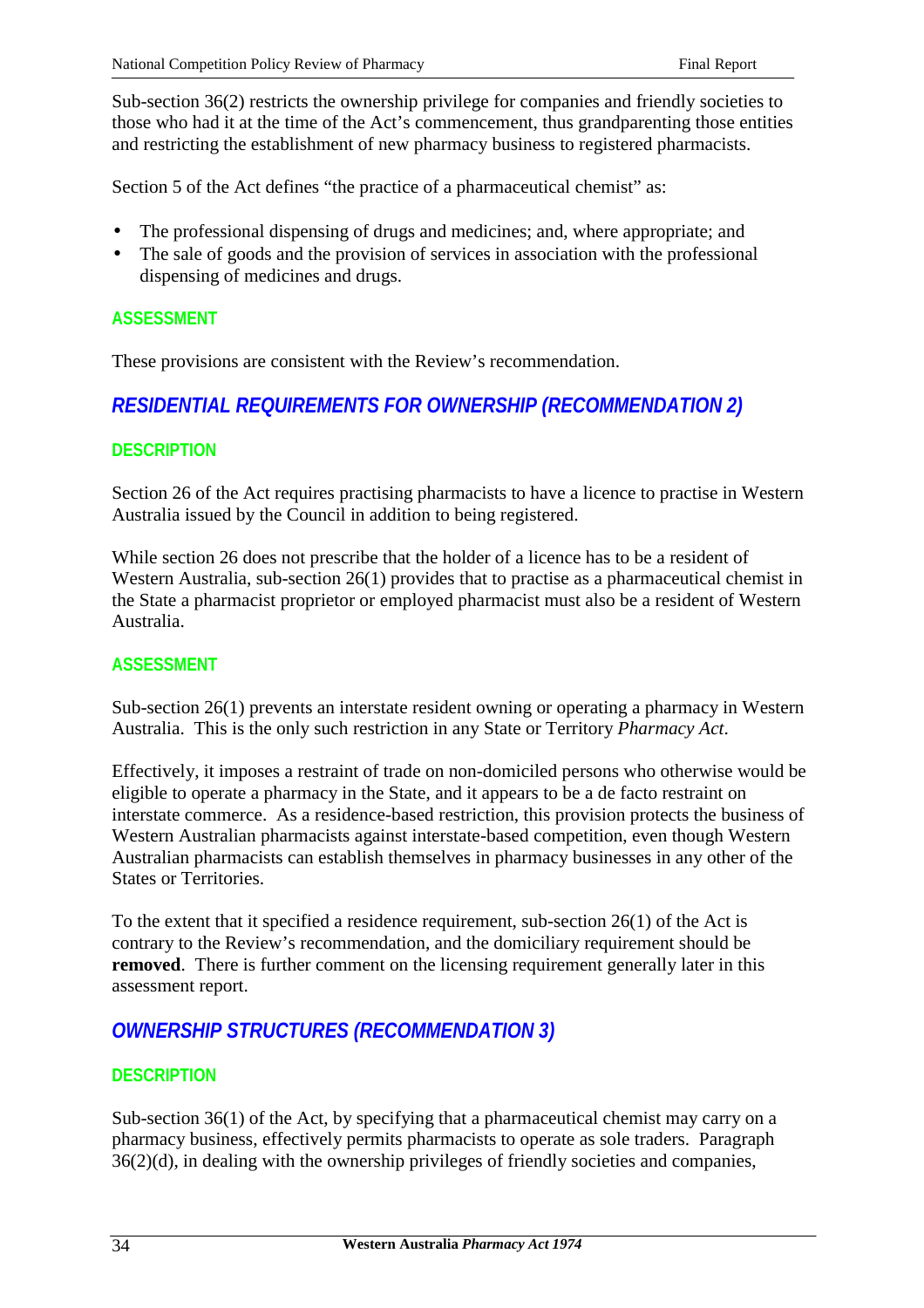Sub-section 36(2) restricts the ownership privilege for companies and friendly societies to those who had it at the time of the Act's commencement, thus grandparenting those entities and restricting the establishment of new pharmacy business to registered pharmacists.

Section 5 of the Act defines "the practice of a pharmaceutical chemist" as:

- The professional dispensing of drugs and medicines; and, where appropriate; and
- The sale of goods and the provision of services in association with the professional dispensing of medicines and drugs.

## **ASSESSMENT**

These provisions are consistent with the Review's recommendation.

# *RESIDENTIAL REQUIREMENTS FOR OWNERSHIP (RECOMMENDATION 2)*

## **DESCRIPTION**

Section 26 of the Act requires practising pharmacists to have a licence to practise in Western Australia issued by the Council in addition to being registered.

While section 26 does not prescribe that the holder of a licence has to be a resident of Western Australia, sub-section 26(1) provides that to practise as a pharmaceutical chemist in the State a pharmacist proprietor or employed pharmacist must also be a resident of Western Australia.

## **ASSESSMENT**

Sub-section 26(1) prevents an interstate resident owning or operating a pharmacy in Western Australia. This is the only such restriction in any State or Territory *Pharmacy Act*.

Effectively, it imposes a restraint of trade on non-domiciled persons who otherwise would be eligible to operate a pharmacy in the State, and it appears to be a de facto restraint on interstate commerce. As a residence-based restriction, this provision protects the business of Western Australian pharmacists against interstate-based competition, even though Western Australian pharmacists can establish themselves in pharmacy businesses in any other of the States or Territories.

To the extent that it specified a residence requirement, sub-section 26(1) of the Act is contrary to the Review's recommendation, and the domiciliary requirement should be **removed**. There is further comment on the licensing requirement generally later in this assessment report.

# *OWNERSHIP STRUCTURES (RECOMMENDATION 3)*

## **DESCRIPTION**

Sub-section 36(1) of the Act, by specifying that a pharmaceutical chemist may carry on a pharmacy business, effectively permits pharmacists to operate as sole traders. Paragraph 36(2)(d), in dealing with the ownership privileges of friendly societies and companies,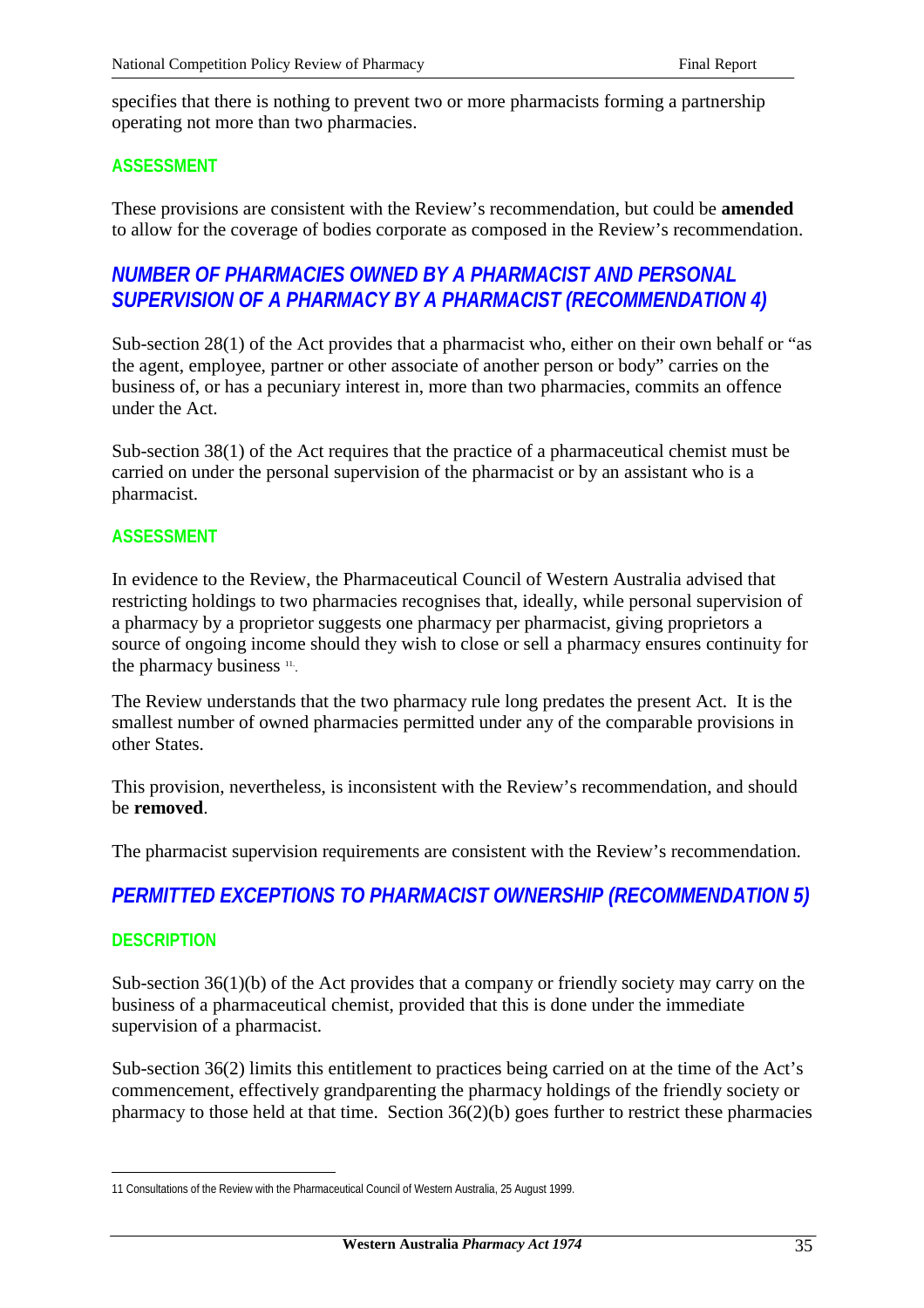specifies that there is nothing to prevent two or more pharmacists forming a partnership operating not more than two pharmacies.

### **ASSESSMENT**

These provisions are consistent with the Review's recommendation, but could be **amended** to allow for the coverage of bodies corporate as composed in the Review's recommendation.

# *NUMBER OF PHARMACIES OWNED BY A PHARMACIST AND PERSONAL SUPERVISION OF A PHARMACY BY A PHARMACIST (RECOMMENDATION 4)*

Sub-section 28(1) of the Act provides that a pharmacist who, either on their own behalf or "as the agent, employee, partner or other associate of another person or body" carries on the business of, or has a pecuniary interest in, more than two pharmacies, commits an offence under the Act.

Sub-section 38(1) of the Act requires that the practice of a pharmaceutical chemist must be carried on under the personal supervision of the pharmacist or by an assistant who is a pharmacist.

#### **ASSESSMENT**

In evidence to the Review, the Pharmaceutical Council of Western Australia advised that restricting holdings to two pharmacies recognises that, ideally, while personal supervision of a pharmacy by a proprietor suggests one pharmacy per pharmacist, giving proprietors a source of ongoing income should they wish to close or sell a pharmacy ensures continuity for the pharmacy business <sup>11</sup>.

The Review understands that the two pharmacy rule long predates the present Act. It is the smallest number of owned pharmacies permitted under any of the comparable provisions in other States.

This provision, nevertheless, is inconsistent with the Review's recommendation, and should be **removed**.

The pharmacist supervision requirements are consistent with the Review's recommendation.

# *PERMITTED EXCEPTIONS TO PHARMACIST OWNERSHIP (RECOMMENDATION 5)*

#### **DESCRIPTION**

 $\overline{a}$ 

Sub-section 36(1)(b) of the Act provides that a company or friendly society may carry on the business of a pharmaceutical chemist, provided that this is done under the immediate supervision of a pharmacist.

Sub-section 36(2) limits this entitlement to practices being carried on at the time of the Act's commencement, effectively grandparenting the pharmacy holdings of the friendly society or pharmacy to those held at that time. Section  $36(2)(b)$  goes further to restrict these pharmacies

<sup>11</sup> Consultations of the Review with the Pharmaceutical Council of Western Australia, 25 August 1999.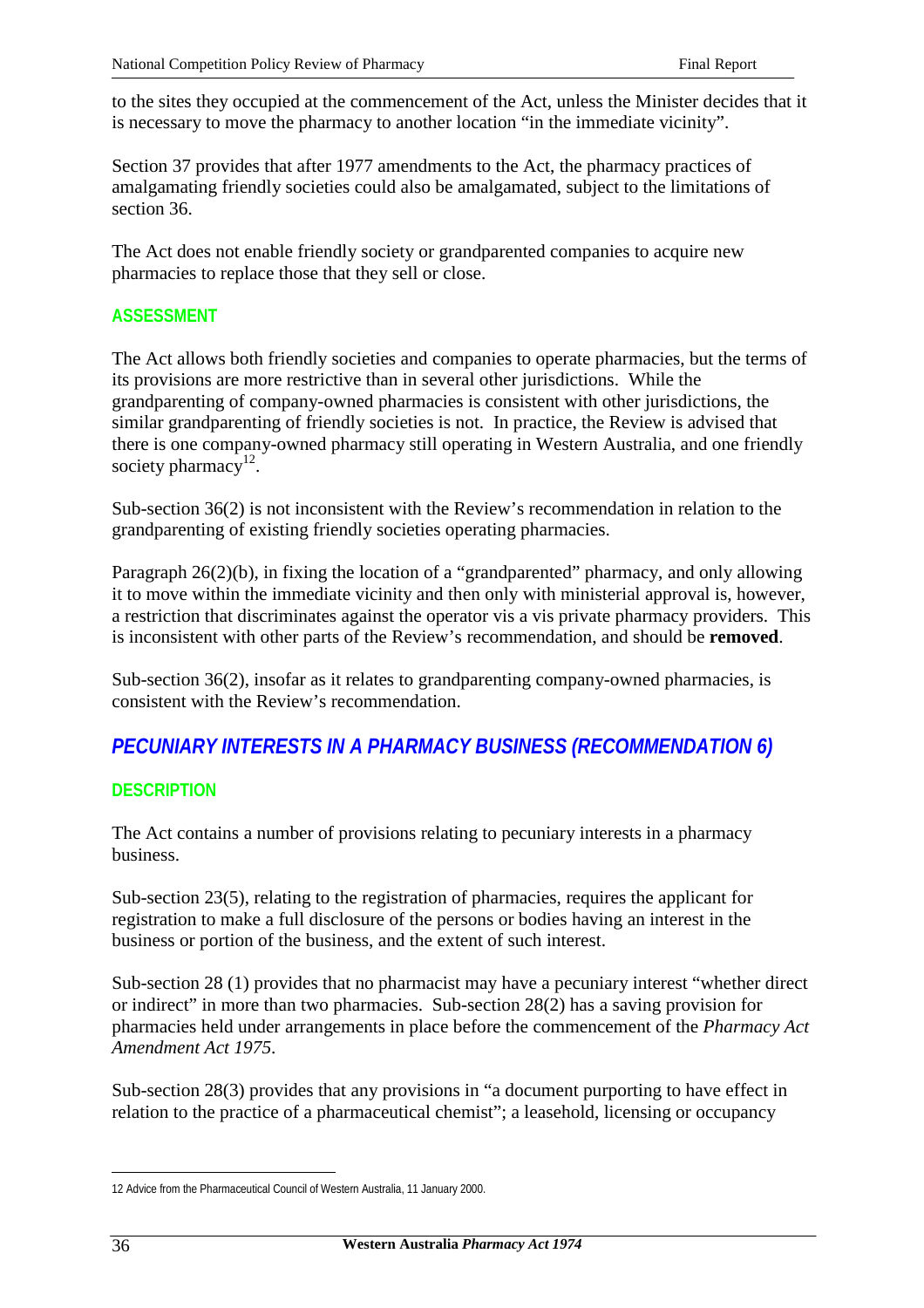to the sites they occupied at the commencement of the Act, unless the Minister decides that it is necessary to move the pharmacy to another location "in the immediate vicinity".

Section 37 provides that after 1977 amendments to the Act, the pharmacy practices of amalgamating friendly societies could also be amalgamated, subject to the limitations of section 36.

The Act does not enable friendly society or grandparented companies to acquire new pharmacies to replace those that they sell or close.

## **ASSESSMENT**

The Act allows both friendly societies and companies to operate pharmacies, but the terms of its provisions are more restrictive than in several other jurisdictions. While the grandparenting of company-owned pharmacies is consistent with other jurisdictions, the similar grandparenting of friendly societies is not. In practice, the Review is advised that there is one company-owned pharmacy still operating in Western Australia, and one friendly society pharmacy<sup>12</sup>.

Sub-section 36(2) is not inconsistent with the Review's recommendation in relation to the grandparenting of existing friendly societies operating pharmacies.

Paragraph 26(2)(b), in fixing the location of a "grandparented" pharmacy, and only allowing it to move within the immediate vicinity and then only with ministerial approval is, however, a restriction that discriminates against the operator vis a vis private pharmacy providers. This is inconsistent with other parts of the Review's recommendation, and should be **removed**.

Sub-section 36(2), insofar as it relates to grandparenting company-owned pharmacies, is consistent with the Review's recommendation.

# *PECUNIARY INTERESTS IN A PHARMACY BUSINESS (RECOMMENDATION 6)*

## **DESCRIPTION**

The Act contains a number of provisions relating to pecuniary interests in a pharmacy business.

Sub-section 23(5), relating to the registration of pharmacies, requires the applicant for registration to make a full disclosure of the persons or bodies having an interest in the business or portion of the business, and the extent of such interest.

Sub-section 28 (1) provides that no pharmacist may have a pecuniary interest "whether direct or indirect" in more than two pharmacies. Sub-section 28(2) has a saving provision for pharmacies held under arrangements in place before the commencement of the *Pharmacy Act Amendment Act 1975*.

Sub-section 28(3) provides that any provisions in "a document purporting to have effect in relation to the practice of a pharmaceutical chemist"; a leasehold, licensing or occupancy

 $\overline{a}$ 12 Advice from the Pharmaceutical Council of Western Australia, 11 January 2000.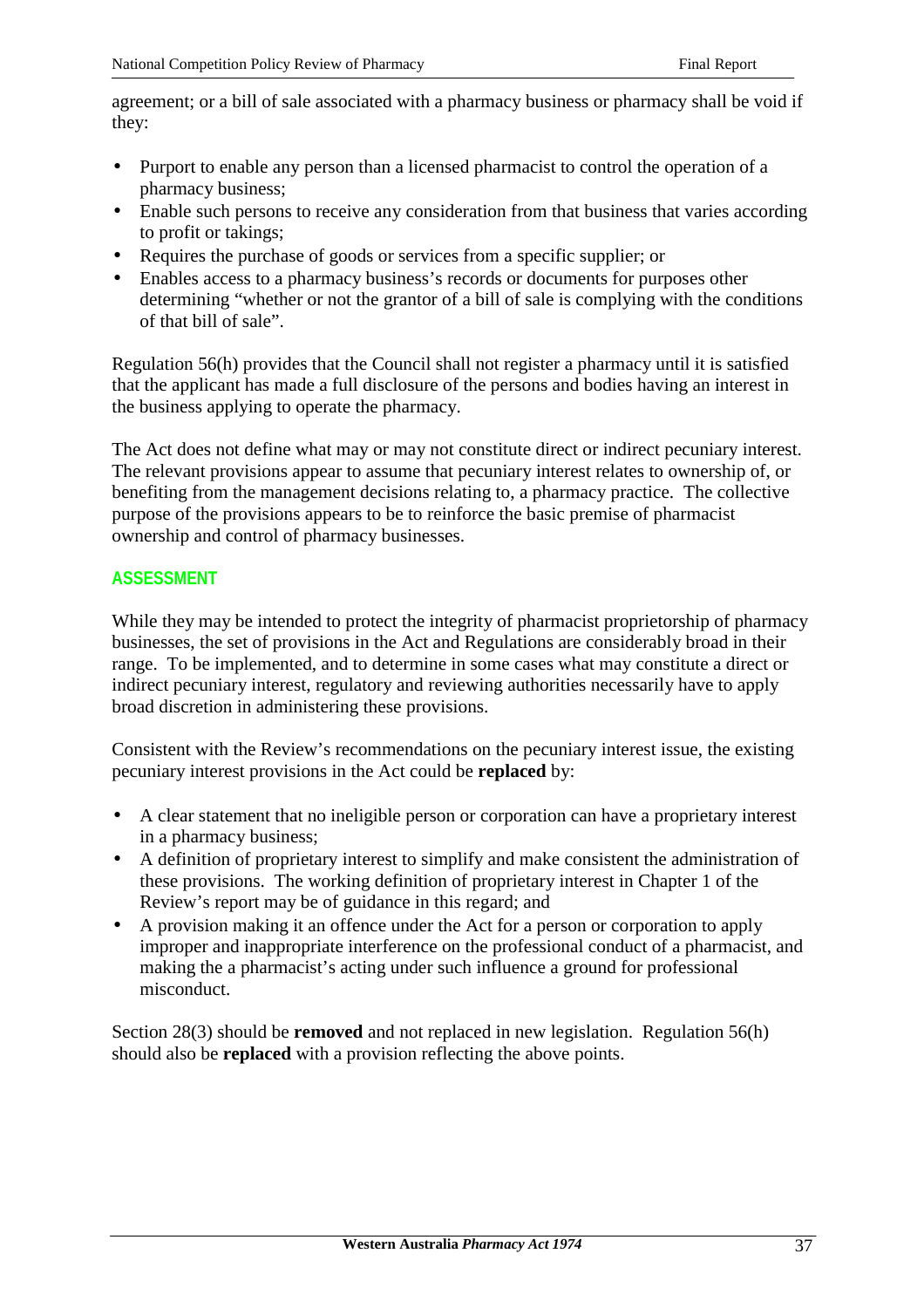agreement; or a bill of sale associated with a pharmacy business or pharmacy shall be void if they:

- Purport to enable any person than a licensed pharmacist to control the operation of a pharmacy business;
- Enable such persons to receive any consideration from that business that varies according to profit or takings;
- Requires the purchase of goods or services from a specific supplier; or
- Enables access to a pharmacy business's records or documents for purposes other determining "whether or not the grantor of a bill of sale is complying with the conditions of that bill of sale".

Regulation 56(h) provides that the Council shall not register a pharmacy until it is satisfied that the applicant has made a full disclosure of the persons and bodies having an interest in the business applying to operate the pharmacy.

The Act does not define what may or may not constitute direct or indirect pecuniary interest. The relevant provisions appear to assume that pecuniary interest relates to ownership of, or benefiting from the management decisions relating to, a pharmacy practice. The collective purpose of the provisions appears to be to reinforce the basic premise of pharmacist ownership and control of pharmacy businesses.

### **ASSESSMENT**

While they may be intended to protect the integrity of pharmacist proprietorship of pharmacy businesses, the set of provisions in the Act and Regulations are considerably broad in their range. To be implemented, and to determine in some cases what may constitute a direct or indirect pecuniary interest, regulatory and reviewing authorities necessarily have to apply broad discretion in administering these provisions.

Consistent with the Review's recommendations on the pecuniary interest issue, the existing pecuniary interest provisions in the Act could be **replaced** by:

- A clear statement that no ineligible person or corporation can have a proprietary interest in a pharmacy business;
- A definition of proprietary interest to simplify and make consistent the administration of these provisions. The working definition of proprietary interest in Chapter 1 of the Review's report may be of guidance in this regard; and
- A provision making it an offence under the Act for a person or corporation to apply improper and inappropriate interference on the professional conduct of a pharmacist, and making the a pharmacist's acting under such influence a ground for professional misconduct.

Section 28(3) should be **removed** and not replaced in new legislation. Regulation 56(h) should also be **replaced** with a provision reflecting the above points.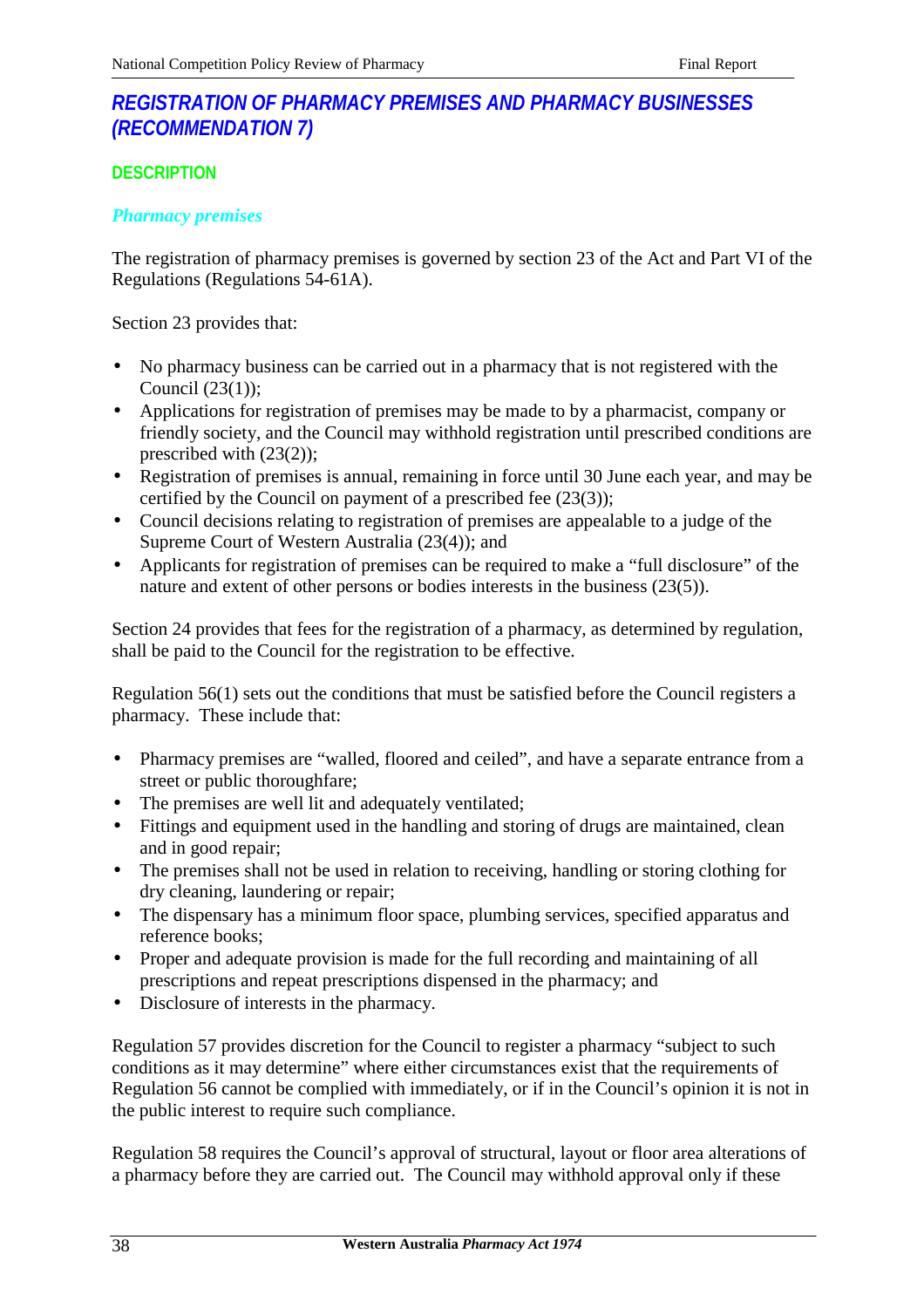# *REGISTRATION OF PHARMACY PREMISES AND PHARMACY BUSINESSES (RECOMMENDATION 7)*

## **DESCRIPTION**

## *Pharmacy premises*

The registration of pharmacy premises is governed by section 23 of the Act and Part VI of the Regulations (Regulations 54-61A).

Section 23 provides that:

- No pharmacy business can be carried out in a pharmacy that is not registered with the Council (23(1));
- Applications for registration of premises may be made to by a pharmacist, company or friendly society, and the Council may withhold registration until prescribed conditions are prescribed with (23(2));
- Registration of premises is annual, remaining in force until 30 June each year, and may be certified by the Council on payment of a prescribed fee (23(3));
- Council decisions relating to registration of premises are appealable to a judge of the Supreme Court of Western Australia (23(4)); and
- Applicants for registration of premises can be required to make a "full disclosure" of the nature and extent of other persons or bodies interests in the business (23(5)).

Section 24 provides that fees for the registration of a pharmacy, as determined by regulation, shall be paid to the Council for the registration to be effective.

Regulation 56(1) sets out the conditions that must be satisfied before the Council registers a pharmacy. These include that:

- Pharmacy premises are "walled, floored and ceiled", and have a separate entrance from a street or public thoroughfare;
- The premises are well lit and adequately ventilated;
- Fittings and equipment used in the handling and storing of drugs are maintained, clean and in good repair;
- The premises shall not be used in relation to receiving, handling or storing clothing for dry cleaning, laundering or repair;
- The dispensary has a minimum floor space, plumbing services, specified apparatus and reference books;
- Proper and adequate provision is made for the full recording and maintaining of all prescriptions and repeat prescriptions dispensed in the pharmacy; and
- Disclosure of interests in the pharmacy.

Regulation 57 provides discretion for the Council to register a pharmacy "subject to such conditions as it may determine" where either circumstances exist that the requirements of Regulation 56 cannot be complied with immediately, or if in the Council's opinion it is not in the public interest to require such compliance.

Regulation 58 requires the Council's approval of structural, layout or floor area alterations of a pharmacy before they are carried out. The Council may withhold approval only if these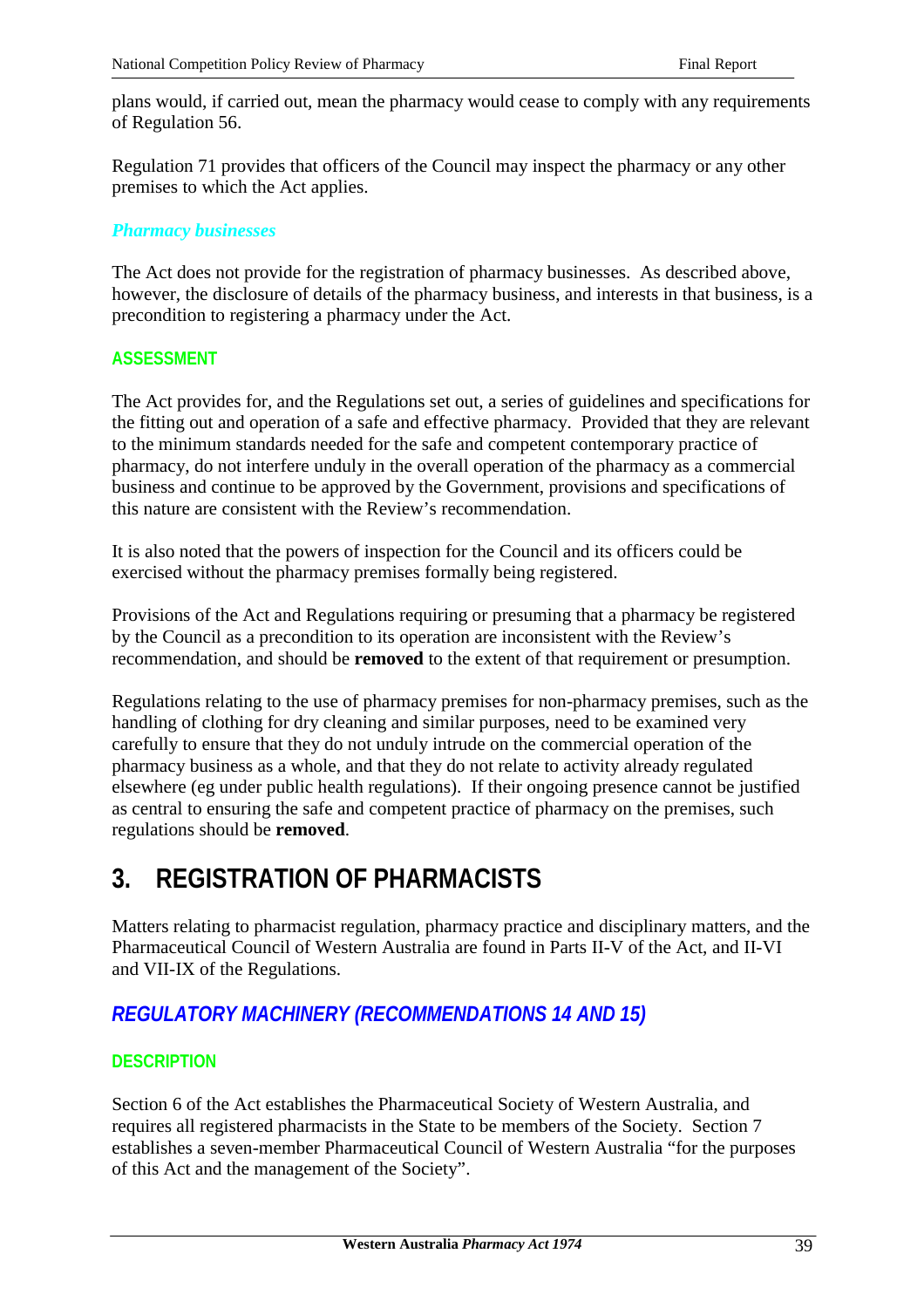plans would, if carried out, mean the pharmacy would cease to comply with any requirements of Regulation 56.

Regulation 71 provides that officers of the Council may inspect the pharmacy or any other premises to which the Act applies.

### *Pharmacy businesses*

The Act does not provide for the registration of pharmacy businesses. As described above, however, the disclosure of details of the pharmacy business, and interests in that business, is a precondition to registering a pharmacy under the Act.

## **ASSESSMENT**

The Act provides for, and the Regulations set out, a series of guidelines and specifications for the fitting out and operation of a safe and effective pharmacy. Provided that they are relevant to the minimum standards needed for the safe and competent contemporary practice of pharmacy, do not interfere unduly in the overall operation of the pharmacy as a commercial business and continue to be approved by the Government, provisions and specifications of this nature are consistent with the Review's recommendation.

It is also noted that the powers of inspection for the Council and its officers could be exercised without the pharmacy premises formally being registered.

Provisions of the Act and Regulations requiring or presuming that a pharmacy be registered by the Council as a precondition to its operation are inconsistent with the Review's recommendation, and should be **removed** to the extent of that requirement or presumption.

Regulations relating to the use of pharmacy premises for non-pharmacy premises, such as the handling of clothing for dry cleaning and similar purposes, need to be examined very carefully to ensure that they do not unduly intrude on the commercial operation of the pharmacy business as a whole, and that they do not relate to activity already regulated elsewhere (eg under public health regulations). If their ongoing presence cannot be justified as central to ensuring the safe and competent practice of pharmacy on the premises, such regulations should be **removed**.

# **3. REGISTRATION OF PHARMACISTS**

Matters relating to pharmacist regulation, pharmacy practice and disciplinary matters, and the Pharmaceutical Council of Western Australia are found in Parts II-V of the Act, and II-VI and VII-IX of the Regulations.

# *REGULATORY MACHINERY (RECOMMENDATIONS 14 AND 15)*

## **DESCRIPTION**

Section 6 of the Act establishes the Pharmaceutical Society of Western Australia, and requires all registered pharmacists in the State to be members of the Society. Section 7 establishes a seven-member Pharmaceutical Council of Western Australia "for the purposes of this Act and the management of the Society".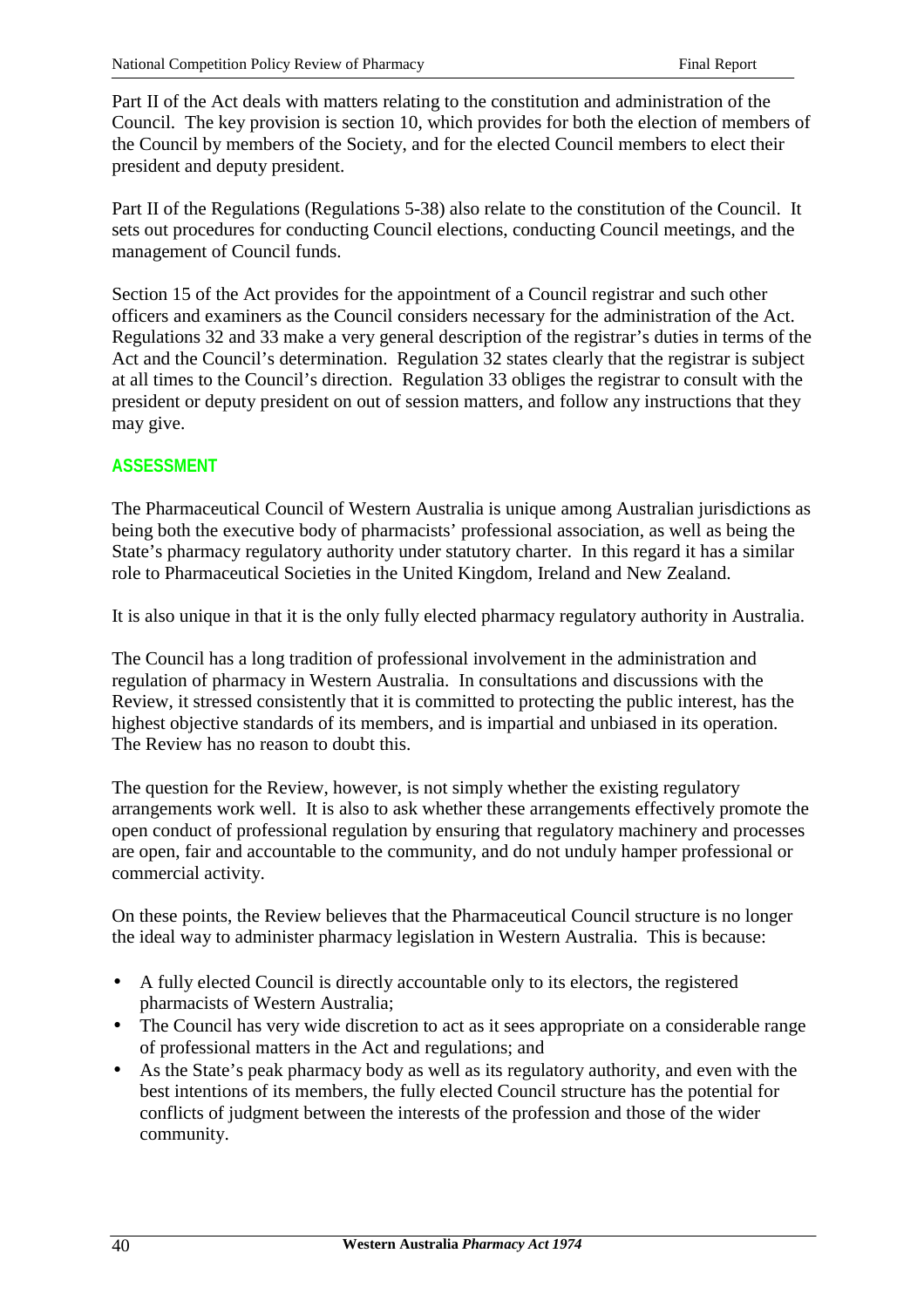Part II of the Act deals with matters relating to the constitution and administration of the Council. The key provision is section 10, which provides for both the election of members of the Council by members of the Society, and for the elected Council members to elect their president and deputy president.

Part II of the Regulations (Regulations 5-38) also relate to the constitution of the Council. It sets out procedures for conducting Council elections, conducting Council meetings, and the management of Council funds.

Section 15 of the Act provides for the appointment of a Council registrar and such other officers and examiners as the Council considers necessary for the administration of the Act. Regulations 32 and 33 make a very general description of the registrar's duties in terms of the Act and the Council's determination. Regulation 32 states clearly that the registrar is subject at all times to the Council's direction. Regulation 33 obliges the registrar to consult with the president or deputy president on out of session matters, and follow any instructions that they may give.

## **ASSESSMENT**

The Pharmaceutical Council of Western Australia is unique among Australian jurisdictions as being both the executive body of pharmacists' professional association, as well as being the State's pharmacy regulatory authority under statutory charter. In this regard it has a similar role to Pharmaceutical Societies in the United Kingdom, Ireland and New Zealand.

It is also unique in that it is the only fully elected pharmacy regulatory authority in Australia.

The Council has a long tradition of professional involvement in the administration and regulation of pharmacy in Western Australia. In consultations and discussions with the Review, it stressed consistently that it is committed to protecting the public interest, has the highest objective standards of its members, and is impartial and unbiased in its operation. The Review has no reason to doubt this.

The question for the Review, however, is not simply whether the existing regulatory arrangements work well. It is also to ask whether these arrangements effectively promote the open conduct of professional regulation by ensuring that regulatory machinery and processes are open, fair and accountable to the community, and do not unduly hamper professional or commercial activity.

On these points, the Review believes that the Pharmaceutical Council structure is no longer the ideal way to administer pharmacy legislation in Western Australia. This is because:

- A fully elected Council is directly accountable only to its electors, the registered pharmacists of Western Australia;
- The Council has very wide discretion to act as it sees appropriate on a considerable range of professional matters in the Act and regulations; and
- As the State's peak pharmacy body as well as its regulatory authority, and even with the best intentions of its members, the fully elected Council structure has the potential for conflicts of judgment between the interests of the profession and those of the wider community.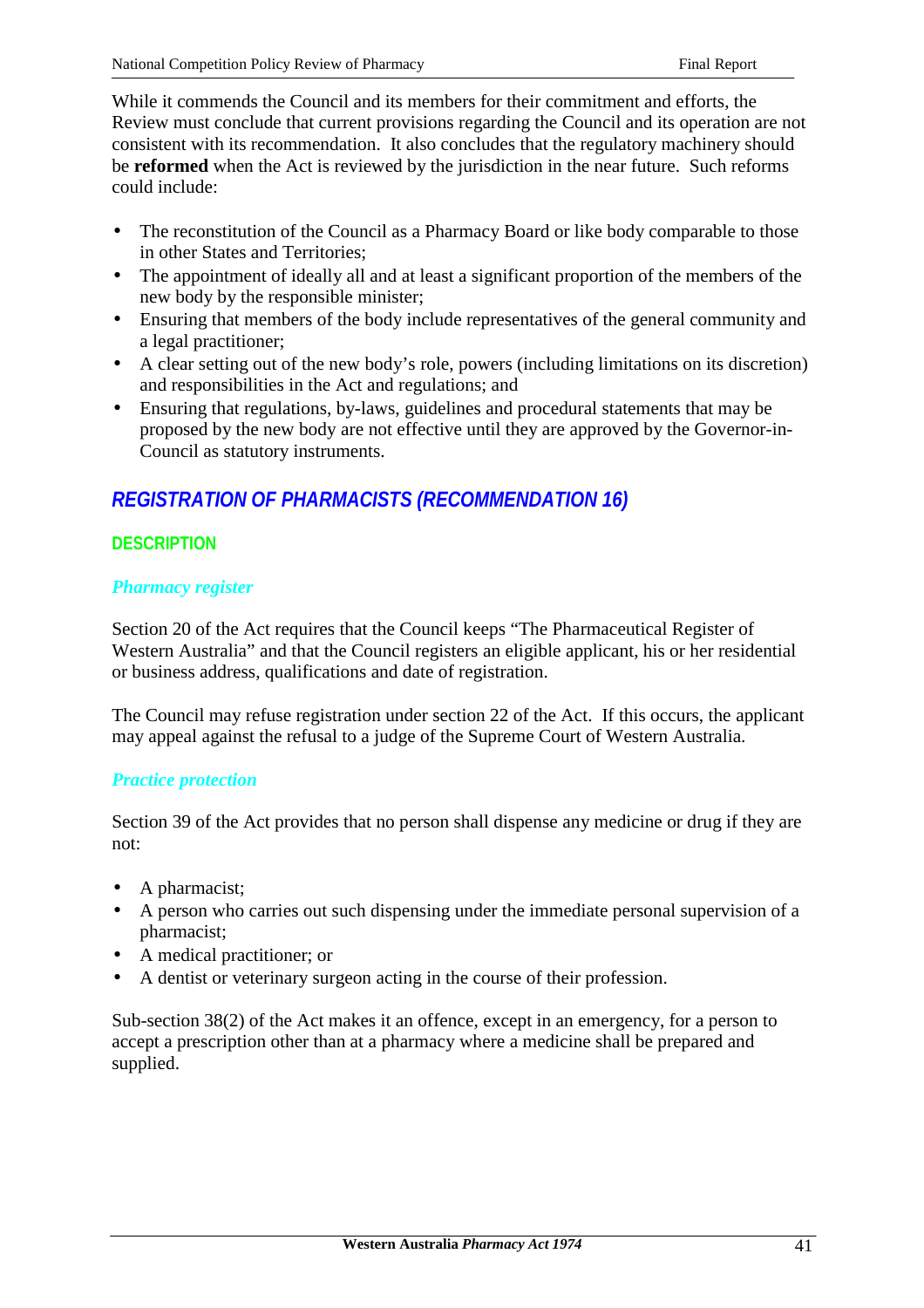While it commends the Council and its members for their commitment and efforts, the Review must conclude that current provisions regarding the Council and its operation are not consistent with its recommendation. It also concludes that the regulatory machinery should be **reformed** when the Act is reviewed by the jurisdiction in the near future. Such reforms could include:

- The reconstitution of the Council as a Pharmacy Board or like body comparable to those in other States and Territories;
- The appointment of ideally all and at least a significant proportion of the members of the new body by the responsible minister;
- Ensuring that members of the body include representatives of the general community and a legal practitioner;
- A clear setting out of the new body's role, powers (including limitations on its discretion) and responsibilities in the Act and regulations; and
- Ensuring that regulations, by-laws, guidelines and procedural statements that may be proposed by the new body are not effective until they are approved by the Governor-in-Council as statutory instruments.

# *REGISTRATION OF PHARMACISTS (RECOMMENDATION 16)*

## **DESCRIPTION**

## *Pharmacy register*

Section 20 of the Act requires that the Council keeps "The Pharmaceutical Register of Western Australia" and that the Council registers an eligible applicant, his or her residential or business address, qualifications and date of registration.

The Council may refuse registration under section 22 of the Act. If this occurs, the applicant may appeal against the refusal to a judge of the Supreme Court of Western Australia.

## *Practice protection*

Section 39 of the Act provides that no person shall dispense any medicine or drug if they are not:

- A pharmacist;
- A person who carries out such dispensing under the immediate personal supervision of a pharmacist;
- A medical practitioner; or
- A dentist or veterinary surgeon acting in the course of their profession.

Sub-section 38(2) of the Act makes it an offence, except in an emergency, for a person to accept a prescription other than at a pharmacy where a medicine shall be prepared and supplied.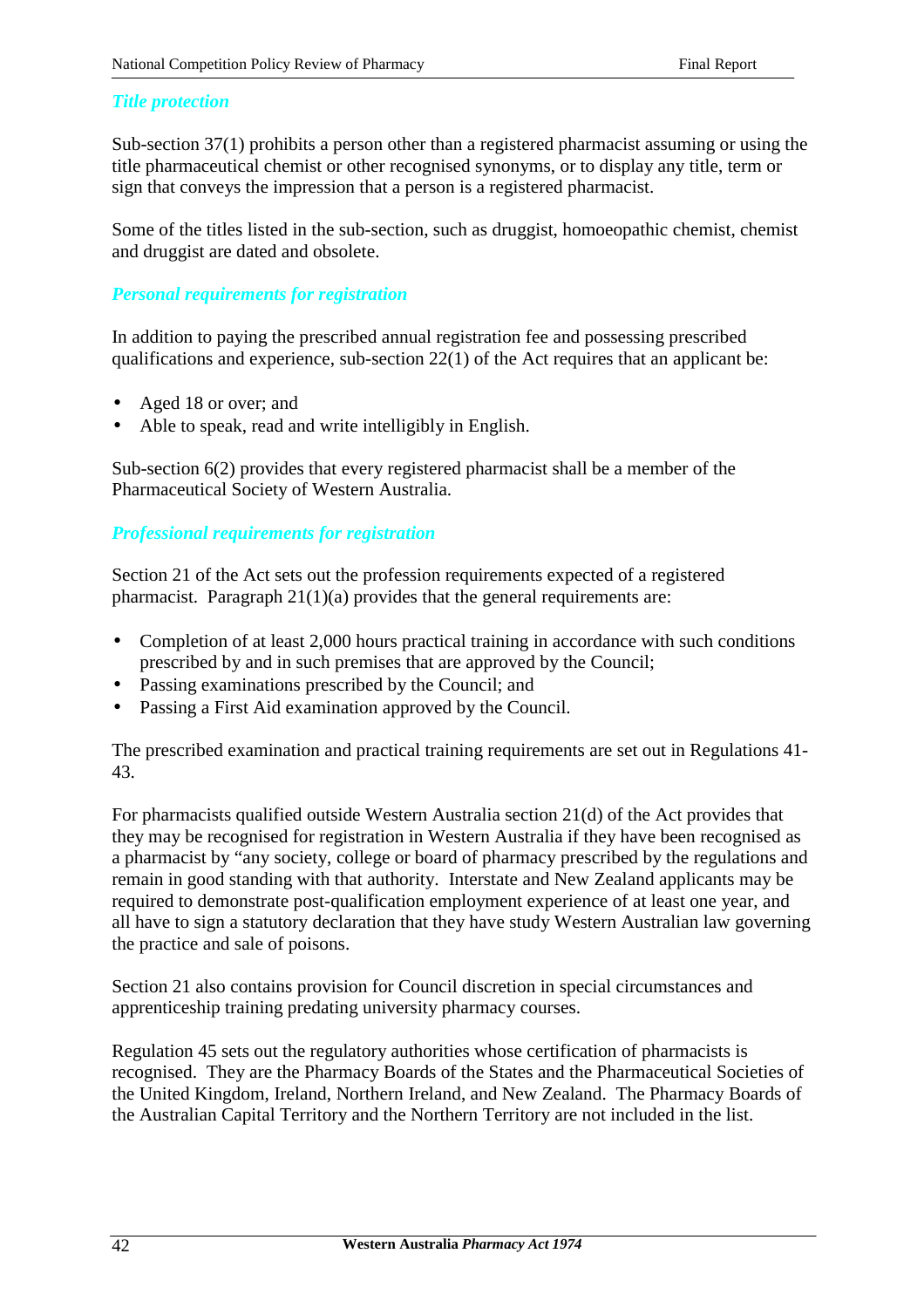### *Title protection*

Sub-section 37(1) prohibits a person other than a registered pharmacist assuming or using the title pharmaceutical chemist or other recognised synonyms, or to display any title, term or sign that conveys the impression that a person is a registered pharmacist.

Some of the titles listed in the sub-section, such as druggist, homoeopathic chemist, chemist and druggist are dated and obsolete.

### *Personal requirements for registration*

In addition to paying the prescribed annual registration fee and possessing prescribed qualifications and experience, sub-section 22(1) of the Act requires that an applicant be:

- Aged 18 or over; and
- Able to speak, read and write intelligibly in English.

Sub-section 6(2) provides that every registered pharmacist shall be a member of the Pharmaceutical Society of Western Australia.

### *Professional requirements for registration*

Section 21 of the Act sets out the profession requirements expected of a registered pharmacist. Paragraph 21(1)(a) provides that the general requirements are:

- Completion of at least 2,000 hours practical training in accordance with such conditions prescribed by and in such premises that are approved by the Council;
- Passing examinations prescribed by the Council; and
- Passing a First Aid examination approved by the Council.

The prescribed examination and practical training requirements are set out in Regulations 41- 43.

For pharmacists qualified outside Western Australia section 21(d) of the Act provides that they may be recognised for registration in Western Australia if they have been recognised as a pharmacist by "any society, college or board of pharmacy prescribed by the regulations and remain in good standing with that authority. Interstate and New Zealand applicants may be required to demonstrate post-qualification employment experience of at least one year, and all have to sign a statutory declaration that they have study Western Australian law governing the practice and sale of poisons.

Section 21 also contains provision for Council discretion in special circumstances and apprenticeship training predating university pharmacy courses.

Regulation 45 sets out the regulatory authorities whose certification of pharmacists is recognised. They are the Pharmacy Boards of the States and the Pharmaceutical Societies of the United Kingdom, Ireland, Northern Ireland, and New Zealand. The Pharmacy Boards of the Australian Capital Territory and the Northern Territory are not included in the list.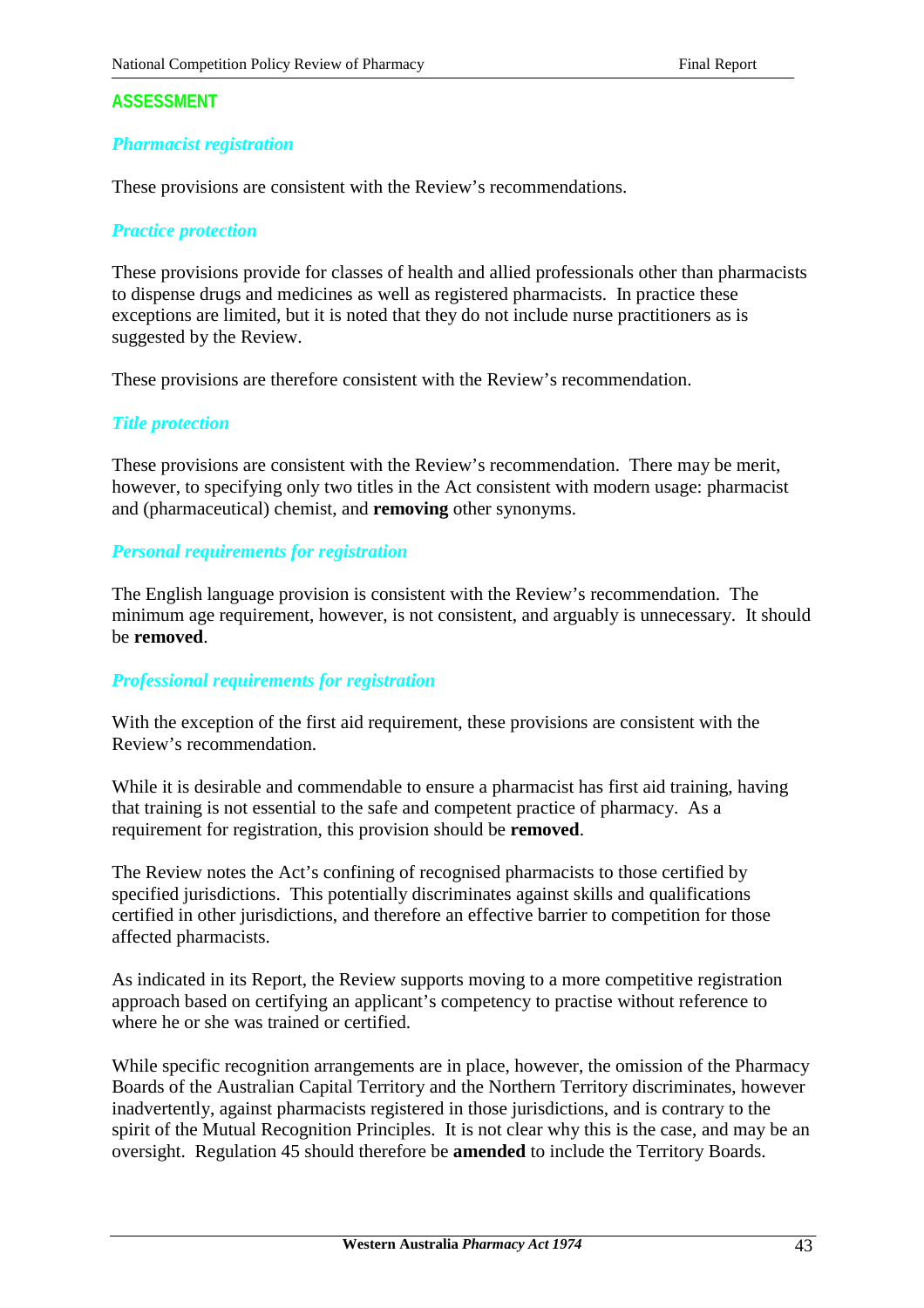#### *Pharmacist registration*

These provisions are consistent with the Review's recommendations.

#### *Practice protection*

These provisions provide for classes of health and allied professionals other than pharmacists to dispense drugs and medicines as well as registered pharmacists. In practice these exceptions are limited, but it is noted that they do not include nurse practitioners as is suggested by the Review.

These provisions are therefore consistent with the Review's recommendation.

#### *Title protection*

These provisions are consistent with the Review's recommendation. There may be merit, however, to specifying only two titles in the Act consistent with modern usage: pharmacist and (pharmaceutical) chemist, and **removing** other synonyms.

#### *Personal requirements for registration*

The English language provision is consistent with the Review's recommendation. The minimum age requirement, however, is not consistent, and arguably is unnecessary. It should be **removed**.

#### *Professional requirements for registration*

With the exception of the first aid requirement, these provisions are consistent with the Review's recommendation.

While it is desirable and commendable to ensure a pharmacist has first aid training, having that training is not essential to the safe and competent practice of pharmacy. As a requirement for registration, this provision should be **removed**.

The Review notes the Act's confining of recognised pharmacists to those certified by specified jurisdictions. This potentially discriminates against skills and qualifications certified in other jurisdictions, and therefore an effective barrier to competition for those affected pharmacists.

As indicated in its Report, the Review supports moving to a more competitive registration approach based on certifying an applicant's competency to practise without reference to where he or she was trained or certified.

While specific recognition arrangements are in place, however, the omission of the Pharmacy Boards of the Australian Capital Territory and the Northern Territory discriminates, however inadvertently, against pharmacists registered in those jurisdictions, and is contrary to the spirit of the Mutual Recognition Principles. It is not clear why this is the case, and may be an oversight. Regulation 45 should therefore be **amended** to include the Territory Boards.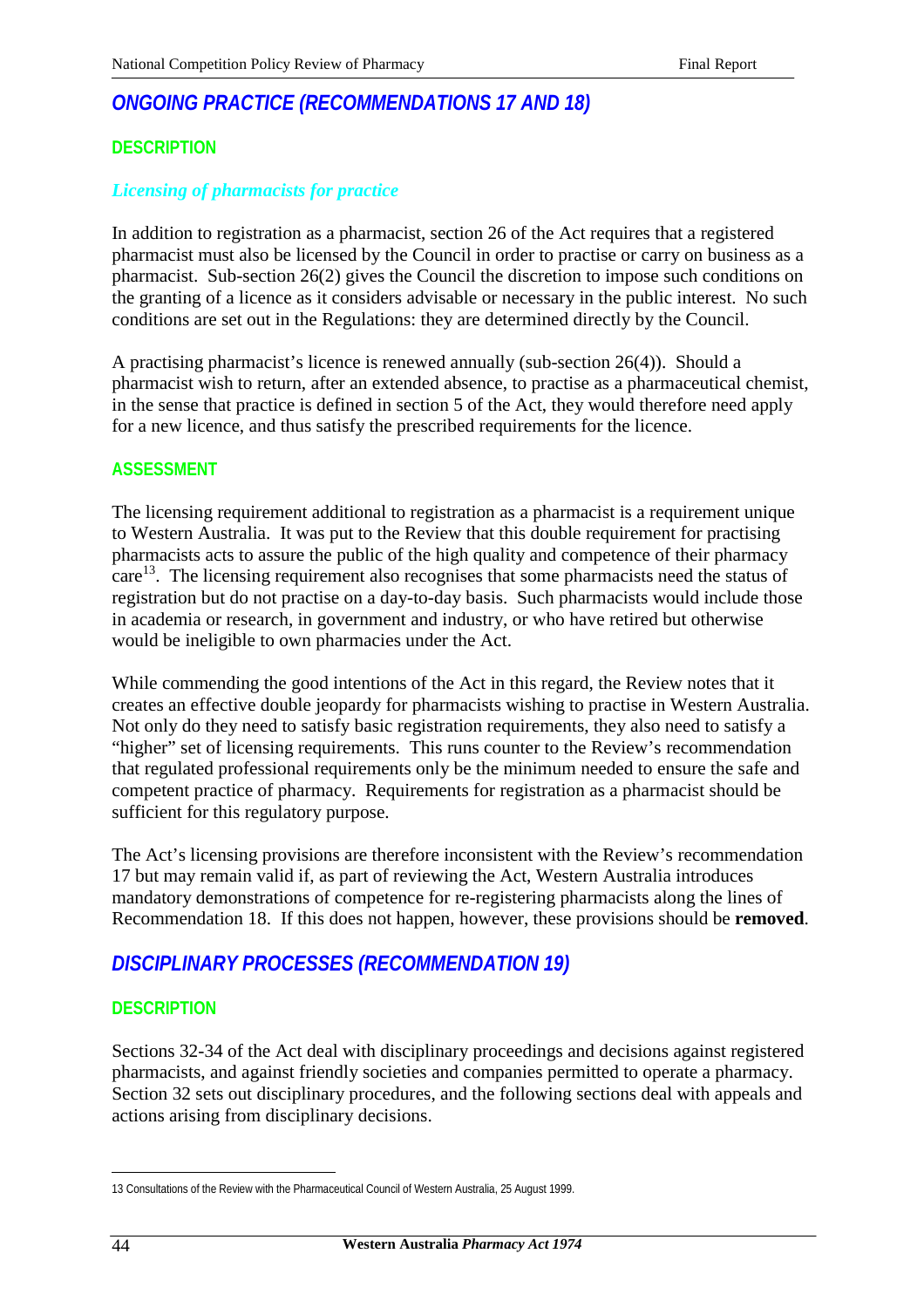## *ONGOING PRACTICE (RECOMMENDATIONS 17 AND 18)*

#### **DESCRIPTION**

#### *Licensing of pharmacists for practice*

In addition to registration as a pharmacist, section 26 of the Act requires that a registered pharmacist must also be licensed by the Council in order to practise or carry on business as a pharmacist. Sub-section 26(2) gives the Council the discretion to impose such conditions on the granting of a licence as it considers advisable or necessary in the public interest. No such conditions are set out in the Regulations: they are determined directly by the Council.

A practising pharmacist's licence is renewed annually (sub-section 26(4)). Should a pharmacist wish to return, after an extended absence, to practise as a pharmaceutical chemist, in the sense that practice is defined in section 5 of the Act, they would therefore need apply for a new licence, and thus satisfy the prescribed requirements for the licence.

#### **ASSESSMENT**

The licensing requirement additional to registration as a pharmacist is a requirement unique to Western Australia. It was put to the Review that this double requirement for practising pharmacists acts to assure the public of the high quality and competence of their pharmacy  $\arctan^{-13}$ . The licensing requirement also recognises that some pharmacists need the status of registration but do not practise on a day-to-day basis. Such pharmacists would include those in academia or research, in government and industry, or who have retired but otherwise would be ineligible to own pharmacies under the Act.

While commending the good intentions of the Act in this regard, the Review notes that it creates an effective double jeopardy for pharmacists wishing to practise in Western Australia. Not only do they need to satisfy basic registration requirements, they also need to satisfy a "higher" set of licensing requirements. This runs counter to the Review's recommendation that regulated professional requirements only be the minimum needed to ensure the safe and competent practice of pharmacy. Requirements for registration as a pharmacist should be sufficient for this regulatory purpose.

The Act's licensing provisions are therefore inconsistent with the Review's recommendation 17 but may remain valid if, as part of reviewing the Act, Western Australia introduces mandatory demonstrations of competence for re-registering pharmacists along the lines of Recommendation 18. If this does not happen, however, these provisions should be **removed**.

### *DISCIPLINARY PROCESSES (RECOMMENDATION 19)*

#### **DESCRIPTION**

Sections 32-34 of the Act deal with disciplinary proceedings and decisions against registered pharmacists, and against friendly societies and companies permitted to operate a pharmacy. Section 32 sets out disciplinary procedures, and the following sections deal with appeals and actions arising from disciplinary decisions.

 $\overline{a}$ 

<sup>13</sup> Consultations of the Review with the Pharmaceutical Council of Western Australia, 25 August 1999.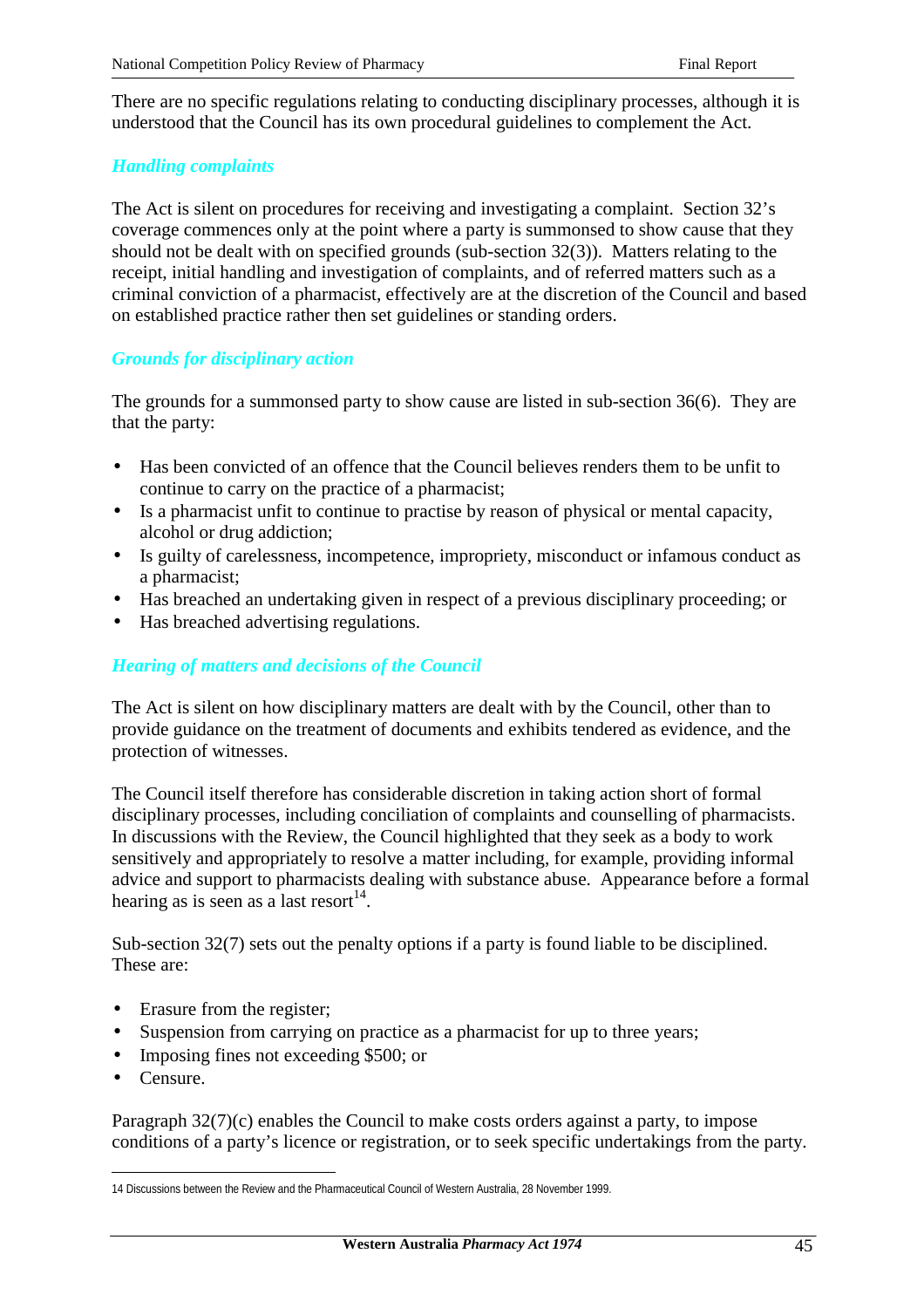There are no specific regulations relating to conducting disciplinary processes, although it is understood that the Council has its own procedural guidelines to complement the Act.

### *Handling complaints*

The Act is silent on procedures for receiving and investigating a complaint. Section 32's coverage commences only at the point where a party is summonsed to show cause that they should not be dealt with on specified grounds (sub-section 32(3)). Matters relating to the receipt, initial handling and investigation of complaints, and of referred matters such as a criminal conviction of a pharmacist, effectively are at the discretion of the Council and based on established practice rather then set guidelines or standing orders.

#### *Grounds for disciplinary action*

The grounds for a summonsed party to show cause are listed in sub-section 36(6). They are that the party:

- Has been convicted of an offence that the Council believes renders them to be unfit to continue to carry on the practice of a pharmacist;
- Is a pharmacist unfit to continue to practise by reason of physical or mental capacity, alcohol or drug addiction;
- Is guilty of carelessness, incompetence, impropriety, misconduct or infamous conduct as a pharmacist;
- Has breached an undertaking given in respect of a previous disciplinary proceeding; or
- Has breached advertising regulations.

### *Hearing of matters and decisions of the Council*

The Act is silent on how disciplinary matters are dealt with by the Council, other than to provide guidance on the treatment of documents and exhibits tendered as evidence, and the protection of witnesses.

The Council itself therefore has considerable discretion in taking action short of formal disciplinary processes, including conciliation of complaints and counselling of pharmacists. In discussions with the Review, the Council highlighted that they seek as a body to work sensitively and appropriately to resolve a matter including, for example, providing informal advice and support to pharmacists dealing with substance abuse. Appearance before a formal hearing as is seen as a last resort<sup>14</sup>.

Sub-section 32(7) sets out the penalty options if a party is found liable to be disciplined. These are:

- Erasure from the register;
- Suspension from carrying on practice as a pharmacist for up to three years;
- Imposing fines not exceeding \$500; or
- Censure.

 $\overline{a}$ 

Paragraph 32(7)(c) enables the Council to make costs orders against a party, to impose conditions of a party's licence or registration, or to seek specific undertakings from the party.

<sup>14</sup> Discussions between the Review and the Pharmaceutical Council of Western Australia, 28 November 1999.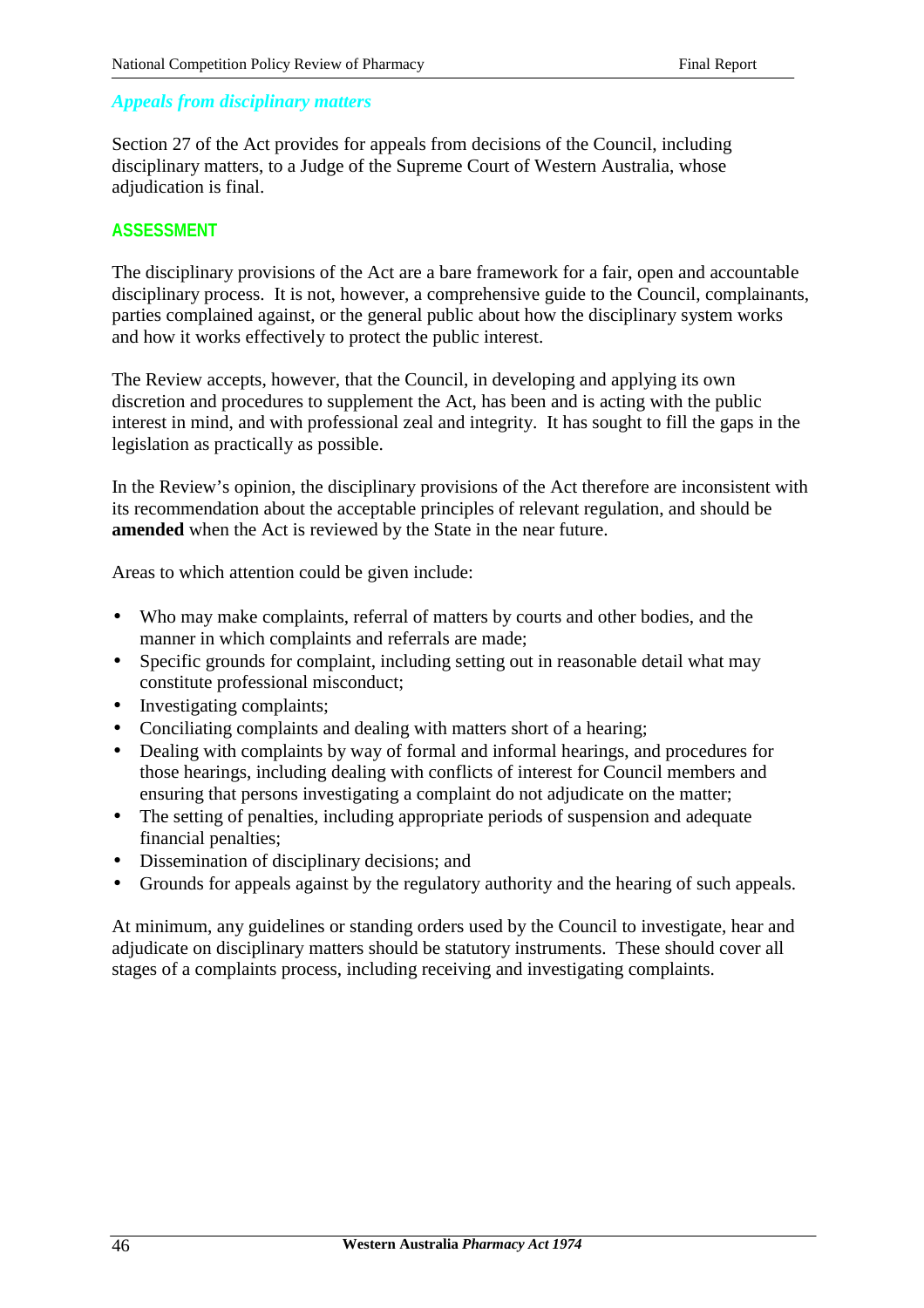### *Appeals from disciplinary matters*

Section 27 of the Act provides for appeals from decisions of the Council, including disciplinary matters, to a Judge of the Supreme Court of Western Australia, whose adjudication is final.

### **ASSESSMENT**

The disciplinary provisions of the Act are a bare framework for a fair, open and accountable disciplinary process. It is not, however, a comprehensive guide to the Council, complainants, parties complained against, or the general public about how the disciplinary system works and how it works effectively to protect the public interest.

The Review accepts, however, that the Council, in developing and applying its own discretion and procedures to supplement the Act, has been and is acting with the public interest in mind, and with professional zeal and integrity. It has sought to fill the gaps in the legislation as practically as possible.

In the Review's opinion, the disciplinary provisions of the Act therefore are inconsistent with its recommendation about the acceptable principles of relevant regulation, and should be **amended** when the Act is reviewed by the State in the near future.

Areas to which attention could be given include:

- Who may make complaints, referral of matters by courts and other bodies, and the manner in which complaints and referrals are made;
- Specific grounds for complaint, including setting out in reasonable detail what may constitute professional misconduct;
- Investigating complaints;
- Conciliating complaints and dealing with matters short of a hearing;
- Dealing with complaints by way of formal and informal hearings, and procedures for those hearings, including dealing with conflicts of interest for Council members and ensuring that persons investigating a complaint do not adjudicate on the matter;
- The setting of penalties, including appropriate periods of suspension and adequate financial penalties;
- Dissemination of disciplinary decisions; and
- Grounds for appeals against by the regulatory authority and the hearing of such appeals.

At minimum, any guidelines or standing orders used by the Council to investigate, hear and adjudicate on disciplinary matters should be statutory instruments. These should cover all stages of a complaints process, including receiving and investigating complaints.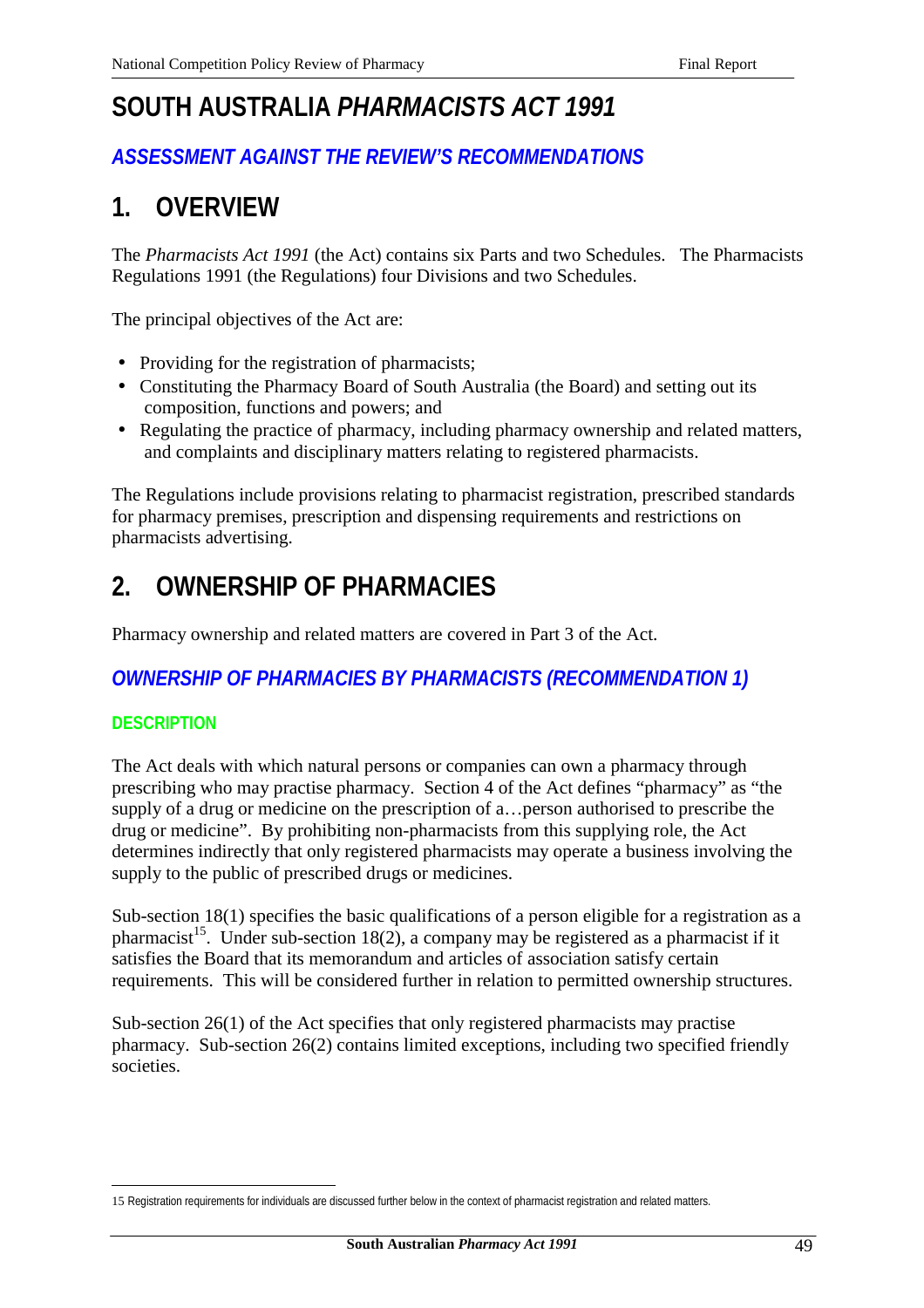# **SOUTH AUSTRALIA** *PHARMACISTS ACT 1991*

# *ASSESSMENT AGAINST THE REVIEW'S RECOMMENDATIONS*

# **1. OVERVIEW**

The *Pharmacists Act 1991* (the Act) contains six Parts and two Schedules. The Pharmacists Regulations 1991 (the Regulations) four Divisions and two Schedules.

The principal objectives of the Act are:

- Providing for the registration of pharmacists;
- Constituting the Pharmacy Board of South Australia (the Board) and setting out its composition, functions and powers; and
- Regulating the practice of pharmacy, including pharmacy ownership and related matters, and complaints and disciplinary matters relating to registered pharmacists.

The Regulations include provisions relating to pharmacist registration, prescribed standards for pharmacy premises, prescription and dispensing requirements and restrictions on pharmacists advertising.

# **2. OWNERSHIP OF PHARMACIES**

Pharmacy ownership and related matters are covered in Part 3 of the Act.

# *OWNERSHIP OF PHARMACIES BY PHARMACISTS (RECOMMENDATION 1)*

### **DESCRIPTION**

The Act deals with which natural persons or companies can own a pharmacy through prescribing who may practise pharmacy. Section 4 of the Act defines "pharmacy" as "the supply of a drug or medicine on the prescription of a…person authorised to prescribe the drug or medicine". By prohibiting non-pharmacists from this supplying role, the Act determines indirectly that only registered pharmacists may operate a business involving the supply to the public of prescribed drugs or medicines.

Sub-section 18(1) specifies the basic qualifications of a person eligible for a registration as a pharmacist<sup>15</sup>. Under sub-section 18(2), a company may be registered as a pharmacist if it satisfies the Board that its memorandum and articles of association satisfy certain requirements. This will be considered further in relation to permitted ownership structures.

Sub-section 26(1) of the Act specifies that only registered pharmacists may practise pharmacy. Sub-section 26(2) contains limited exceptions, including two specified friendly societies.

 $\overline{a}$ 15 Registration requirements for individuals are discussed further below in the context of pharmacist registration and related matters.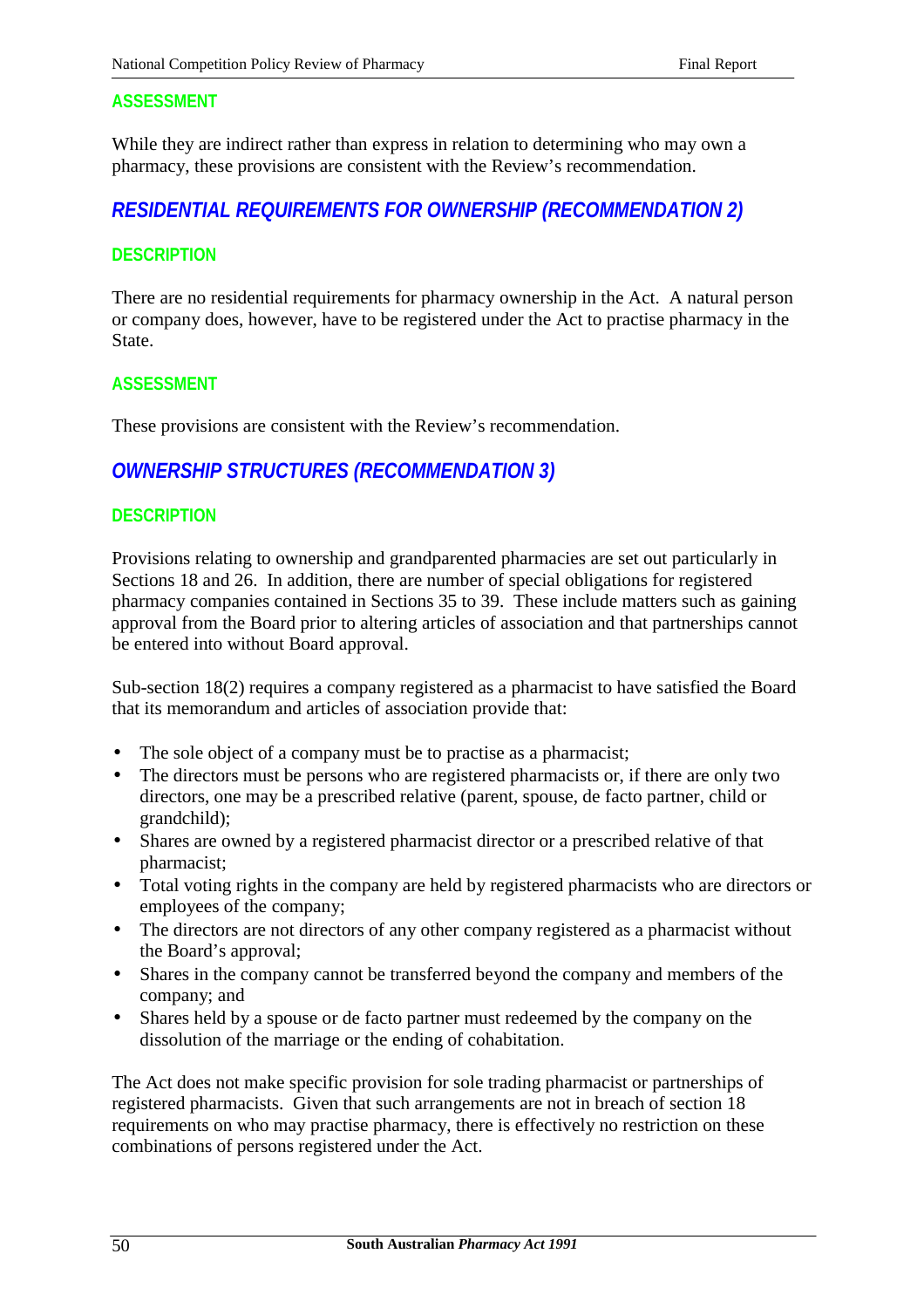While they are indirect rather than express in relation to determining who may own a pharmacy, these provisions are consistent with the Review's recommendation.

## *RESIDENTIAL REQUIREMENTS FOR OWNERSHIP (RECOMMENDATION 2)*

#### **DESCRIPTION**

There are no residential requirements for pharmacy ownership in the Act. A natural person or company does, however, have to be registered under the Act to practise pharmacy in the State.

#### **ASSESSMENT**

These provisions are consistent with the Review's recommendation.

# *OWNERSHIP STRUCTURES (RECOMMENDATION 3)*

#### **DESCRIPTION**

Provisions relating to ownership and grandparented pharmacies are set out particularly in Sections 18 and 26. In addition, there are number of special obligations for registered pharmacy companies contained in Sections 35 to 39. These include matters such as gaining approval from the Board prior to altering articles of association and that partnerships cannot be entered into without Board approval.

Sub-section 18(2) requires a company registered as a pharmacist to have satisfied the Board that its memorandum and articles of association provide that:

- The sole object of a company must be to practise as a pharmacist;
- The directors must be persons who are registered pharmacists or, if there are only two directors, one may be a prescribed relative (parent, spouse, de facto partner, child or grandchild);
- Shares are owned by a registered pharmacist director or a prescribed relative of that pharmacist;
- Total voting rights in the company are held by registered pharmacists who are directors or employees of the company;
- The directors are not directors of any other company registered as a pharmacist without the Board's approval;
- Shares in the company cannot be transferred beyond the company and members of the company; and
- Shares held by a spouse or de facto partner must redeemed by the company on the dissolution of the marriage or the ending of cohabitation.

The Act does not make specific provision for sole trading pharmacist or partnerships of registered pharmacists. Given that such arrangements are not in breach of section 18 requirements on who may practise pharmacy, there is effectively no restriction on these combinations of persons registered under the Act.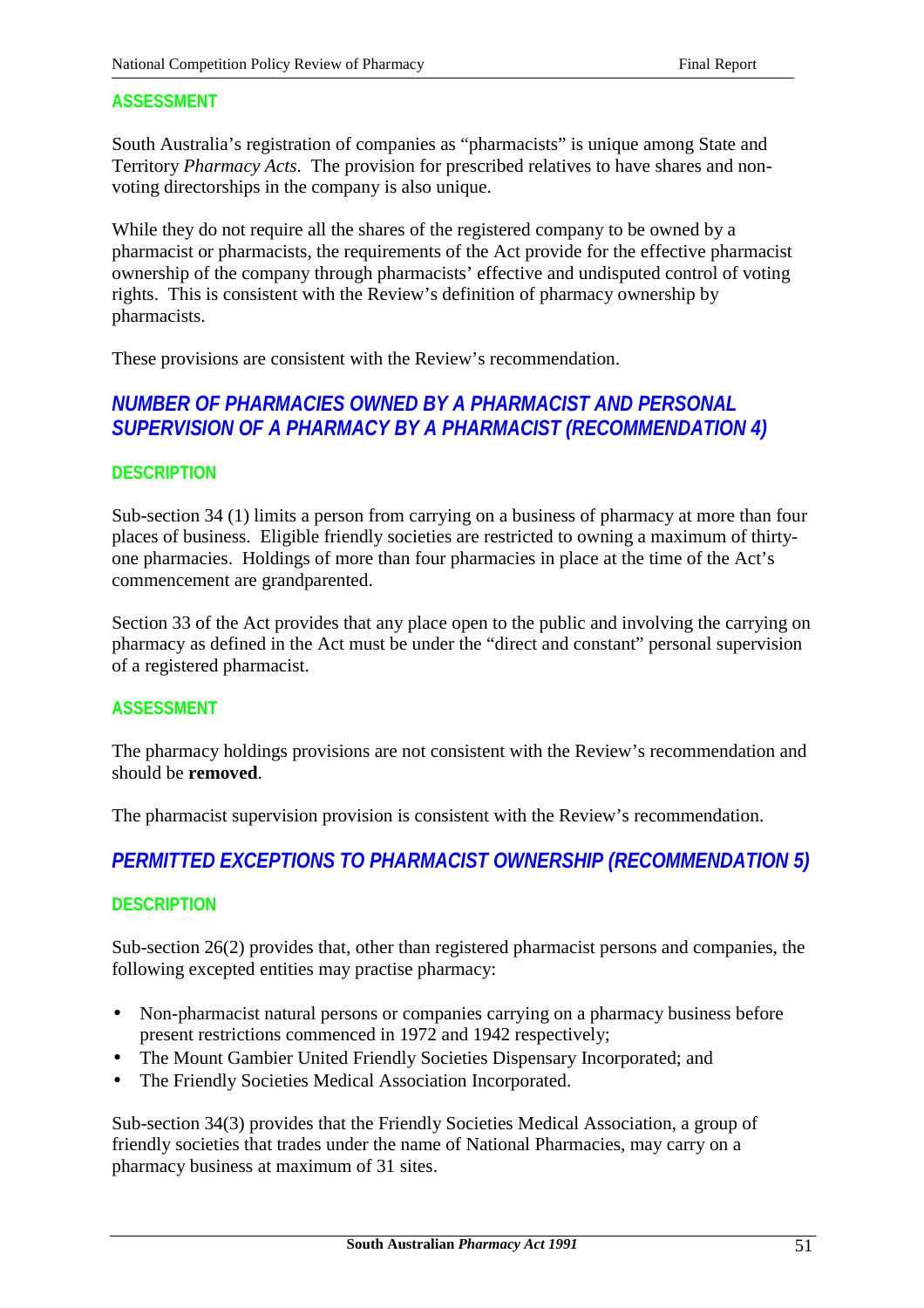South Australia's registration of companies as "pharmacists" is unique among State and Territory *Pharmacy Acts*. The provision for prescribed relatives to have shares and nonvoting directorships in the company is also unique.

While they do not require all the shares of the registered company to be owned by a pharmacist or pharmacists, the requirements of the Act provide for the effective pharmacist ownership of the company through pharmacists' effective and undisputed control of voting rights. This is consistent with the Review's definition of pharmacy ownership by pharmacists.

These provisions are consistent with the Review's recommendation.

## *NUMBER OF PHARMACIES OWNED BY A PHARMACIST AND PERSONAL SUPERVISION OF A PHARMACY BY A PHARMACIST (RECOMMENDATION 4)*

#### **DESCRIPTION**

Sub-section 34 (1) limits a person from carrying on a business of pharmacy at more than four places of business. Eligible friendly societies are restricted to owning a maximum of thirtyone pharmacies. Holdings of more than four pharmacies in place at the time of the Act's commencement are grandparented.

Section 33 of the Act provides that any place open to the public and involving the carrying on pharmacy as defined in the Act must be under the "direct and constant" personal supervision of a registered pharmacist.

### **ASSESSMENT**

The pharmacy holdings provisions are not consistent with the Review's recommendation and should be **removed**.

The pharmacist supervision provision is consistent with the Review's recommendation.

# *PERMITTED EXCEPTIONS TO PHARMACIST OWNERSHIP (RECOMMENDATION 5)*

### **DESCRIPTION**

Sub-section 26(2) provides that, other than registered pharmacist persons and companies, the following excepted entities may practise pharmacy:

- Non-pharmacist natural persons or companies carrying on a pharmacy business before present restrictions commenced in 1972 and 1942 respectively;
- The Mount Gambier United Friendly Societies Dispensary Incorporated; and
- The Friendly Societies Medical Association Incorporated.

Sub-section 34(3) provides that the Friendly Societies Medical Association, a group of friendly societies that trades under the name of National Pharmacies, may carry on a pharmacy business at maximum of 31 sites.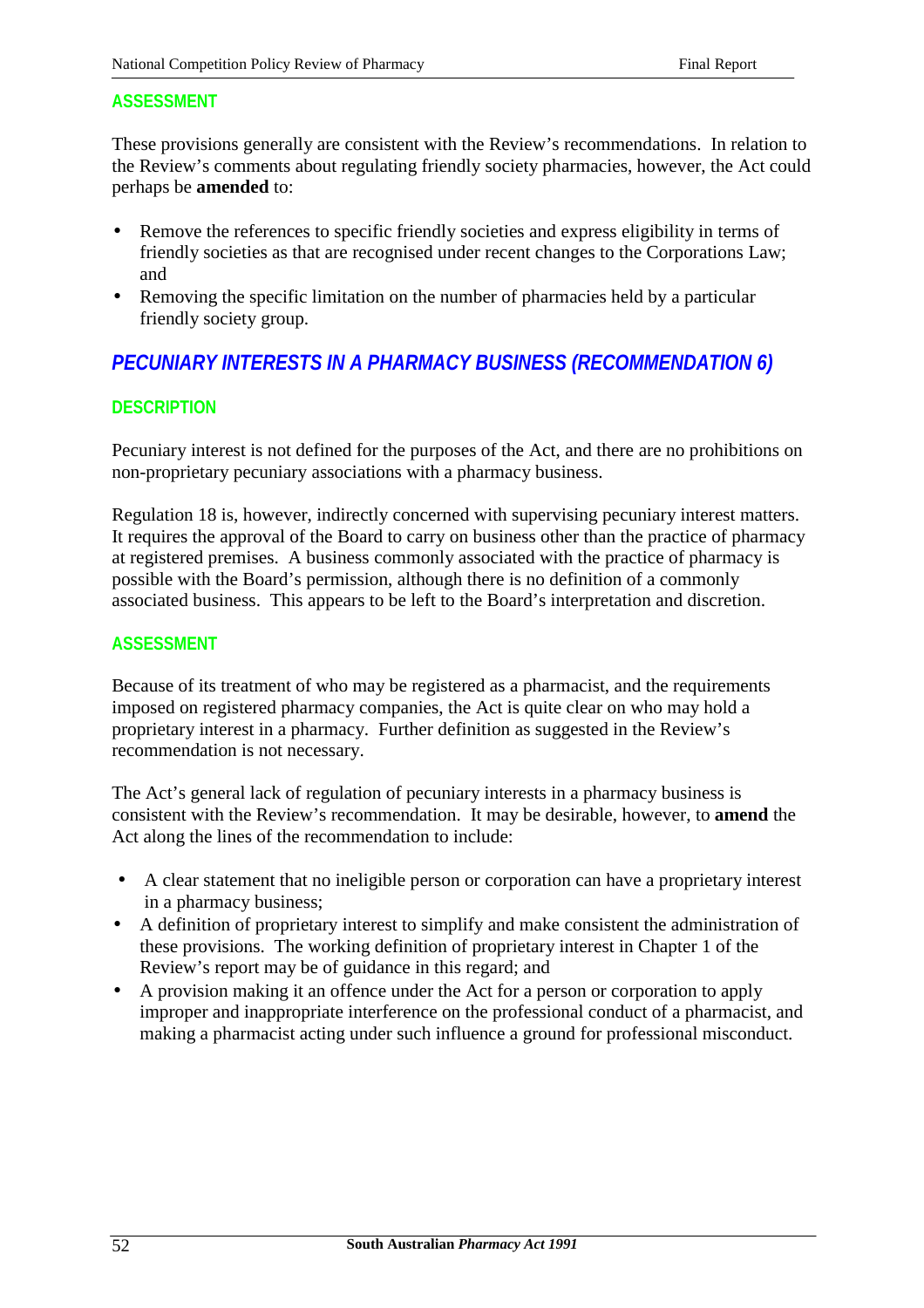These provisions generally are consistent with the Review's recommendations. In relation to the Review's comments about regulating friendly society pharmacies, however, the Act could perhaps be **amended** to:

- Remove the references to specific friendly societies and express eligibility in terms of friendly societies as that are recognised under recent changes to the Corporations Law; and
- Removing the specific limitation on the number of pharmacies held by a particular friendly society group.

# *PECUNIARY INTERESTS IN A PHARMACY BUSINESS (RECOMMENDATION 6)*

## **DESCRIPTION**

Pecuniary interest is not defined for the purposes of the Act, and there are no prohibitions on non-proprietary pecuniary associations with a pharmacy business.

Regulation 18 is, however, indirectly concerned with supervising pecuniary interest matters. It requires the approval of the Board to carry on business other than the practice of pharmacy at registered premises. A business commonly associated with the practice of pharmacy is possible with the Board's permission, although there is no definition of a commonly associated business. This appears to be left to the Board's interpretation and discretion.

### **ASSESSMENT**

Because of its treatment of who may be registered as a pharmacist, and the requirements imposed on registered pharmacy companies, the Act is quite clear on who may hold a proprietary interest in a pharmacy. Further definition as suggested in the Review's recommendation is not necessary.

The Act's general lack of regulation of pecuniary interests in a pharmacy business is consistent with the Review's recommendation. It may be desirable, however, to **amend** the Act along the lines of the recommendation to include:

- A clear statement that no ineligible person or corporation can have a proprietary interest in a pharmacy business;
- A definition of proprietary interest to simplify and make consistent the administration of these provisions. The working definition of proprietary interest in Chapter 1 of the Review's report may be of guidance in this regard; and
- A provision making it an offence under the Act for a person or corporation to apply improper and inappropriate interference on the professional conduct of a pharmacist, and making a pharmacist acting under such influence a ground for professional misconduct.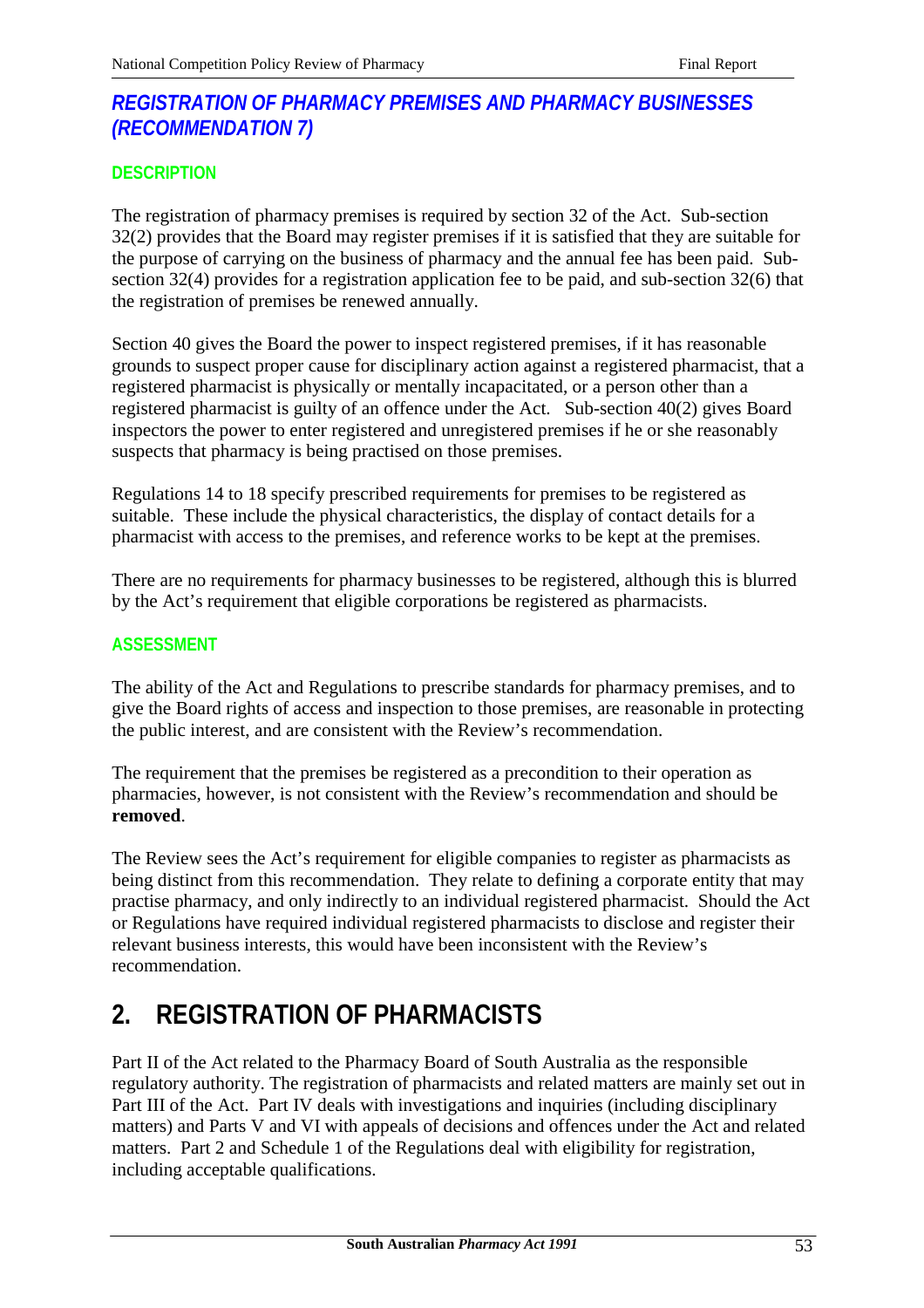# *REGISTRATION OF PHARMACY PREMISES AND PHARMACY BUSINESSES (RECOMMENDATION 7)*

## **DESCRIPTION**

The registration of pharmacy premises is required by section 32 of the Act. Sub-section 32(2) provides that the Board may register premises if it is satisfied that they are suitable for the purpose of carrying on the business of pharmacy and the annual fee has been paid. Subsection 32(4) provides for a registration application fee to be paid, and sub-section 32(6) that the registration of premises be renewed annually.

Section 40 gives the Board the power to inspect registered premises, if it has reasonable grounds to suspect proper cause for disciplinary action against a registered pharmacist, that a registered pharmacist is physically or mentally incapacitated, or a person other than a registered pharmacist is guilty of an offence under the Act. Sub-section 40(2) gives Board inspectors the power to enter registered and unregistered premises if he or she reasonably suspects that pharmacy is being practised on those premises.

Regulations 14 to 18 specify prescribed requirements for premises to be registered as suitable. These include the physical characteristics, the display of contact details for a pharmacist with access to the premises, and reference works to be kept at the premises.

There are no requirements for pharmacy businesses to be registered, although this is blurred by the Act's requirement that eligible corporations be registered as pharmacists.

### **ASSESSMENT**

The ability of the Act and Regulations to prescribe standards for pharmacy premises, and to give the Board rights of access and inspection to those premises, are reasonable in protecting the public interest, and are consistent with the Review's recommendation.

The requirement that the premises be registered as a precondition to their operation as pharmacies, however, is not consistent with the Review's recommendation and should be **removed**.

The Review sees the Act's requirement for eligible companies to register as pharmacists as being distinct from this recommendation. They relate to defining a corporate entity that may practise pharmacy, and only indirectly to an individual registered pharmacist. Should the Act or Regulations have required individual registered pharmacists to disclose and register their relevant business interests, this would have been inconsistent with the Review's recommendation.

# **2. REGISTRATION OF PHARMACISTS**

Part II of the Act related to the Pharmacy Board of South Australia as the responsible regulatory authority. The registration of pharmacists and related matters are mainly set out in Part III of the Act. Part IV deals with investigations and inquiries (including disciplinary matters) and Parts V and VI with appeals of decisions and offences under the Act and related matters. Part 2 and Schedule 1 of the Regulations deal with eligibility for registration, including acceptable qualifications.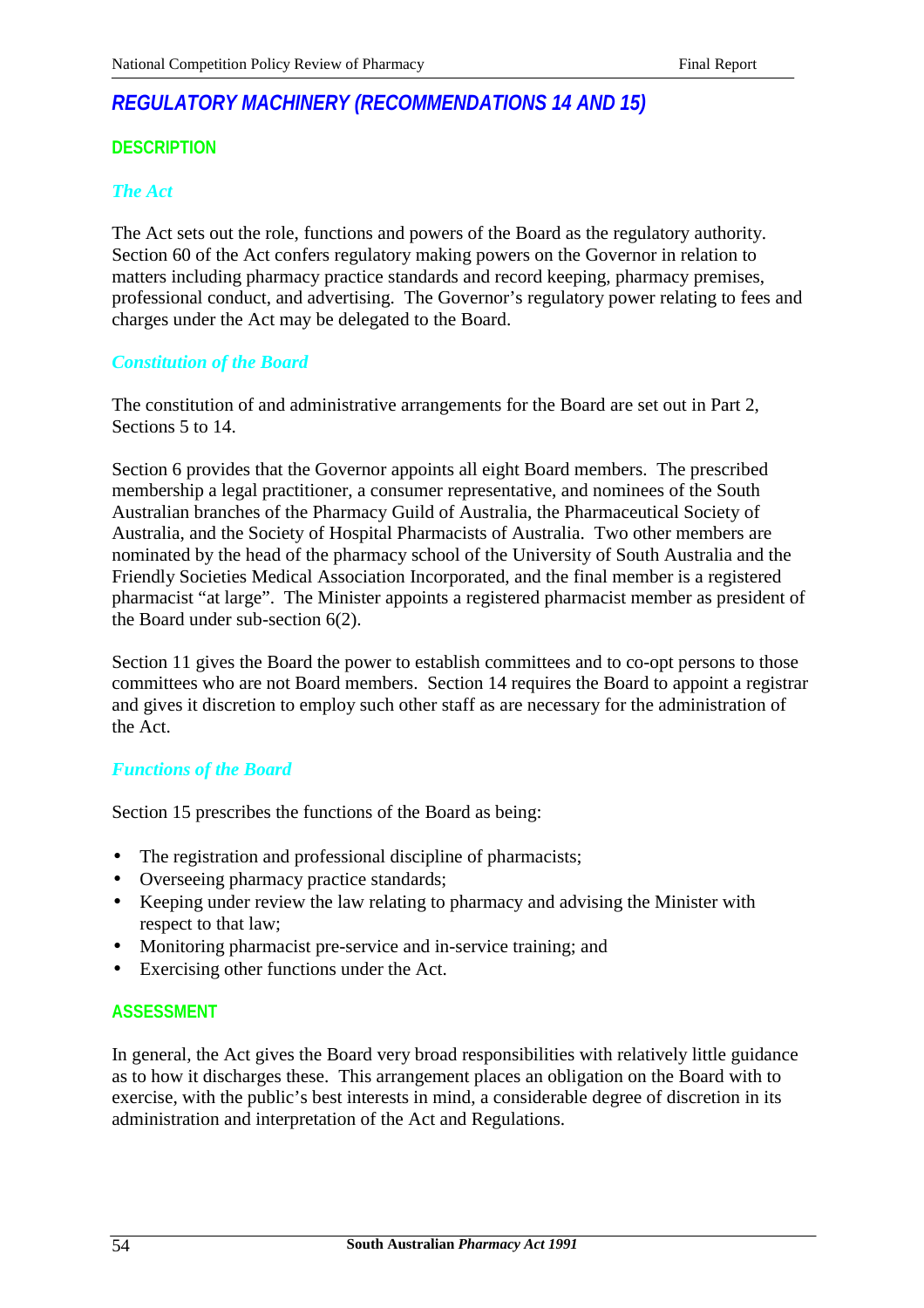# *REGULATORY MACHINERY (RECOMMENDATIONS 14 AND 15)*

## **DESCRIPTION**

### *The Act*

The Act sets out the role, functions and powers of the Board as the regulatory authority. Section 60 of the Act confers regulatory making powers on the Governor in relation to matters including pharmacy practice standards and record keeping, pharmacy premises, professional conduct, and advertising. The Governor's regulatory power relating to fees and charges under the Act may be delegated to the Board.

### *Constitution of the Board*

The constitution of and administrative arrangements for the Board are set out in Part 2, Sections 5 to 14.

Section 6 provides that the Governor appoints all eight Board members. The prescribed membership a legal practitioner, a consumer representative, and nominees of the South Australian branches of the Pharmacy Guild of Australia, the Pharmaceutical Society of Australia, and the Society of Hospital Pharmacists of Australia. Two other members are nominated by the head of the pharmacy school of the University of South Australia and the Friendly Societies Medical Association Incorporated, and the final member is a registered pharmacist "at large". The Minister appoints a registered pharmacist member as president of the Board under sub-section 6(2).

Section 11 gives the Board the power to establish committees and to co-opt persons to those committees who are not Board members. Section 14 requires the Board to appoint a registrar and gives it discretion to employ such other staff as are necessary for the administration of the Act.

### *Functions of the Board*

Section 15 prescribes the functions of the Board as being:

- The registration and professional discipline of pharmacists;
- Overseeing pharmacy practice standards;
- Keeping under review the law relating to pharmacy and advising the Minister with respect to that law;
- Monitoring pharmacist pre-service and in-service training; and
- Exercising other functions under the Act.

### **ASSESSMENT**

In general, the Act gives the Board very broad responsibilities with relatively little guidance as to how it discharges these. This arrangement places an obligation on the Board with to exercise, with the public's best interests in mind, a considerable degree of discretion in its administration and interpretation of the Act and Regulations.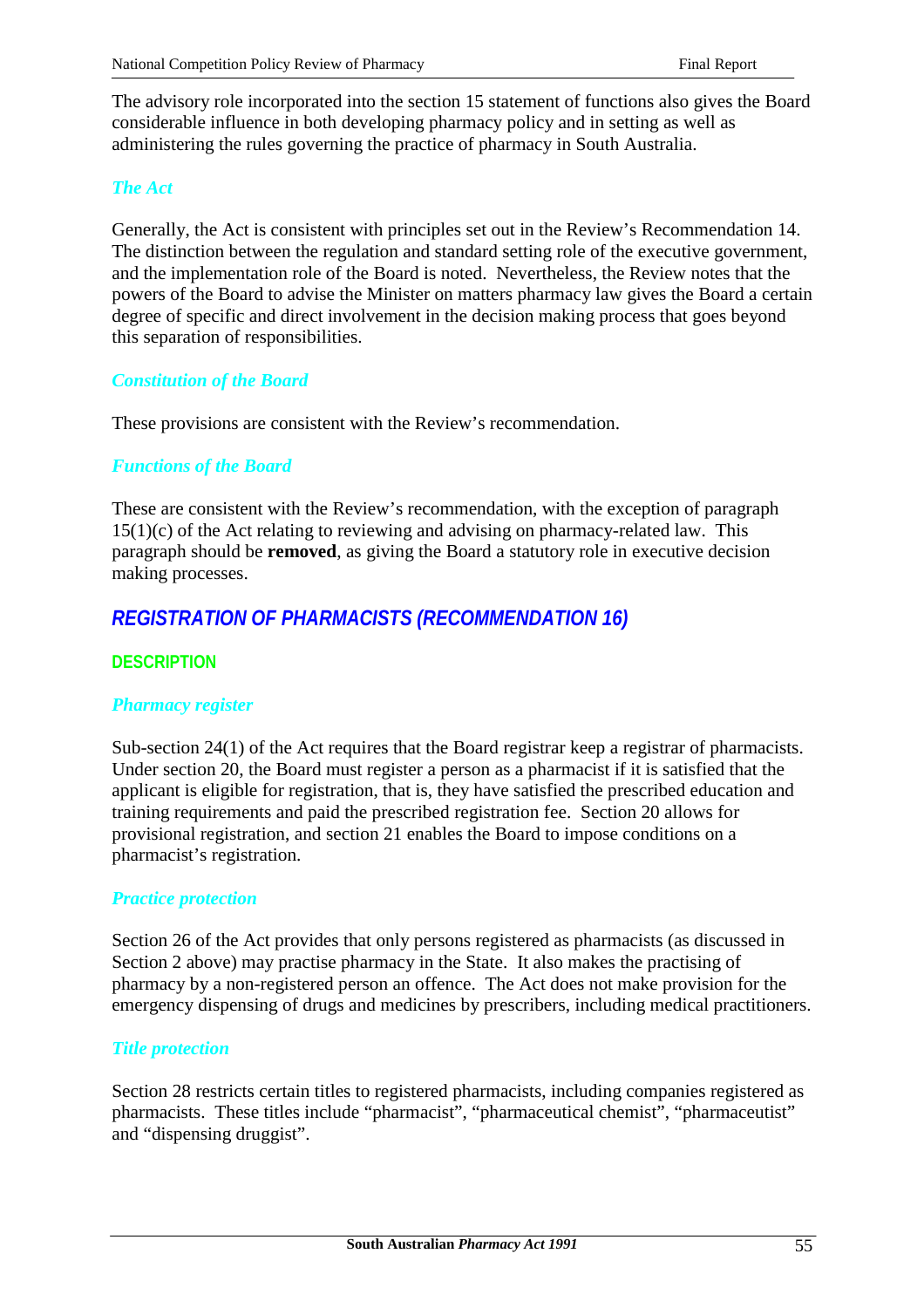The advisory role incorporated into the section 15 statement of functions also gives the Board considerable influence in both developing pharmacy policy and in setting as well as administering the rules governing the practice of pharmacy in South Australia.

## *The Act*

Generally, the Act is consistent with principles set out in the Review's Recommendation 14. The distinction between the regulation and standard setting role of the executive government, and the implementation role of the Board is noted. Nevertheless, the Review notes that the powers of the Board to advise the Minister on matters pharmacy law gives the Board a certain degree of specific and direct involvement in the decision making process that goes beyond this separation of responsibilities.

## *Constitution of the Board*

These provisions are consistent with the Review's recommendation.

## *Functions of the Board*

These are consistent with the Review's recommendation, with the exception of paragraph 15(1)(c) of the Act relating to reviewing and advising on pharmacy-related law. This paragraph should be **removed**, as giving the Board a statutory role in executive decision making processes.

# *REGISTRATION OF PHARMACISTS (RECOMMENDATION 16)*

## **DESCRIPTION**

### *Pharmacy register*

Sub-section 24(1) of the Act requires that the Board registrar keep a registrar of pharmacists. Under section 20, the Board must register a person as a pharmacist if it is satisfied that the applicant is eligible for registration, that is, they have satisfied the prescribed education and training requirements and paid the prescribed registration fee. Section 20 allows for provisional registration, and section 21 enables the Board to impose conditions on a pharmacist's registration.

### *Practice protection*

Section 26 of the Act provides that only persons registered as pharmacists (as discussed in Section 2 above) may practise pharmacy in the State. It also makes the practising of pharmacy by a non-registered person an offence. The Act does not make provision for the emergency dispensing of drugs and medicines by prescribers, including medical practitioners.

### *Title protection*

Section 28 restricts certain titles to registered pharmacists, including companies registered as pharmacists. These titles include "pharmacist", "pharmaceutical chemist", "pharmaceutist" and "dispensing druggist".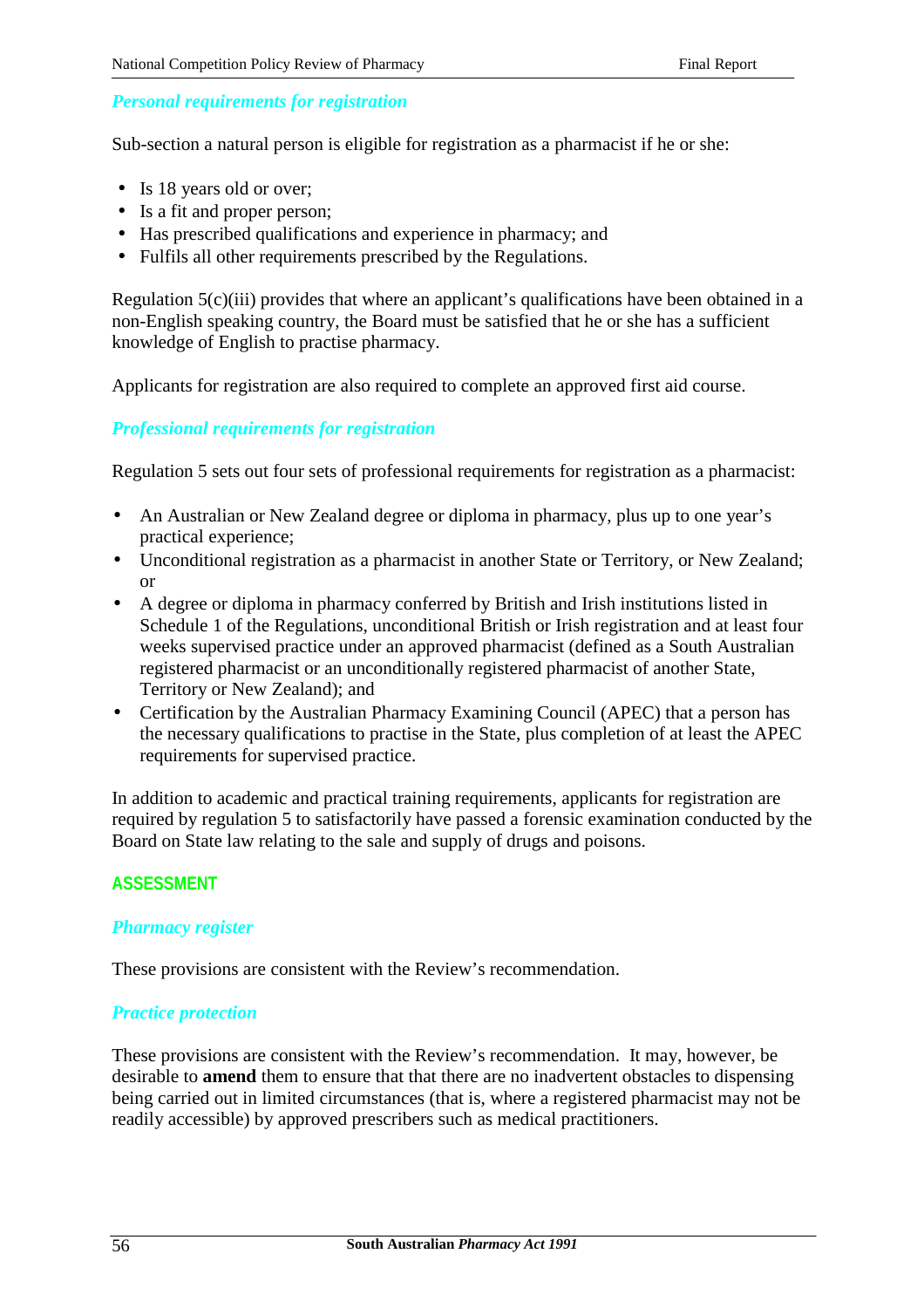## *Personal requirements for registration*

Sub-section a natural person is eligible for registration as a pharmacist if he or she:

- Is 18 years old or over;
- Is a fit and proper person;
- Has prescribed qualifications and experience in pharmacy; and
- Fulfils all other requirements prescribed by the Regulations.

Regulation 5(c)(iii) provides that where an applicant's qualifications have been obtained in a non-English speaking country, the Board must be satisfied that he or she has a sufficient knowledge of English to practise pharmacy.

Applicants for registration are also required to complete an approved first aid course.

## *Professional requirements for registration*

Regulation 5 sets out four sets of professional requirements for registration as a pharmacist:

- An Australian or New Zealand degree or diploma in pharmacy, plus up to one year's practical experience;
- Unconditional registration as a pharmacist in another State or Territory, or New Zealand; or
- A degree or diploma in pharmacy conferred by British and Irish institutions listed in Schedule 1 of the Regulations, unconditional British or Irish registration and at least four weeks supervised practice under an approved pharmacist (defined as a South Australian registered pharmacist or an unconditionally registered pharmacist of another State, Territory or New Zealand); and
- Certification by the Australian Pharmacy Examining Council (APEC) that a person has the necessary qualifications to practise in the State, plus completion of at least the APEC requirements for supervised practice.

In addition to academic and practical training requirements, applicants for registration are required by regulation 5 to satisfactorily have passed a forensic examination conducted by the Board on State law relating to the sale and supply of drugs and poisons.

### **ASSESSMENT**

### *Pharmacy register*

These provisions are consistent with the Review's recommendation.

#### *Practice protection*

These provisions are consistent with the Review's recommendation. It may, however, be desirable to **amend** them to ensure that that there are no inadvertent obstacles to dispensing being carried out in limited circumstances (that is, where a registered pharmacist may not be readily accessible) by approved prescribers such as medical practitioners.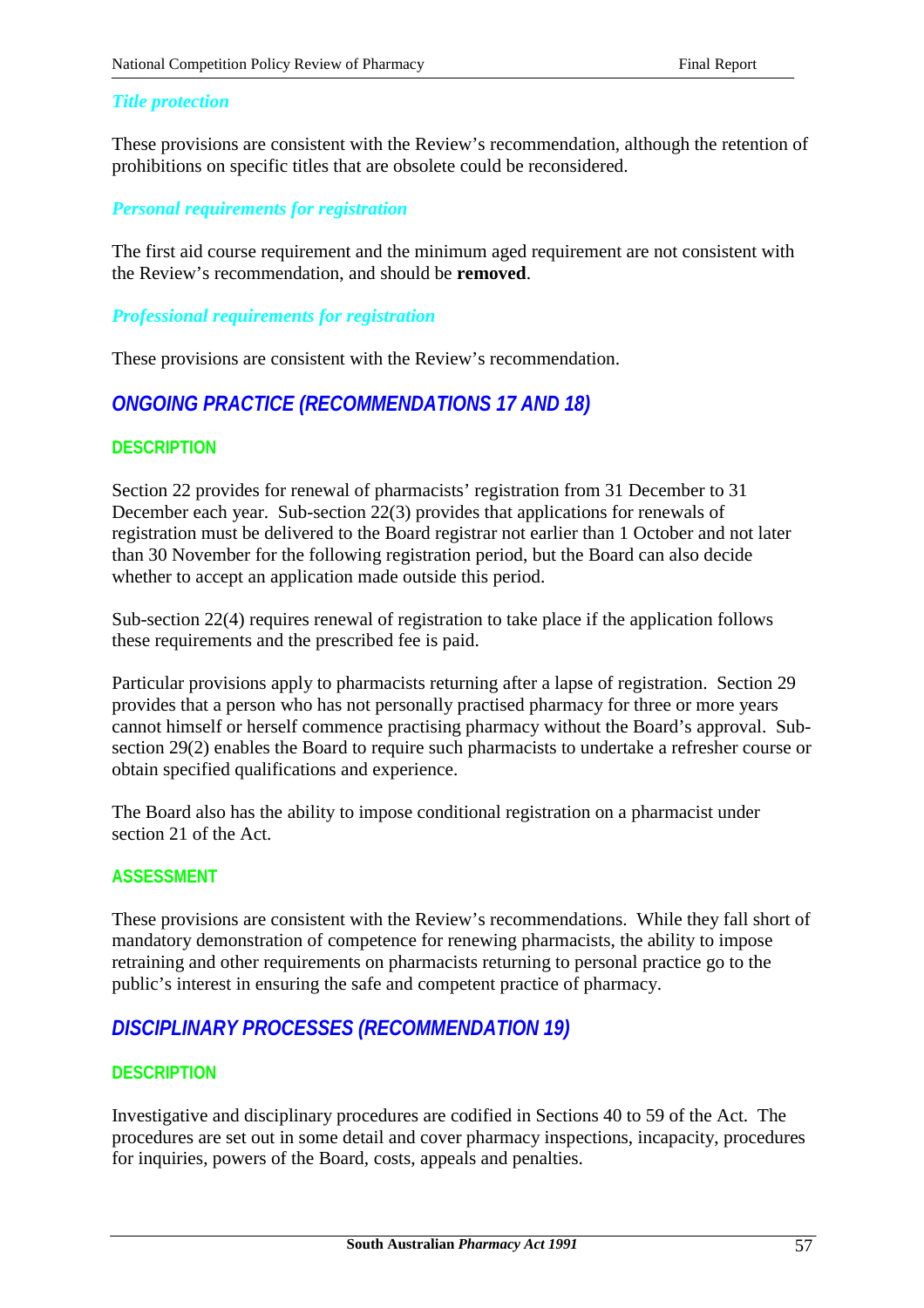#### *Title protection*

These provisions are consistent with the Review's recommendation, although the retention of prohibitions on specific titles that are obsolete could be reconsidered.

### *Personal requirements for registration*

The first aid course requirement and the minimum aged requirement are not consistent with the Review's recommendation, and should be **removed**.

#### *Professional requirements for registration*

These provisions are consistent with the Review's recommendation.

## *ONGOING PRACTICE (RECOMMENDATIONS 17 AND 18)*

#### **DESCRIPTION**

Section 22 provides for renewal of pharmacists' registration from 31 December to 31 December each year. Sub-section 22(3) provides that applications for renewals of registration must be delivered to the Board registrar not earlier than 1 October and not later than 30 November for the following registration period, but the Board can also decide whether to accept an application made outside this period.

Sub-section 22(4) requires renewal of registration to take place if the application follows these requirements and the prescribed fee is paid.

Particular provisions apply to pharmacists returning after a lapse of registration. Section 29 provides that a person who has not personally practised pharmacy for three or more years cannot himself or herself commence practising pharmacy without the Board's approval. Subsection 29(2) enables the Board to require such pharmacists to undertake a refresher course or obtain specified qualifications and experience.

The Board also has the ability to impose conditional registration on a pharmacist under section 21 of the Act.

#### **ASSESSMENT**

These provisions are consistent with the Review's recommendations. While they fall short of mandatory demonstration of competence for renewing pharmacists, the ability to impose retraining and other requirements on pharmacists returning to personal practice go to the public's interest in ensuring the safe and competent practice of pharmacy.

## *DISCIPLINARY PROCESSES (RECOMMENDATION 19)*

### **DESCRIPTION**

Investigative and disciplinary procedures are codified in Sections 40 to 59 of the Act. The procedures are set out in some detail and cover pharmacy inspections, incapacity, procedures for inquiries, powers of the Board, costs, appeals and penalties.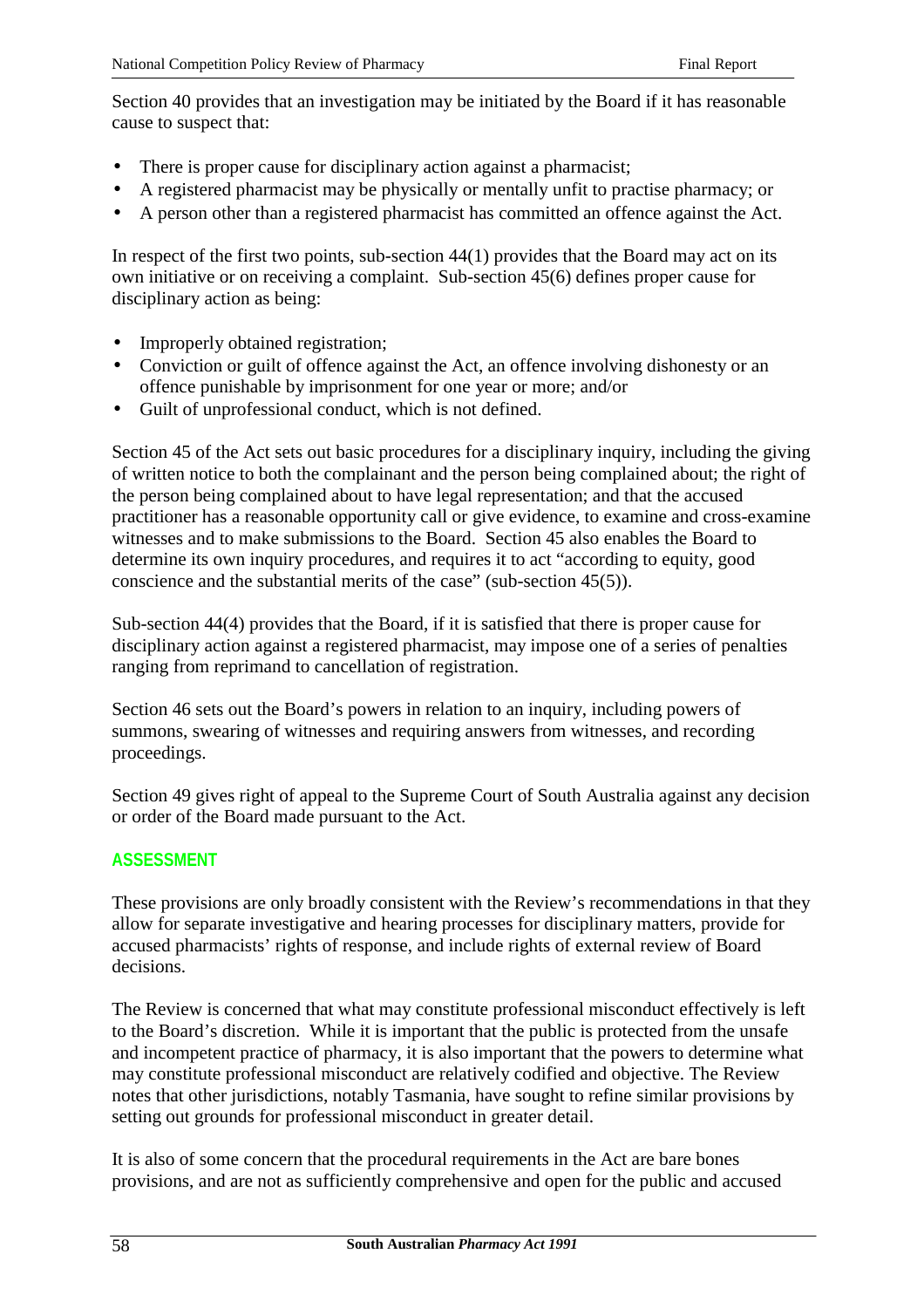Section 40 provides that an investigation may be initiated by the Board if it has reasonable cause to suspect that:

- There is proper cause for disciplinary action against a pharmacist;
- A registered pharmacist may be physically or mentally unfit to practise pharmacy; or
- A person other than a registered pharmacist has committed an offence against the Act.

In respect of the first two points, sub-section 44(1) provides that the Board may act on its own initiative or on receiving a complaint. Sub-section 45(6) defines proper cause for disciplinary action as being:

- Improperly obtained registration;
- Conviction or guilt of offence against the Act, an offence involving dishonesty or an offence punishable by imprisonment for one year or more; and/or
- Guilt of unprofessional conduct, which is not defined.

Section 45 of the Act sets out basic procedures for a disciplinary inquiry, including the giving of written notice to both the complainant and the person being complained about; the right of the person being complained about to have legal representation; and that the accused practitioner has a reasonable opportunity call or give evidence, to examine and cross-examine witnesses and to make submissions to the Board. Section 45 also enables the Board to determine its own inquiry procedures, and requires it to act "according to equity, good conscience and the substantial merits of the case" (sub-section 45(5)).

Sub-section 44(4) provides that the Board, if it is satisfied that there is proper cause for disciplinary action against a registered pharmacist, may impose one of a series of penalties ranging from reprimand to cancellation of registration.

Section 46 sets out the Board's powers in relation to an inquiry, including powers of summons, swearing of witnesses and requiring answers from witnesses, and recording proceedings.

Section 49 gives right of appeal to the Supreme Court of South Australia against any decision or order of the Board made pursuant to the Act.

## **ASSESSMENT**

These provisions are only broadly consistent with the Review's recommendations in that they allow for separate investigative and hearing processes for disciplinary matters, provide for accused pharmacists' rights of response, and include rights of external review of Board decisions.

The Review is concerned that what may constitute professional misconduct effectively is left to the Board's discretion. While it is important that the public is protected from the unsafe and incompetent practice of pharmacy, it is also important that the powers to determine what may constitute professional misconduct are relatively codified and objective. The Review notes that other jurisdictions, notably Tasmania, have sought to refine similar provisions by setting out grounds for professional misconduct in greater detail.

It is also of some concern that the procedural requirements in the Act are bare bones provisions, and are not as sufficiently comprehensive and open for the public and accused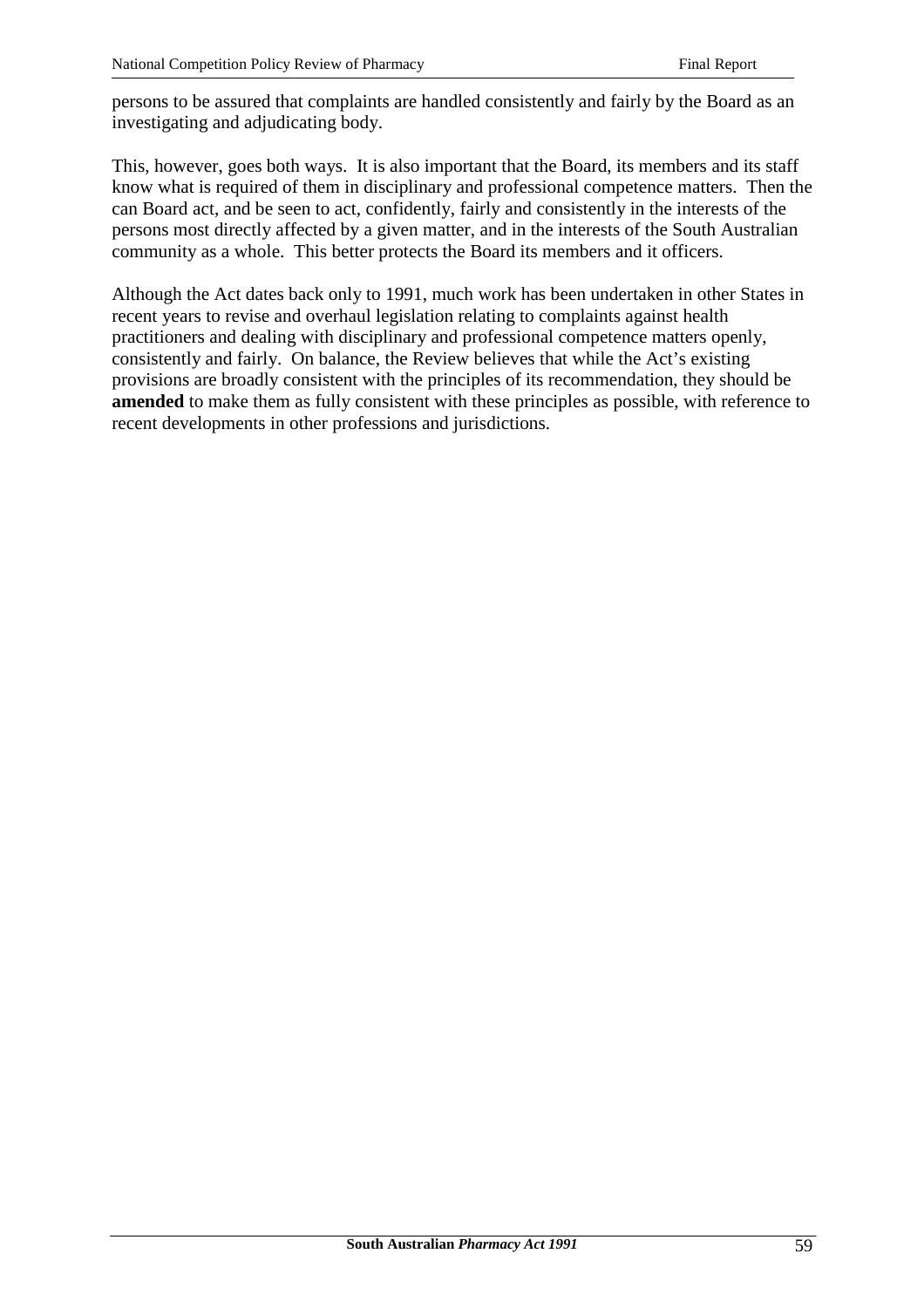persons to be assured that complaints are handled consistently and fairly by the Board as an investigating and adjudicating body.

This, however, goes both ways. It is also important that the Board, its members and its staff know what is required of them in disciplinary and professional competence matters. Then the can Board act, and be seen to act, confidently, fairly and consistently in the interests of the persons most directly affected by a given matter, and in the interests of the South Australian community as a whole. This better protects the Board its members and it officers.

Although the Act dates back only to 1991, much work has been undertaken in other States in recent years to revise and overhaul legislation relating to complaints against health practitioners and dealing with disciplinary and professional competence matters openly, consistently and fairly. On balance, the Review believes that while the Act's existing provisions are broadly consistent with the principles of its recommendation, they should be **amended** to make them as fully consistent with these principles as possible, with reference to recent developments in other professions and jurisdictions.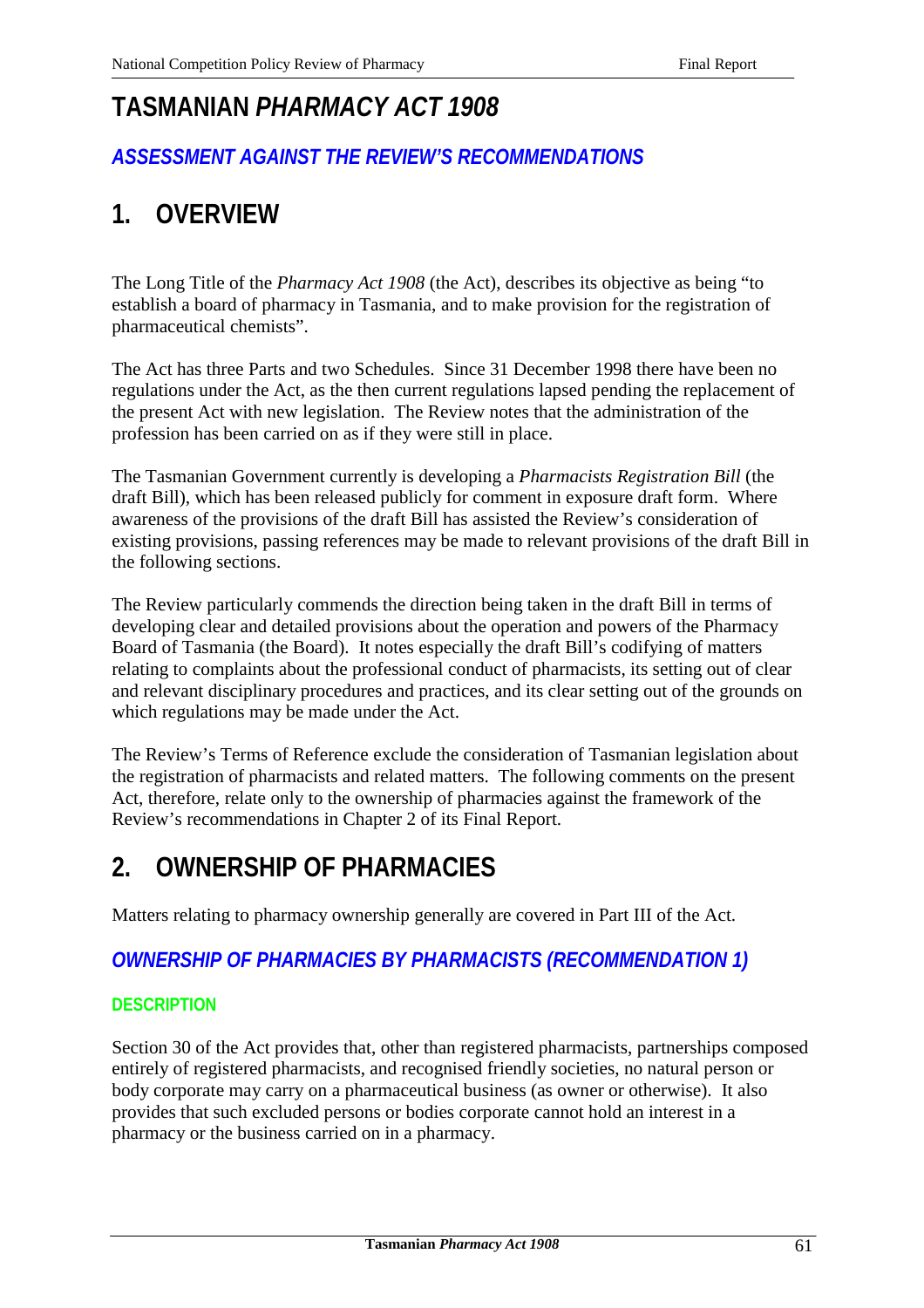# **TASMANIAN** *PHARMACY ACT 1908*

# *ASSESSMENT AGAINST THE REVIEW'S RECOMMENDATIONS*

# **1. OVERVIEW**

The Long Title of the *Pharmacy Act 1908* (the Act), describes its objective as being "to establish a board of pharmacy in Tasmania, and to make provision for the registration of pharmaceutical chemists".

The Act has three Parts and two Schedules. Since 31 December 1998 there have been no regulations under the Act, as the then current regulations lapsed pending the replacement of the present Act with new legislation. The Review notes that the administration of the profession has been carried on as if they were still in place.

The Tasmanian Government currently is developing a *Pharmacists Registration Bill* (the draft Bill), which has been released publicly for comment in exposure draft form. Where awareness of the provisions of the draft Bill has assisted the Review's consideration of existing provisions, passing references may be made to relevant provisions of the draft Bill in the following sections.

The Review particularly commends the direction being taken in the draft Bill in terms of developing clear and detailed provisions about the operation and powers of the Pharmacy Board of Tasmania (the Board). It notes especially the draft Bill's codifying of matters relating to complaints about the professional conduct of pharmacists, its setting out of clear and relevant disciplinary procedures and practices, and its clear setting out of the grounds on which regulations may be made under the Act.

The Review's Terms of Reference exclude the consideration of Tasmanian legislation about the registration of pharmacists and related matters. The following comments on the present Act, therefore, relate only to the ownership of pharmacies against the framework of the Review's recommendations in Chapter 2 of its Final Report.

# **2. OWNERSHIP OF PHARMACIES**

Matters relating to pharmacy ownership generally are covered in Part III of the Act.

# *OWNERSHIP OF PHARMACIES BY PHARMACISTS (RECOMMENDATION 1)*

## **DESCRIPTION**

Section 30 of the Act provides that, other than registered pharmacists, partnerships composed entirely of registered pharmacists, and recognised friendly societies, no natural person or body corporate may carry on a pharmaceutical business (as owner or otherwise). It also provides that such excluded persons or bodies corporate cannot hold an interest in a pharmacy or the business carried on in a pharmacy.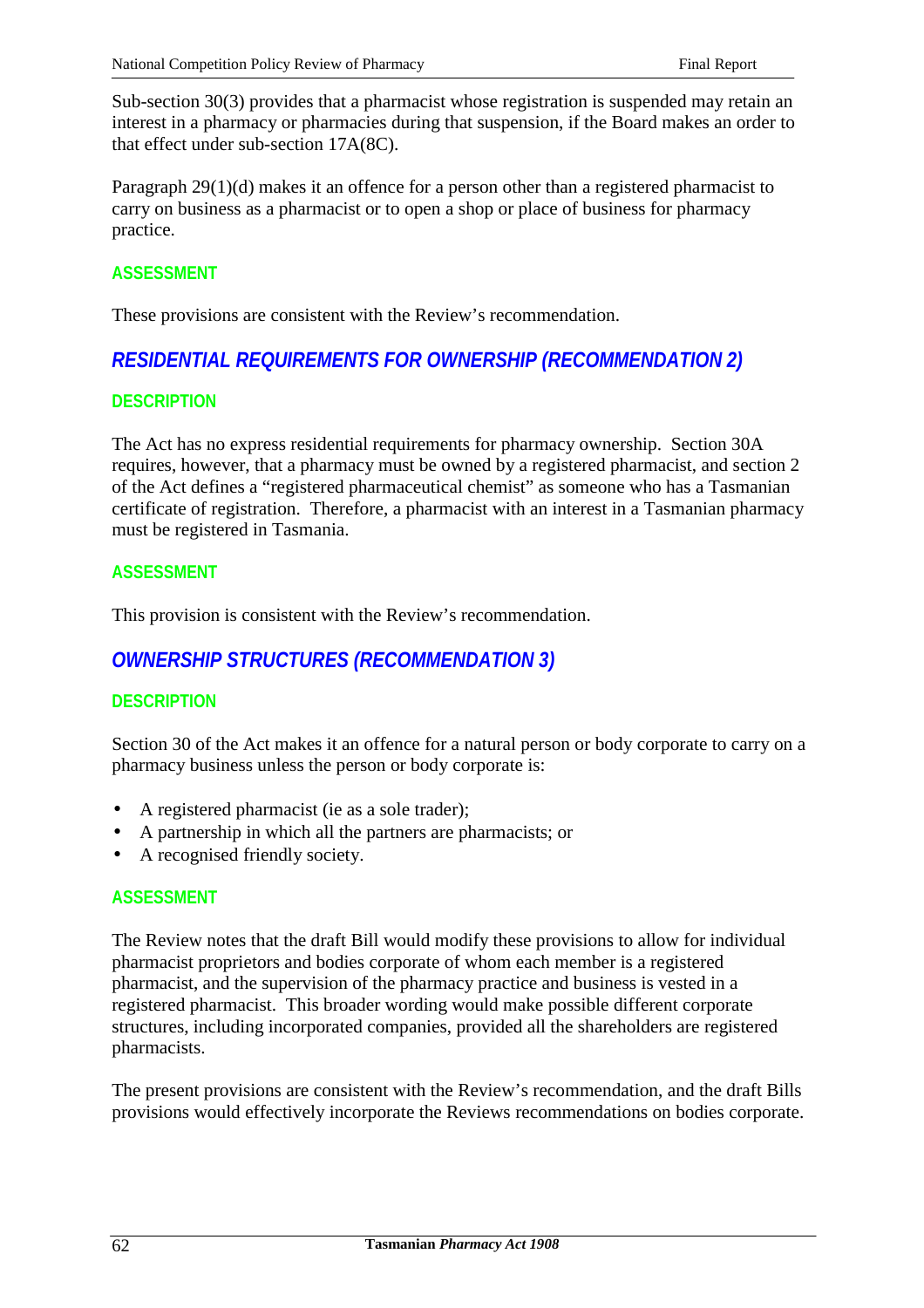Sub-section 30(3) provides that a pharmacist whose registration is suspended may retain an interest in a pharmacy or pharmacies during that suspension, if the Board makes an order to that effect under sub-section 17A(8C).

Paragraph 29(1)(d) makes it an offence for a person other than a registered pharmacist to carry on business as a pharmacist or to open a shop or place of business for pharmacy practice.

#### **ASSESSMENT**

These provisions are consistent with the Review's recommendation.

## *RESIDENTIAL REQUIREMENTS FOR OWNERSHIP (RECOMMENDATION 2)*

#### **DESCRIPTION**

The Act has no express residential requirements for pharmacy ownership. Section 30A requires, however, that a pharmacy must be owned by a registered pharmacist, and section 2 of the Act defines a "registered pharmaceutical chemist" as someone who has a Tasmanian certificate of registration. Therefore, a pharmacist with an interest in a Tasmanian pharmacy must be registered in Tasmania.

#### **ASSESSMENT**

This provision is consistent with the Review's recommendation.

## *OWNERSHIP STRUCTURES (RECOMMENDATION 3)*

### **DESCRIPTION**

Section 30 of the Act makes it an offence for a natural person or body corporate to carry on a pharmacy business unless the person or body corporate is:

- A registered pharmacist (ie as a sole trader);
- A partnership in which all the partners are pharmacists; or
- A recognised friendly society.

#### **ASSESSMENT**

The Review notes that the draft Bill would modify these provisions to allow for individual pharmacist proprietors and bodies corporate of whom each member is a registered pharmacist, and the supervision of the pharmacy practice and business is vested in a registered pharmacist. This broader wording would make possible different corporate structures, including incorporated companies, provided all the shareholders are registered pharmacists.

The present provisions are consistent with the Review's recommendation, and the draft Bills provisions would effectively incorporate the Reviews recommendations on bodies corporate.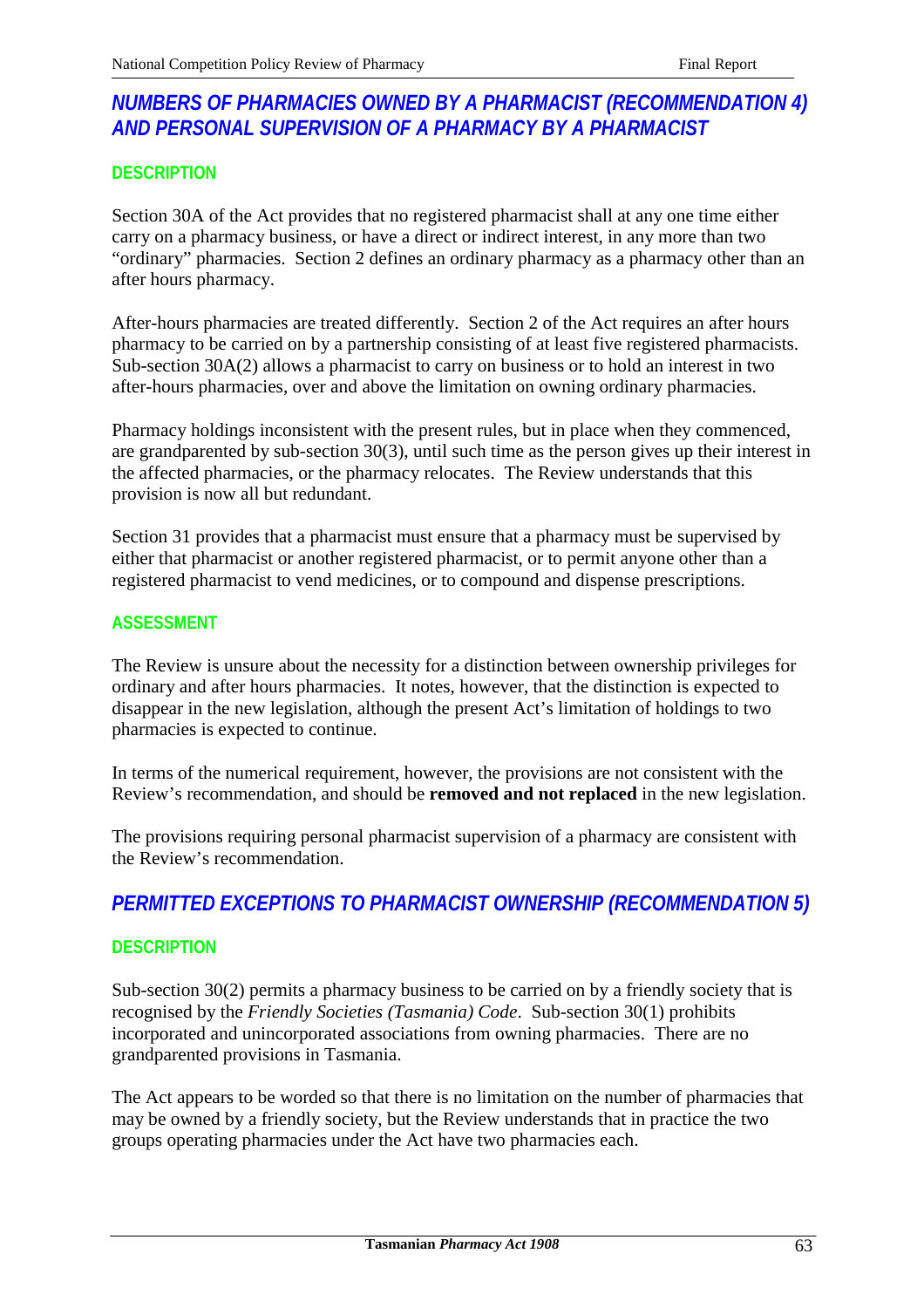# *NUMBERS OF PHARMACIES OWNED BY A PHARMACIST (RECOMMENDATION 4) AND PERSONAL SUPERVISION OF A PHARMACY BY A PHARMACIST*

## **DESCRIPTION**

Section 30A of the Act provides that no registered pharmacist shall at any one time either carry on a pharmacy business, or have a direct or indirect interest, in any more than two "ordinary" pharmacies. Section 2 defines an ordinary pharmacy as a pharmacy other than an after hours pharmacy.

After-hours pharmacies are treated differently. Section 2 of the Act requires an after hours pharmacy to be carried on by a partnership consisting of at least five registered pharmacists. Sub-section 30A(2) allows a pharmacist to carry on business or to hold an interest in two after-hours pharmacies, over and above the limitation on owning ordinary pharmacies.

Pharmacy holdings inconsistent with the present rules, but in place when they commenced, are grandparented by sub-section 30(3), until such time as the person gives up their interest in the affected pharmacies, or the pharmacy relocates. The Review understands that this provision is now all but redundant.

Section 31 provides that a pharmacist must ensure that a pharmacy must be supervised by either that pharmacist or another registered pharmacist, or to permit anyone other than a registered pharmacist to vend medicines, or to compound and dispense prescriptions.

### **ASSESSMENT**

The Review is unsure about the necessity for a distinction between ownership privileges for ordinary and after hours pharmacies. It notes, however, that the distinction is expected to disappear in the new legislation, although the present Act's limitation of holdings to two pharmacies is expected to continue.

In terms of the numerical requirement, however, the provisions are not consistent with the Review's recommendation, and should be **removed and not replaced** in the new legislation.

The provisions requiring personal pharmacist supervision of a pharmacy are consistent with the Review's recommendation.

# *PERMITTED EXCEPTIONS TO PHARMACIST OWNERSHIP (RECOMMENDATION 5)*

### **DESCRIPTION**

Sub-section 30(2) permits a pharmacy business to be carried on by a friendly society that is recognised by the *Friendly Societies (Tasmania) Code*. Sub-section 30(1) prohibits incorporated and unincorporated associations from owning pharmacies. There are no grandparented provisions in Tasmania.

The Act appears to be worded so that there is no limitation on the number of pharmacies that may be owned by a friendly society, but the Review understands that in practice the two groups operating pharmacies under the Act have two pharmacies each.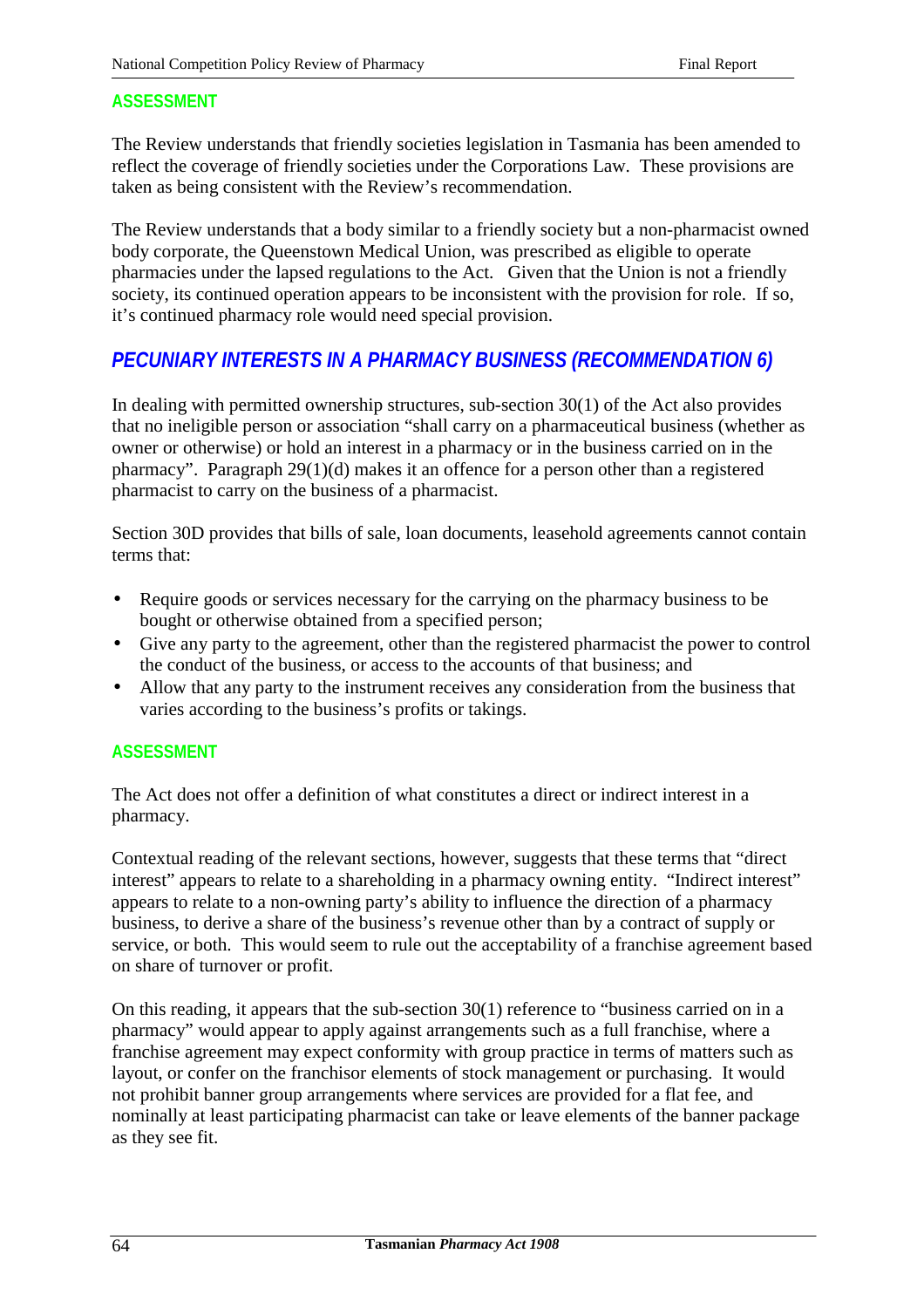The Review understands that friendly societies legislation in Tasmania has been amended to reflect the coverage of friendly societies under the Corporations Law. These provisions are taken as being consistent with the Review's recommendation.

The Review understands that a body similar to a friendly society but a non-pharmacist owned body corporate, the Queenstown Medical Union, was prescribed as eligible to operate pharmacies under the lapsed regulations to the Act. Given that the Union is not a friendly society, its continued operation appears to be inconsistent with the provision for role. If so, it's continued pharmacy role would need special provision.

## *PECUNIARY INTERESTS IN A PHARMACY BUSINESS (RECOMMENDATION 6)*

In dealing with permitted ownership structures, sub-section 30(1) of the Act also provides that no ineligible person or association "shall carry on a pharmaceutical business (whether as owner or otherwise) or hold an interest in a pharmacy or in the business carried on in the pharmacy". Paragraph 29(1)(d) makes it an offence for a person other than a registered pharmacist to carry on the business of a pharmacist.

Section 30D provides that bills of sale, loan documents, leasehold agreements cannot contain terms that:

- Require goods or services necessary for the carrying on the pharmacy business to be bought or otherwise obtained from a specified person;
- Give any party to the agreement, other than the registered pharmacist the power to control the conduct of the business, or access to the accounts of that business; and
- Allow that any party to the instrument receives any consideration from the business that varies according to the business's profits or takings.

### **ASSESSMENT**

The Act does not offer a definition of what constitutes a direct or indirect interest in a pharmacy.

Contextual reading of the relevant sections, however, suggests that these terms that "direct interest" appears to relate to a shareholding in a pharmacy owning entity. "Indirect interest" appears to relate to a non-owning party's ability to influence the direction of a pharmacy business, to derive a share of the business's revenue other than by a contract of supply or service, or both. This would seem to rule out the acceptability of a franchise agreement based on share of turnover or profit.

On this reading, it appears that the sub-section 30(1) reference to "business carried on in a pharmacy" would appear to apply against arrangements such as a full franchise, where a franchise agreement may expect conformity with group practice in terms of matters such as layout, or confer on the franchisor elements of stock management or purchasing. It would not prohibit banner group arrangements where services are provided for a flat fee, and nominally at least participating pharmacist can take or leave elements of the banner package as they see fit.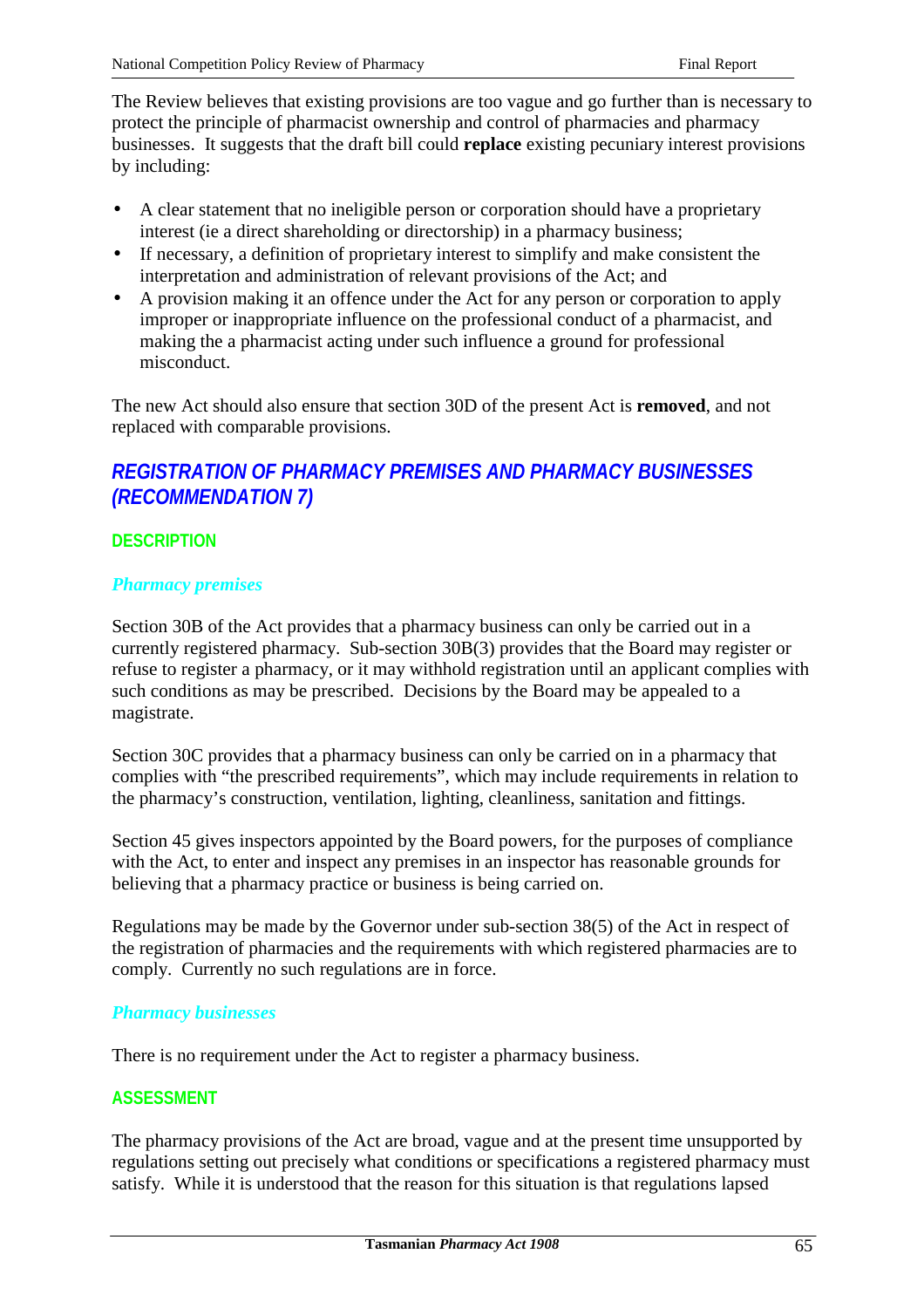The Review believes that existing provisions are too vague and go further than is necessary to protect the principle of pharmacist ownership and control of pharmacies and pharmacy businesses. It suggests that the draft bill could **replace** existing pecuniary interest provisions by including:

- A clear statement that no ineligible person or corporation should have a proprietary interest (ie a direct shareholding or directorship) in a pharmacy business;
- If necessary, a definition of proprietary interest to simplify and make consistent the interpretation and administration of relevant provisions of the Act; and
- A provision making it an offence under the Act for any person or corporation to apply improper or inappropriate influence on the professional conduct of a pharmacist, and making the a pharmacist acting under such influence a ground for professional misconduct.

The new Act should also ensure that section 30D of the present Act is **removed**, and not replaced with comparable provisions.

# *REGISTRATION OF PHARMACY PREMISES AND PHARMACY BUSINESSES (RECOMMENDATION 7)*

## **DESCRIPTION**

### *Pharmacy premises*

Section 30B of the Act provides that a pharmacy business can only be carried out in a currently registered pharmacy. Sub-section 30B(3) provides that the Board may register or refuse to register a pharmacy, or it may withhold registration until an applicant complies with such conditions as may be prescribed. Decisions by the Board may be appealed to a magistrate.

Section 30C provides that a pharmacy business can only be carried on in a pharmacy that complies with "the prescribed requirements", which may include requirements in relation to the pharmacy's construction, ventilation, lighting, cleanliness, sanitation and fittings.

Section 45 gives inspectors appointed by the Board powers, for the purposes of compliance with the Act, to enter and inspect any premises in an inspector has reasonable grounds for believing that a pharmacy practice or business is being carried on.

Regulations may be made by the Governor under sub-section 38(5) of the Act in respect of the registration of pharmacies and the requirements with which registered pharmacies are to comply. Currently no such regulations are in force.

#### *Pharmacy businesses*

There is no requirement under the Act to register a pharmacy business.

### **ASSESSMENT**

The pharmacy provisions of the Act are broad, vague and at the present time unsupported by regulations setting out precisely what conditions or specifications a registered pharmacy must satisfy. While it is understood that the reason for this situation is that regulations lapsed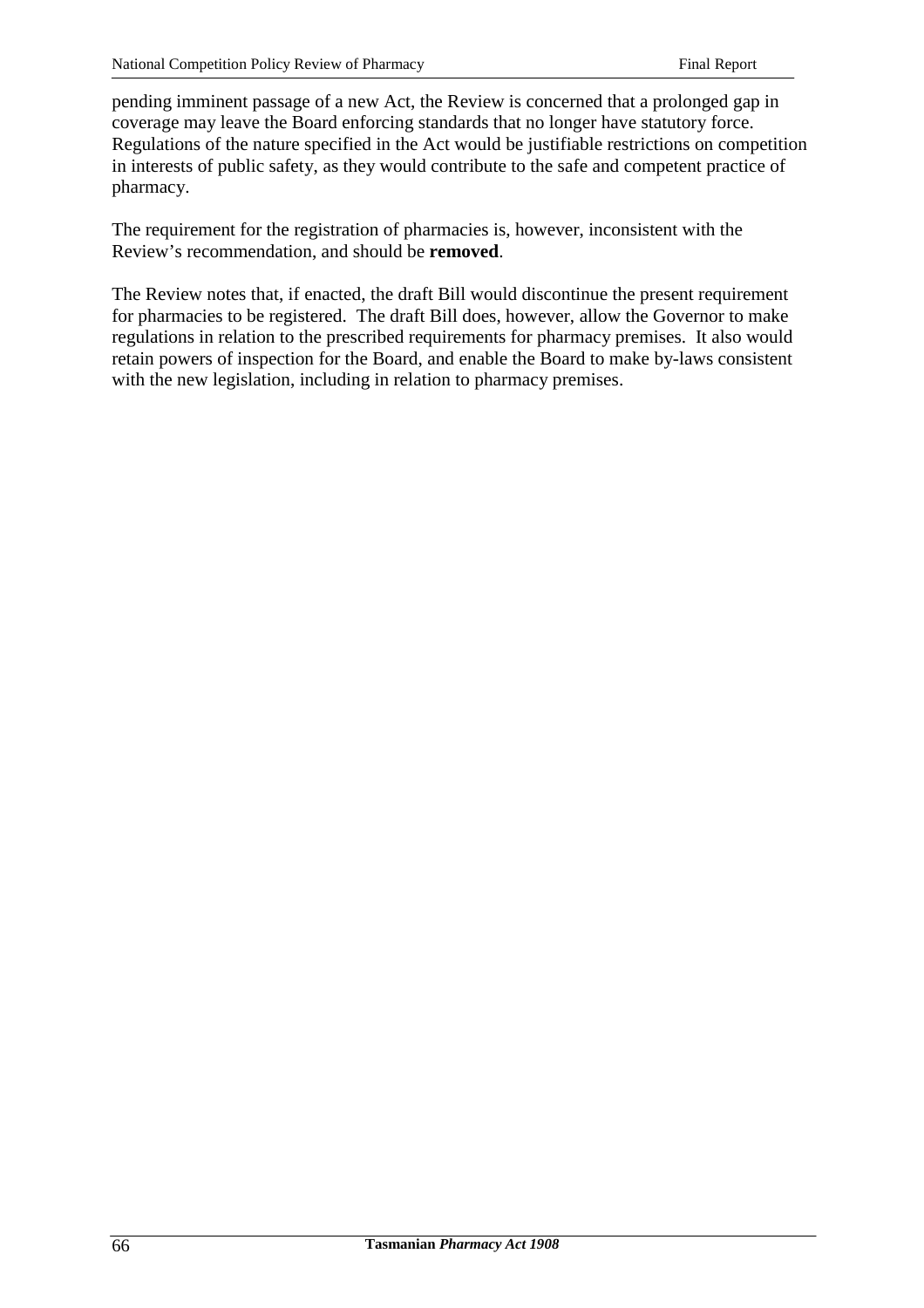pending imminent passage of a new Act, the Review is concerned that a prolonged gap in coverage may leave the Board enforcing standards that no longer have statutory force. Regulations of the nature specified in the Act would be justifiable restrictions on competition in interests of public safety, as they would contribute to the safe and competent practice of pharmacy.

The requirement for the registration of pharmacies is, however, inconsistent with the Review's recommendation, and should be **removed**.

The Review notes that, if enacted, the draft Bill would discontinue the present requirement for pharmacies to be registered. The draft Bill does, however, allow the Governor to make regulations in relation to the prescribed requirements for pharmacy premises. It also would retain powers of inspection for the Board, and enable the Board to make by-laws consistent with the new legislation, including in relation to pharmacy premises.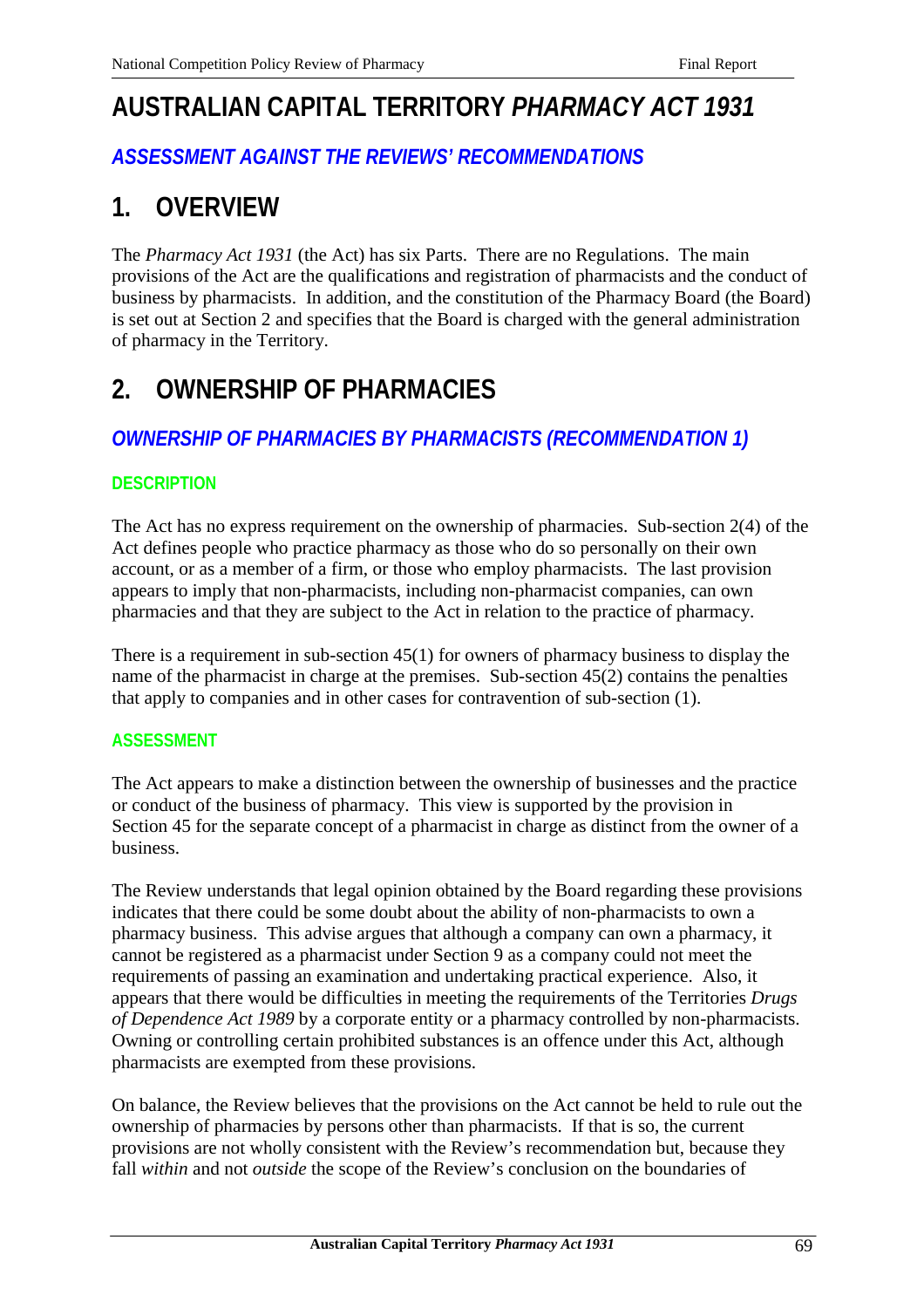# **AUSTRALIAN CAPITAL TERRITORY** *PHARMACY ACT 1931*

# *ASSESSMENT AGAINST THE REVIEWS' RECOMMENDATIONS*

# **1. OVERVIEW**

The *Pharmacy Act 1931* (the Act) has six Parts. There are no Regulations. The main provisions of the Act are the qualifications and registration of pharmacists and the conduct of business by pharmacists. In addition, and the constitution of the Pharmacy Board (the Board) is set out at Section 2 and specifies that the Board is charged with the general administration of pharmacy in the Territory.

# **2. OWNERSHIP OF PHARMACIES**

# *OWNERSHIP OF PHARMACIES BY PHARMACISTS (RECOMMENDATION 1)*

## **DESCRIPTION**

The Act has no express requirement on the ownership of pharmacies. Sub-section 2(4) of the Act defines people who practice pharmacy as those who do so personally on their own account, or as a member of a firm, or those who employ pharmacists. The last provision appears to imply that non-pharmacists, including non-pharmacist companies, can own pharmacies and that they are subject to the Act in relation to the practice of pharmacy.

There is a requirement in sub-section 45(1) for owners of pharmacy business to display the name of the pharmacist in charge at the premises. Sub-section 45(2) contains the penalties that apply to companies and in other cases for contravention of sub-section (1).

## **ASSESSMENT**

The Act appears to make a distinction between the ownership of businesses and the practice or conduct of the business of pharmacy. This view is supported by the provision in Section 45 for the separate concept of a pharmacist in charge as distinct from the owner of a business.

The Review understands that legal opinion obtained by the Board regarding these provisions indicates that there could be some doubt about the ability of non-pharmacists to own a pharmacy business. This advise argues that although a company can own a pharmacy, it cannot be registered as a pharmacist under Section 9 as a company could not meet the requirements of passing an examination and undertaking practical experience. Also, it appears that there would be difficulties in meeting the requirements of the Territories *Drugs of Dependence Act 1989* by a corporate entity or a pharmacy controlled by non-pharmacists. Owning or controlling certain prohibited substances is an offence under this Act, although pharmacists are exempted from these provisions.

On balance, the Review believes that the provisions on the Act cannot be held to rule out the ownership of pharmacies by persons other than pharmacists. If that is so, the current provisions are not wholly consistent with the Review's recommendation but, because they fall *within* and not *outside* the scope of the Review's conclusion on the boundaries of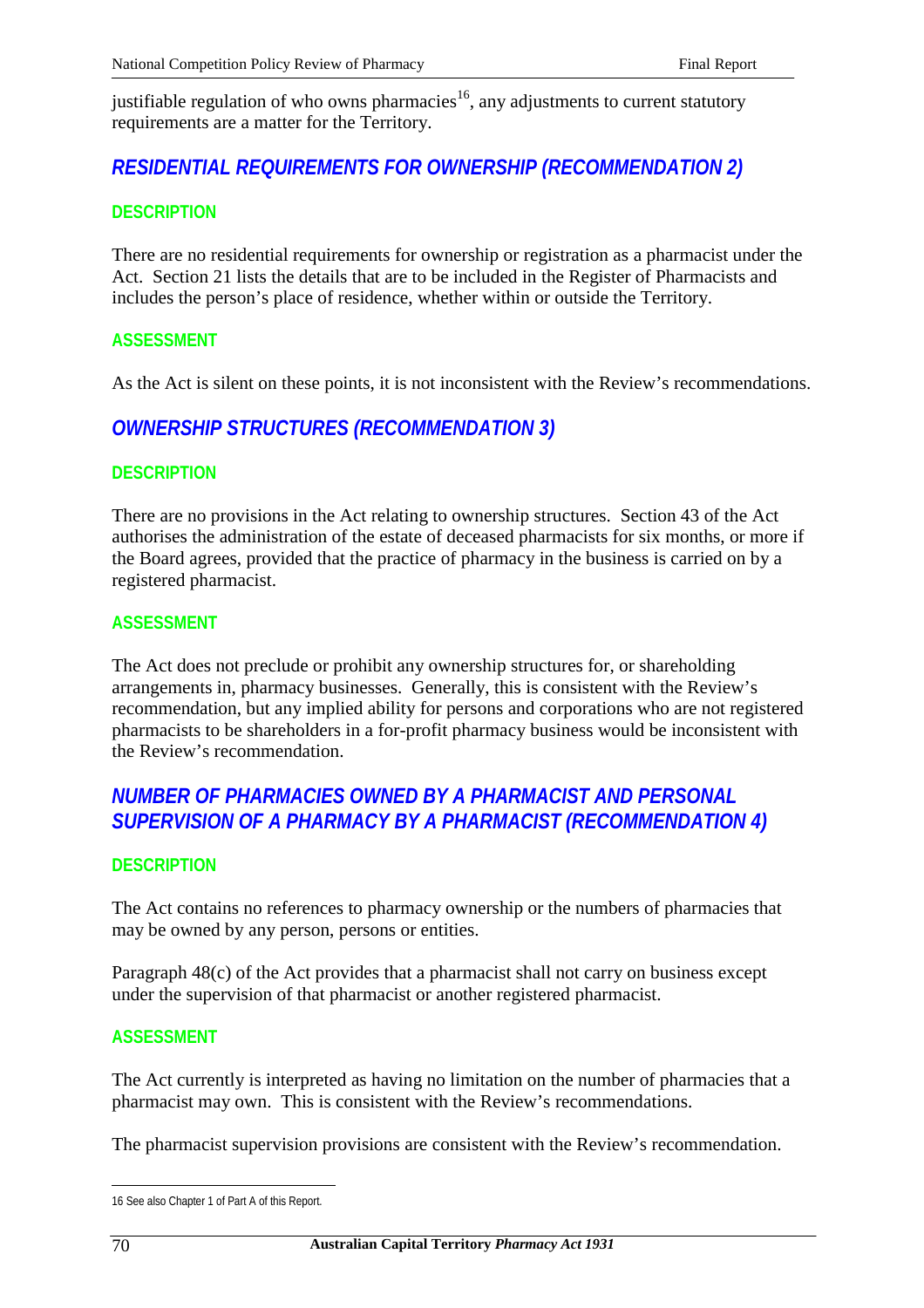justifiable regulation of who owns pharmacies<sup>16</sup>, any adjustments to current statutory requirements are a matter for the Territory.

## *RESIDENTIAL REQUIREMENTS FOR OWNERSHIP (RECOMMENDATION 2)*

### **DESCRIPTION**

There are no residential requirements for ownership or registration as a pharmacist under the Act. Section 21 lists the details that are to be included in the Register of Pharmacists and includes the person's place of residence, whether within or outside the Territory.

### **ASSESSMENT**

As the Act is silent on these points, it is not inconsistent with the Review's recommendations.

## *OWNERSHIP STRUCTURES (RECOMMENDATION 3)*

#### **DESCRIPTION**

There are no provisions in the Act relating to ownership structures. Section 43 of the Act authorises the administration of the estate of deceased pharmacists for six months, or more if the Board agrees, provided that the practice of pharmacy in the business is carried on by a registered pharmacist.

#### **ASSESSMENT**

The Act does not preclude or prohibit any ownership structures for, or shareholding arrangements in, pharmacy businesses. Generally, this is consistent with the Review's recommendation, but any implied ability for persons and corporations who are not registered pharmacists to be shareholders in a for-profit pharmacy business would be inconsistent with the Review's recommendation.

## *NUMBER OF PHARMACIES OWNED BY A PHARMACIST AND PERSONAL SUPERVISION OF A PHARMACY BY A PHARMACIST (RECOMMENDATION 4)*

### **DESCRIPTION**

The Act contains no references to pharmacy ownership or the numbers of pharmacies that may be owned by any person, persons or entities.

Paragraph 48(c) of the Act provides that a pharmacist shall not carry on business except under the supervision of that pharmacist or another registered pharmacist.

#### **ASSESSMENT**

The Act currently is interpreted as having no limitation on the number of pharmacies that a pharmacist may own. This is consistent with the Review's recommendations.

The pharmacist supervision provisions are consistent with the Review's recommendation.

 $\overline{a}$ 16 See also Chapter 1 of Part A of this Report.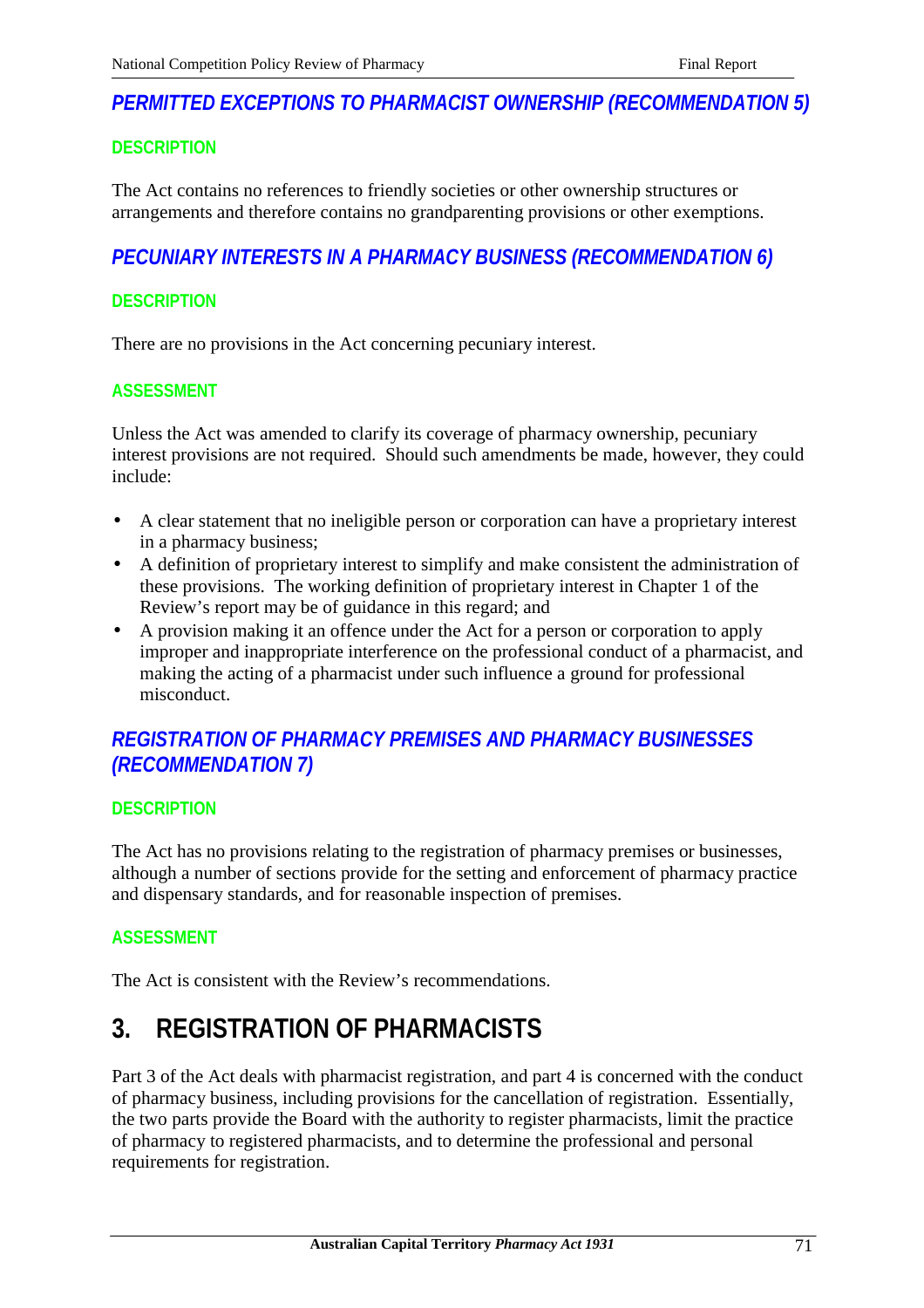# *PERMITTED EXCEPTIONS TO PHARMACIST OWNERSHIP (RECOMMENDATION 5)*

## **DESCRIPTION**

The Act contains no references to friendly societies or other ownership structures or arrangements and therefore contains no grandparenting provisions or other exemptions.

## *PECUNIARY INTERESTS IN A PHARMACY BUSINESS (RECOMMENDATION 6)*

### **DESCRIPTION**

There are no provisions in the Act concerning pecuniary interest.

### **ASSESSMENT**

Unless the Act was amended to clarify its coverage of pharmacy ownership, pecuniary interest provisions are not required. Should such amendments be made, however, they could include:

- A clear statement that no ineligible person or corporation can have a proprietary interest in a pharmacy business;
- A definition of proprietary interest to simplify and make consistent the administration of these provisions. The working definition of proprietary interest in Chapter 1 of the Review's report may be of guidance in this regard; and
- A provision making it an offence under the Act for a person or corporation to apply improper and inappropriate interference on the professional conduct of a pharmacist, and making the acting of a pharmacist under such influence a ground for professional misconduct.

# *REGISTRATION OF PHARMACY PREMISES AND PHARMACY BUSINESSES (RECOMMENDATION 7)*

### **DESCRIPTION**

The Act has no provisions relating to the registration of pharmacy premises or businesses, although a number of sections provide for the setting and enforcement of pharmacy practice and dispensary standards, and for reasonable inspection of premises.

## **ASSESSMENT**

The Act is consistent with the Review's recommendations.

# **3. REGISTRATION OF PHARMACISTS**

Part 3 of the Act deals with pharmacist registration, and part 4 is concerned with the conduct of pharmacy business, including provisions for the cancellation of registration. Essentially, the two parts provide the Board with the authority to register pharmacists, limit the practice of pharmacy to registered pharmacists, and to determine the professional and personal requirements for registration.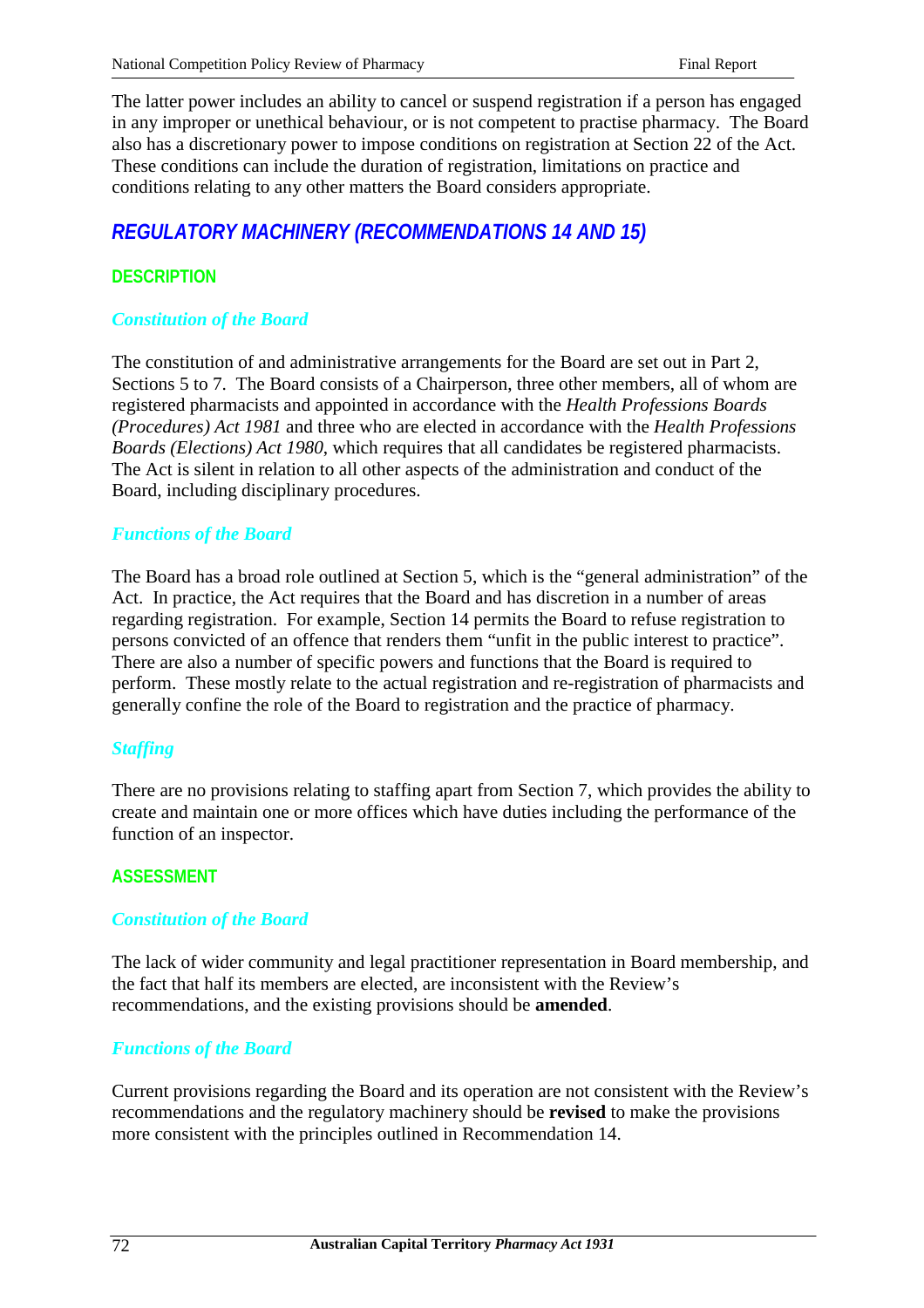The latter power includes an ability to cancel or suspend registration if a person has engaged in any improper or unethical behaviour, or is not competent to practise pharmacy. The Board also has a discretionary power to impose conditions on registration at Section 22 of the Act. These conditions can include the duration of registration, limitations on practice and conditions relating to any other matters the Board considers appropriate.

# *REGULATORY MACHINERY (RECOMMENDATIONS 14 AND 15)*

## **DESCRIPTION**

### *Constitution of the Board*

The constitution of and administrative arrangements for the Board are set out in Part 2, Sections 5 to 7. The Board consists of a Chairperson, three other members, all of whom are registered pharmacists and appointed in accordance with the *Health Professions Boards (Procedures) Act 1981* and three who are elected in accordance with the *Health Professions Boards (Elections) Act 1980*, which requires that all candidates be registered pharmacists. The Act is silent in relation to all other aspects of the administration and conduct of the Board, including disciplinary procedures.

#### *Functions of the Board*

The Board has a broad role outlined at Section 5, which is the "general administration" of the Act. In practice, the Act requires that the Board and has discretion in a number of areas regarding registration. For example, Section 14 permits the Board to refuse registration to persons convicted of an offence that renders them "unfit in the public interest to practice". There are also a number of specific powers and functions that the Board is required to perform. These mostly relate to the actual registration and re-registration of pharmacists and generally confine the role of the Board to registration and the practice of pharmacy.

#### *Staffing*

There are no provisions relating to staffing apart from Section 7, which provides the ability to create and maintain one or more offices which have duties including the performance of the function of an inspector.

#### **ASSESSMENT**

#### *Constitution of the Board*

The lack of wider community and legal practitioner representation in Board membership, and the fact that half its members are elected, are inconsistent with the Review's recommendations, and the existing provisions should be **amended**.

#### *Functions of the Board*

Current provisions regarding the Board and its operation are not consistent with the Review's recommendations and the regulatory machinery should be **revised** to make the provisions more consistent with the principles outlined in Recommendation 14.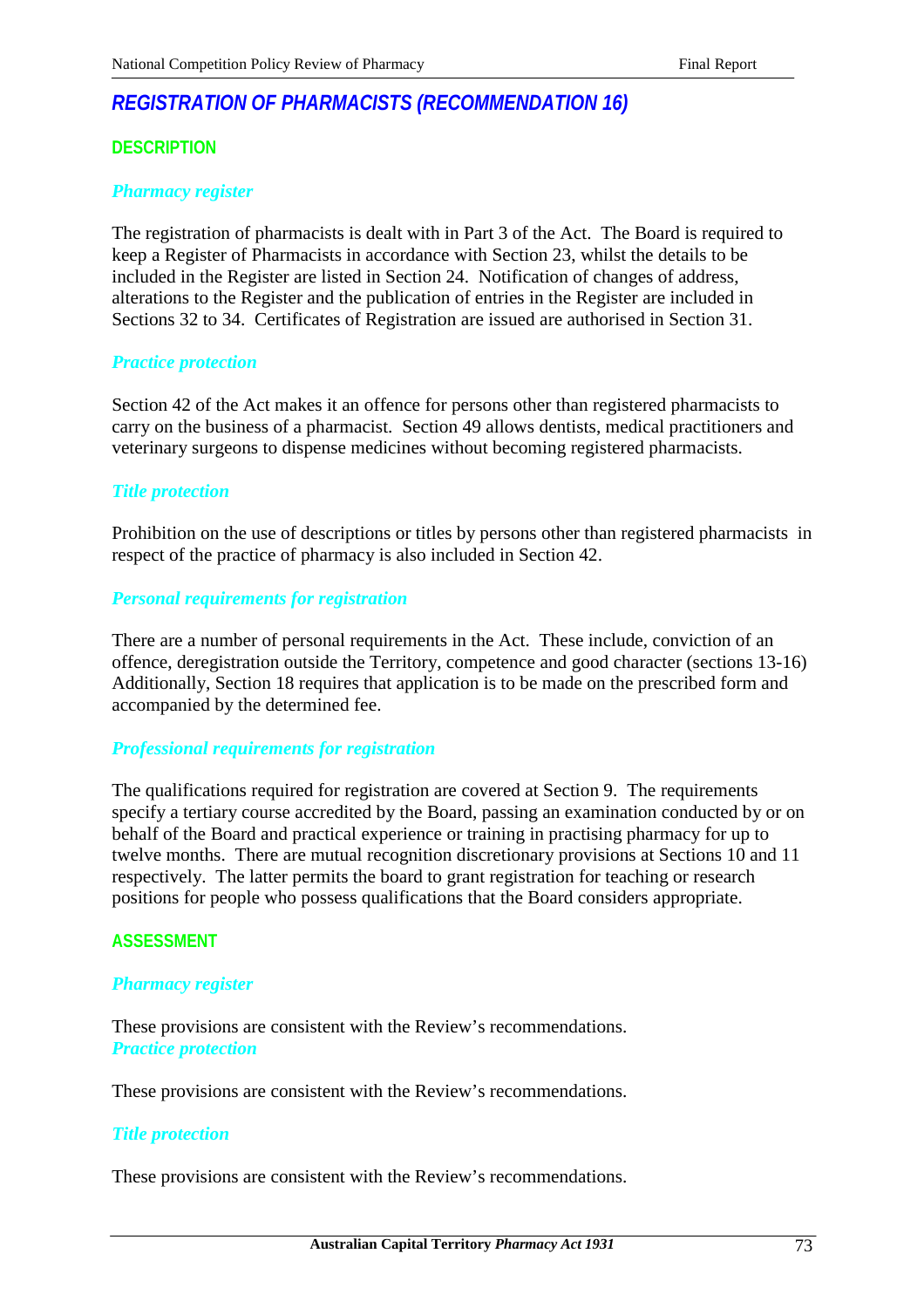# *REGISTRATION OF PHARMACISTS (RECOMMENDATION 16)*

# **DESCRIPTION**

## *Pharmacy register*

The registration of pharmacists is dealt with in Part 3 of the Act. The Board is required to keep a Register of Pharmacists in accordance with Section 23, whilst the details to be included in the Register are listed in Section 24. Notification of changes of address, alterations to the Register and the publication of entries in the Register are included in Sections 32 to 34. Certificates of Registration are issued are authorised in Section 31.

### *Practice protection*

Section 42 of the Act makes it an offence for persons other than registered pharmacists to carry on the business of a pharmacist. Section 49 allows dentists, medical practitioners and veterinary surgeons to dispense medicines without becoming registered pharmacists.

# *Title protection*

Prohibition on the use of descriptions or titles by persons other than registered pharmacists in respect of the practice of pharmacy is also included in Section 42.

# *Personal requirements for registration*

There are a number of personal requirements in the Act. These include, conviction of an offence, deregistration outside the Territory, competence and good character (sections 13-16) Additionally, Section 18 requires that application is to be made on the prescribed form and accompanied by the determined fee.

### *Professional requirements for registration*

The qualifications required for registration are covered at Section 9. The requirements specify a tertiary course accredited by the Board, passing an examination conducted by or on behalf of the Board and practical experience or training in practising pharmacy for up to twelve months. There are mutual recognition discretionary provisions at Sections 10 and 11 respectively. The latter permits the board to grant registration for teaching or research positions for people who possess qualifications that the Board considers appropriate.

### **ASSESSMENT**

### *Pharmacy register*

These provisions are consistent with the Review's recommendations. *Practice protection*

These provisions are consistent with the Review's recommendations.

### *Title protection*

These provisions are consistent with the Review's recommendations.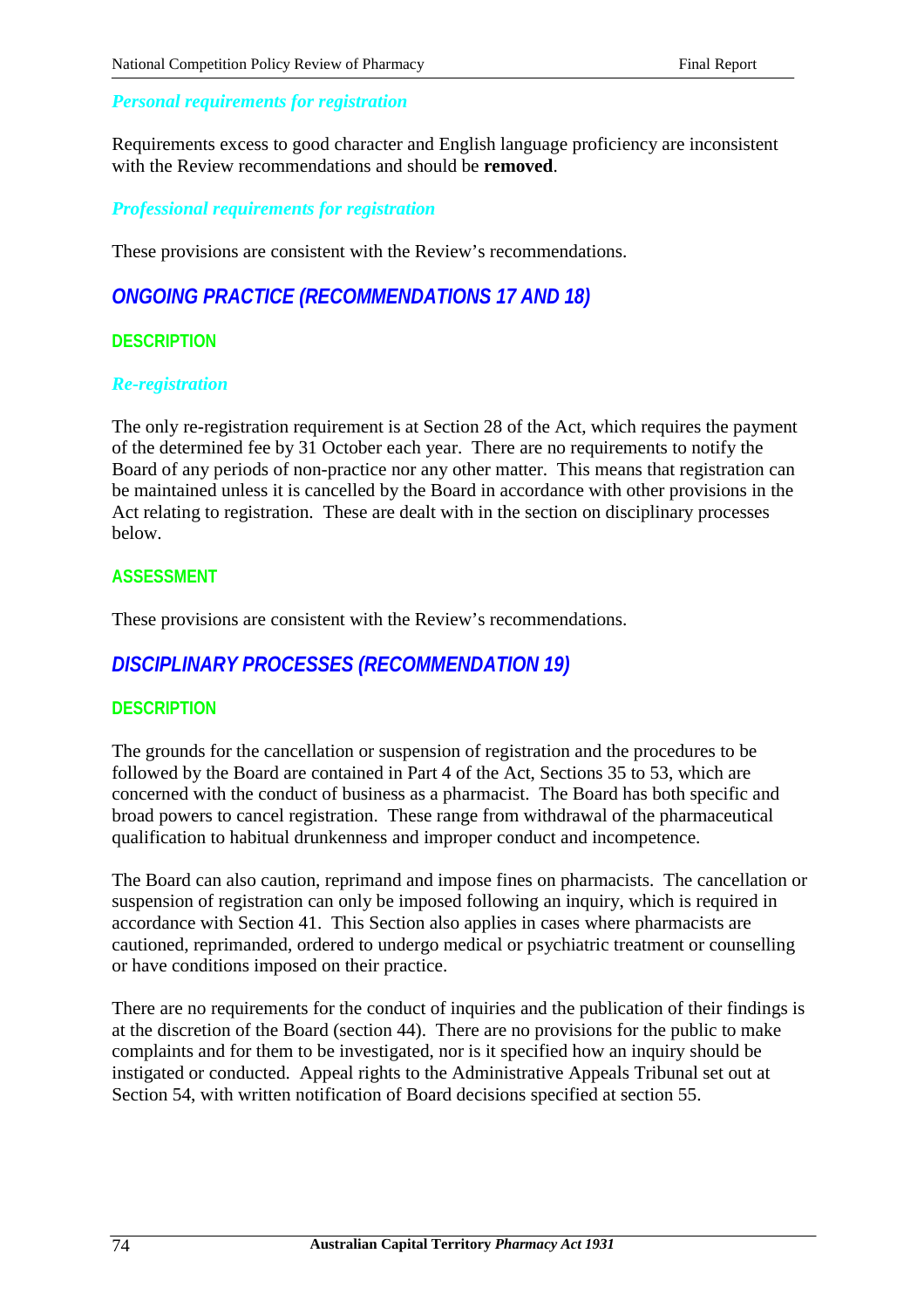# *Personal requirements for registration*

Requirements excess to good character and English language proficiency are inconsistent with the Review recommendations and should be **removed**.

*Professional requirements for registration*

These provisions are consistent with the Review's recommendations.

# *ONGOING PRACTICE (RECOMMENDATIONS 17 AND 18)*

# **DESCRIPTION**

### *Re-registration*

The only re-registration requirement is at Section 28 of the Act, which requires the payment of the determined fee by 31 October each year. There are no requirements to notify the Board of any periods of non-practice nor any other matter. This means that registration can be maintained unless it is cancelled by the Board in accordance with other provisions in the Act relating to registration. These are dealt with in the section on disciplinary processes below.

# **ASSESSMENT**

These provisions are consistent with the Review's recommendations.

# *DISCIPLINARY PROCESSES (RECOMMENDATION 19)*

# **DESCRIPTION**

The grounds for the cancellation or suspension of registration and the procedures to be followed by the Board are contained in Part 4 of the Act, Sections 35 to 53, which are concerned with the conduct of business as a pharmacist. The Board has both specific and broad powers to cancel registration. These range from withdrawal of the pharmaceutical qualification to habitual drunkenness and improper conduct and incompetence.

The Board can also caution, reprimand and impose fines on pharmacists. The cancellation or suspension of registration can only be imposed following an inquiry, which is required in accordance with Section 41. This Section also applies in cases where pharmacists are cautioned, reprimanded, ordered to undergo medical or psychiatric treatment or counselling or have conditions imposed on their practice.

There are no requirements for the conduct of inquiries and the publication of their findings is at the discretion of the Board (section 44). There are no provisions for the public to make complaints and for them to be investigated, nor is it specified how an inquiry should be instigated or conducted. Appeal rights to the Administrative Appeals Tribunal set out at Section 54, with written notification of Board decisions specified at section 55.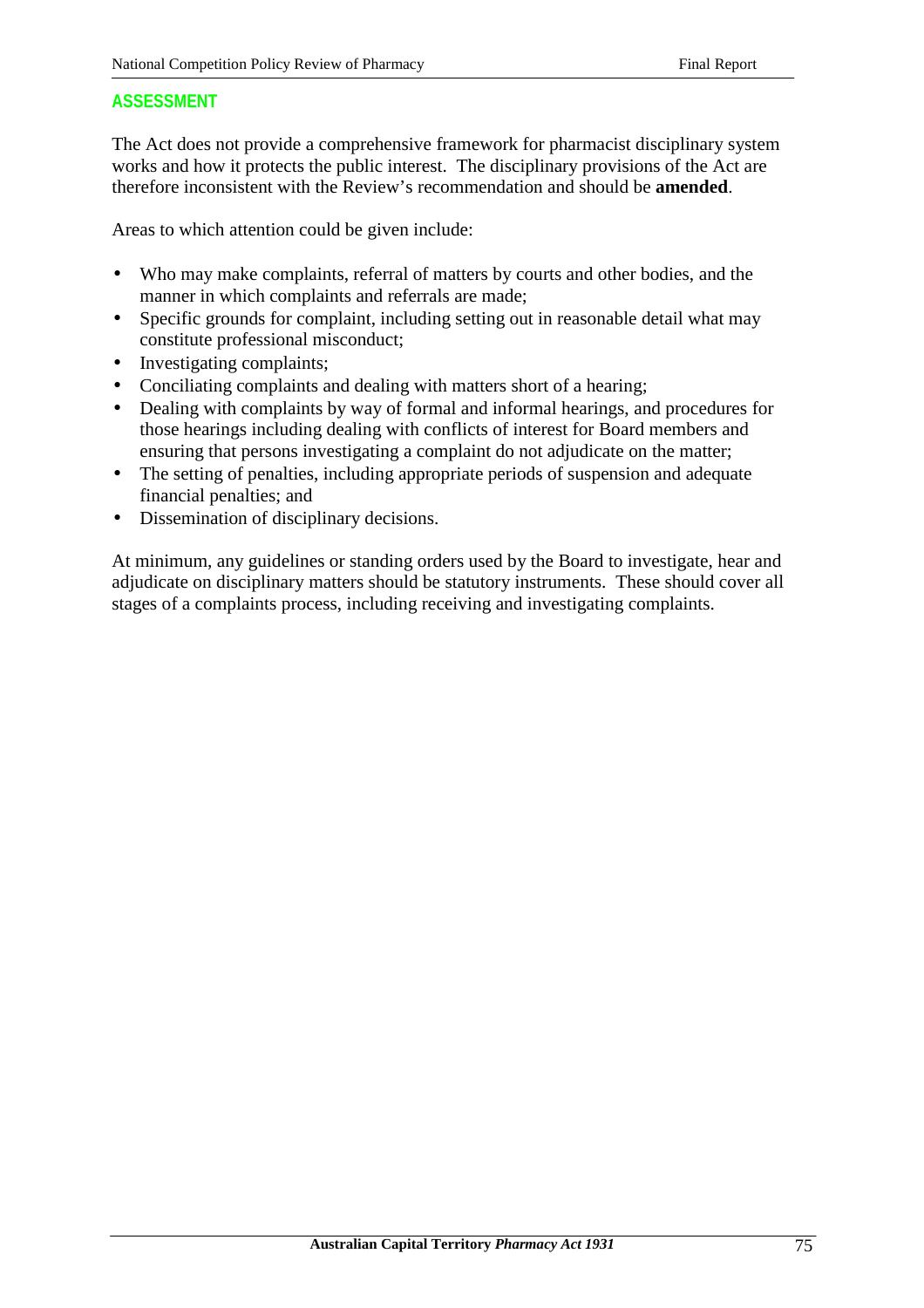# **ASSESSMENT**

The Act does not provide a comprehensive framework for pharmacist disciplinary system works and how it protects the public interest. The disciplinary provisions of the Act are therefore inconsistent with the Review's recommendation and should be **amended**.

Areas to which attention could be given include:

- Who may make complaints, referral of matters by courts and other bodies, and the manner in which complaints and referrals are made;
- Specific grounds for complaint, including setting out in reasonable detail what may constitute professional misconduct;
- Investigating complaints;
- Conciliating complaints and dealing with matters short of a hearing;
- Dealing with complaints by way of formal and informal hearings, and procedures for those hearings including dealing with conflicts of interest for Board members and ensuring that persons investigating a complaint do not adjudicate on the matter;
- The setting of penalties, including appropriate periods of suspension and adequate financial penalties; and
- Dissemination of disciplinary decisions.

At minimum, any guidelines or standing orders used by the Board to investigate, hear and adjudicate on disciplinary matters should be statutory instruments. These should cover all stages of a complaints process, including receiving and investigating complaints.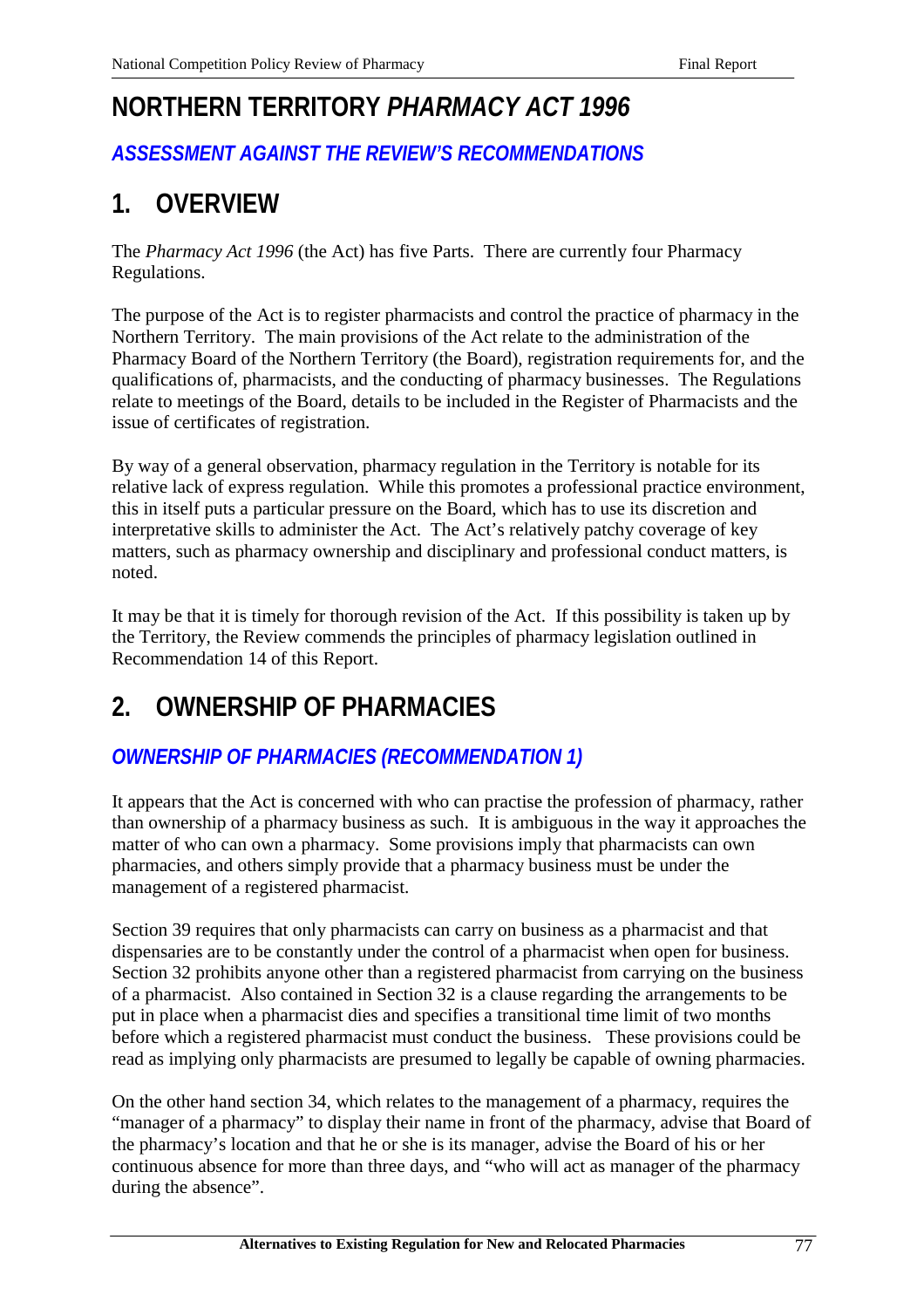# **NORTHERN TERRITORY** *PHARMACY ACT 1996*

# *ASSESSMENT AGAINST THE REVIEW'S RECOMMENDATIONS*

# **1. OVERVIEW**

The *Pharmacy Act 1996* (the Act) has five Parts. There are currently four Pharmacy Regulations.

The purpose of the Act is to register pharmacists and control the practice of pharmacy in the Northern Territory. The main provisions of the Act relate to the administration of the Pharmacy Board of the Northern Territory (the Board), registration requirements for, and the qualifications of, pharmacists, and the conducting of pharmacy businesses. The Regulations relate to meetings of the Board, details to be included in the Register of Pharmacists and the issue of certificates of registration.

By way of a general observation, pharmacy regulation in the Territory is notable for its relative lack of express regulation. While this promotes a professional practice environment, this in itself puts a particular pressure on the Board, which has to use its discretion and interpretative skills to administer the Act. The Act's relatively patchy coverage of key matters, such as pharmacy ownership and disciplinary and professional conduct matters, is noted.

It may be that it is timely for thorough revision of the Act. If this possibility is taken up by the Territory, the Review commends the principles of pharmacy legislation outlined in Recommendation 14 of this Report.

# **2. OWNERSHIP OF PHARMACIES**

# *OWNERSHIP OF PHARMACIES (RECOMMENDATION 1)*

It appears that the Act is concerned with who can practise the profession of pharmacy, rather than ownership of a pharmacy business as such. It is ambiguous in the way it approaches the matter of who can own a pharmacy. Some provisions imply that pharmacists can own pharmacies, and others simply provide that a pharmacy business must be under the management of a registered pharmacist.

Section 39 requires that only pharmacists can carry on business as a pharmacist and that dispensaries are to be constantly under the control of a pharmacist when open for business. Section 32 prohibits anyone other than a registered pharmacist from carrying on the business of a pharmacist. Also contained in Section 32 is a clause regarding the arrangements to be put in place when a pharmacist dies and specifies a transitional time limit of two months before which a registered pharmacist must conduct the business. These provisions could be read as implying only pharmacists are presumed to legally be capable of owning pharmacies.

On the other hand section 34, which relates to the management of a pharmacy, requires the "manager of a pharmacy" to display their name in front of the pharmacy, advise that Board of the pharmacy's location and that he or she is its manager, advise the Board of his or her continuous absence for more than three days, and "who will act as manager of the pharmacy during the absence".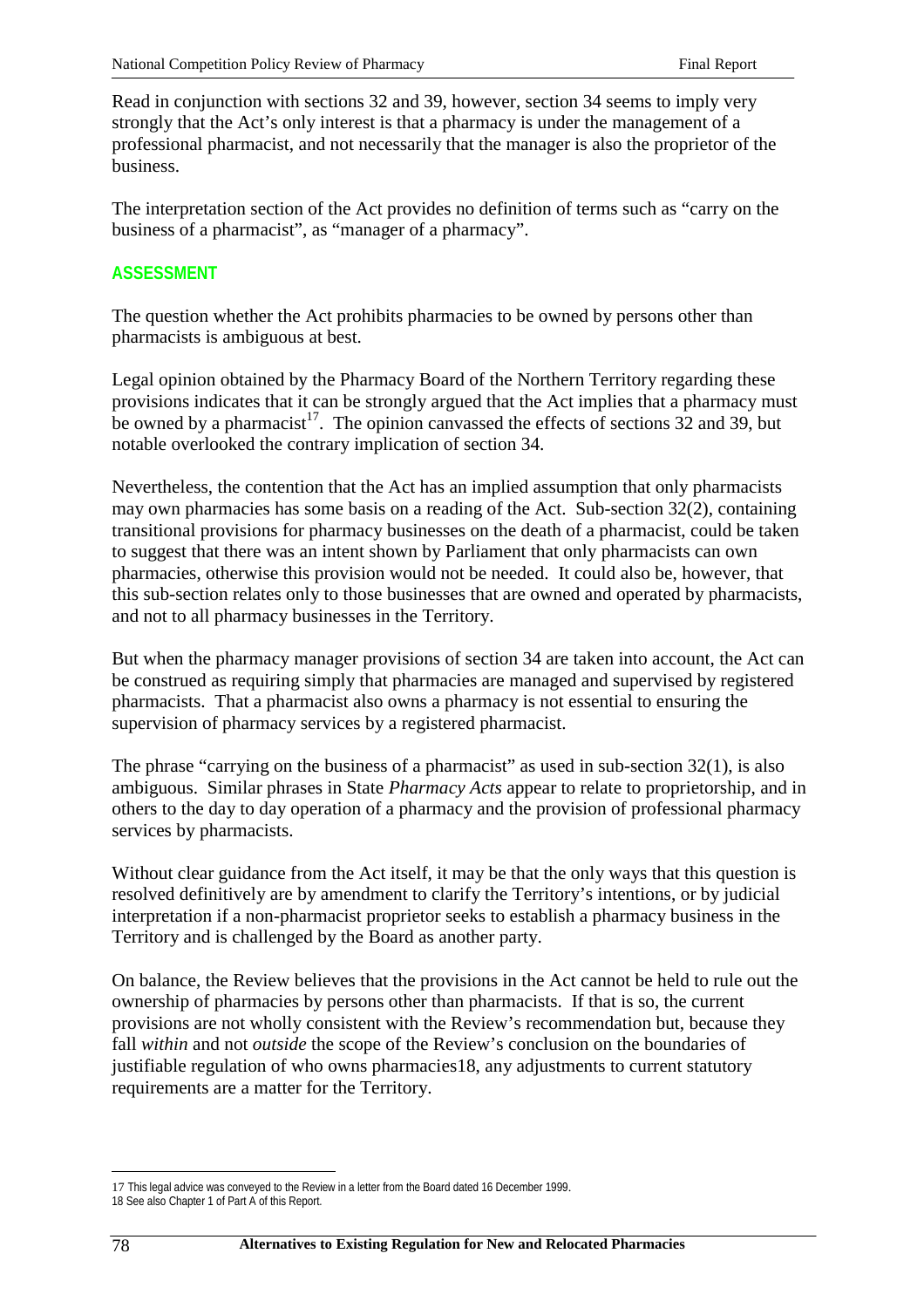Read in conjunction with sections 32 and 39, however, section 34 seems to imply very strongly that the Act's only interest is that a pharmacy is under the management of a professional pharmacist, and not necessarily that the manager is also the proprietor of the business.

The interpretation section of the Act provides no definition of terms such as "carry on the business of a pharmacist", as "manager of a pharmacy".

# **ASSESSMENT**

The question whether the Act prohibits pharmacies to be owned by persons other than pharmacists is ambiguous at best.

Legal opinion obtained by the Pharmacy Board of the Northern Territory regarding these provisions indicates that it can be strongly argued that the Act implies that a pharmacy must be owned by a pharmacist<sup>17</sup>. The opinion canvassed the effects of sections 32 and 39, but notable overlooked the contrary implication of section 34.

Nevertheless, the contention that the Act has an implied assumption that only pharmacists may own pharmacies has some basis on a reading of the Act. Sub-section 32(2), containing transitional provisions for pharmacy businesses on the death of a pharmacist, could be taken to suggest that there was an intent shown by Parliament that only pharmacists can own pharmacies, otherwise this provision would not be needed. It could also be, however, that this sub-section relates only to those businesses that are owned and operated by pharmacists, and not to all pharmacy businesses in the Territory.

But when the pharmacy manager provisions of section 34 are taken into account, the Act can be construed as requiring simply that pharmacies are managed and supervised by registered pharmacists. That a pharmacist also owns a pharmacy is not essential to ensuring the supervision of pharmacy services by a registered pharmacist.

The phrase "carrying on the business of a pharmacist" as used in sub-section 32(1), is also ambiguous. Similar phrases in State *Pharmacy Acts* appear to relate to proprietorship, and in others to the day to day operation of a pharmacy and the provision of professional pharmacy services by pharmacists.

Without clear guidance from the Act itself, it may be that the only ways that this question is resolved definitively are by amendment to clarify the Territory's intentions, or by judicial interpretation if a non-pharmacist proprietor seeks to establish a pharmacy business in the Territory and is challenged by the Board as another party.

On balance, the Review believes that the provisions in the Act cannot be held to rule out the ownership of pharmacies by persons other than pharmacists. If that is so, the current provisions are not wholly consistent with the Review's recommendation but, because they fall *within* and not *outside* the scope of the Review's conclusion on the boundaries of justifiable regulation of who owns pharmacies18, any adjustments to current statutory requirements are a matter for the Territory.

 $\overline{a}$ 

<sup>17</sup> This legal advice was conveyed to the Review in a letter from the Board dated 16 December 1999.

<sup>18</sup> See also Chapter 1 of Part A of this Report.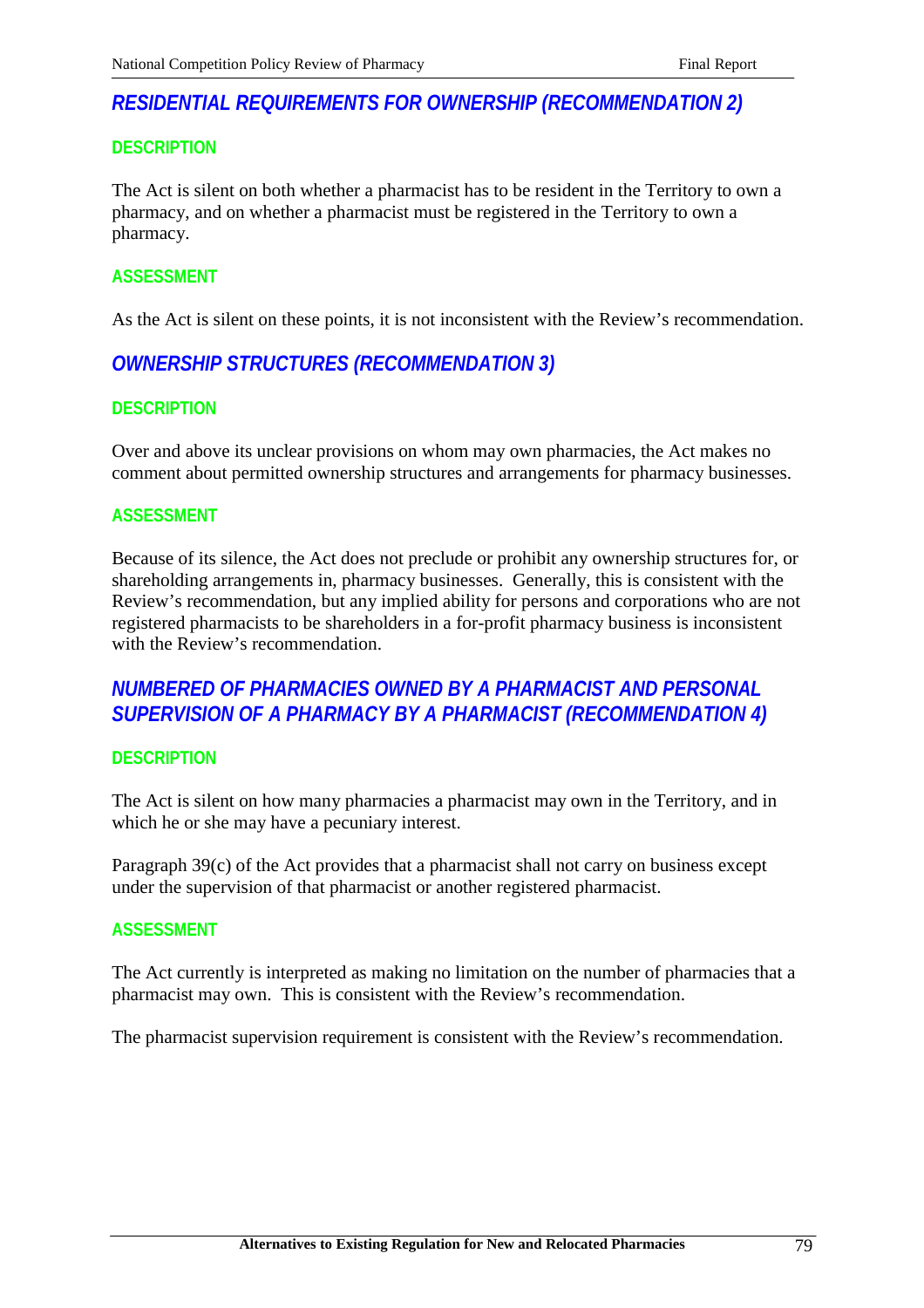# *RESIDENTIAL REQUIREMENTS FOR OWNERSHIP (RECOMMENDATION 2)*

## **DESCRIPTION**

The Act is silent on both whether a pharmacist has to be resident in the Territory to own a pharmacy, and on whether a pharmacist must be registered in the Territory to own a pharmacy.

## **ASSESSMENT**

As the Act is silent on these points, it is not inconsistent with the Review's recommendation.

# *OWNERSHIP STRUCTURES (RECOMMENDATION 3)*

# **DESCRIPTION**

Over and above its unclear provisions on whom may own pharmacies, the Act makes no comment about permitted ownership structures and arrangements for pharmacy businesses.

### **ASSESSMENT**

Because of its silence, the Act does not preclude or prohibit any ownership structures for, or shareholding arrangements in, pharmacy businesses. Generally, this is consistent with the Review's recommendation, but any implied ability for persons and corporations who are not registered pharmacists to be shareholders in a for-profit pharmacy business is inconsistent with the Review's recommendation.

# *NUMBERED OF PHARMACIES OWNED BY A PHARMACIST AND PERSONAL SUPERVISION OF A PHARMACY BY A PHARMACIST (RECOMMENDATION 4)*

### **DESCRIPTION**

The Act is silent on how many pharmacies a pharmacist may own in the Territory, and in which he or she may have a pecuniary interest.

Paragraph 39(c) of the Act provides that a pharmacist shall not carry on business except under the supervision of that pharmacist or another registered pharmacist.

### **ASSESSMENT**

The Act currently is interpreted as making no limitation on the number of pharmacies that a pharmacist may own. This is consistent with the Review's recommendation.

The pharmacist supervision requirement is consistent with the Review's recommendation.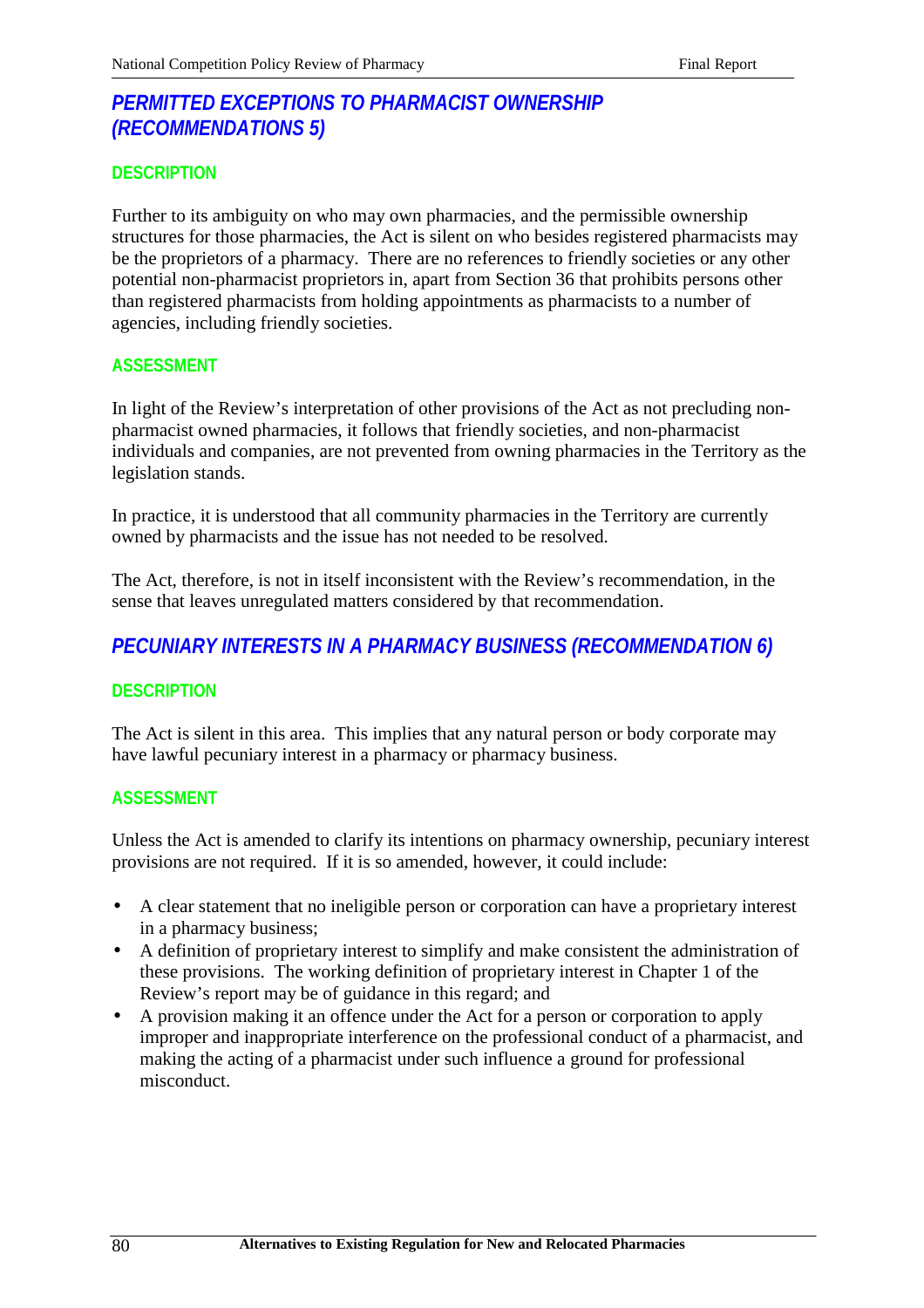# *PERMITTED EXCEPTIONS TO PHARMACIST OWNERSHIP (RECOMMENDATIONS 5)*

# **DESCRIPTION**

Further to its ambiguity on who may own pharmacies, and the permissible ownership structures for those pharmacies, the Act is silent on who besides registered pharmacists may be the proprietors of a pharmacy. There are no references to friendly societies or any other potential non-pharmacist proprietors in, apart from Section 36 that prohibits persons other than registered pharmacists from holding appointments as pharmacists to a number of agencies, including friendly societies.

# **ASSESSMENT**

In light of the Review's interpretation of other provisions of the Act as not precluding nonpharmacist owned pharmacies, it follows that friendly societies, and non-pharmacist individuals and companies, are not prevented from owning pharmacies in the Territory as the legislation stands.

In practice, it is understood that all community pharmacies in the Territory are currently owned by pharmacists and the issue has not needed to be resolved.

The Act, therefore, is not in itself inconsistent with the Review's recommendation, in the sense that leaves unregulated matters considered by that recommendation.

# *PECUNIARY INTERESTS IN A PHARMACY BUSINESS (RECOMMENDATION 6)*

# **DESCRIPTION**

The Act is silent in this area. This implies that any natural person or body corporate may have lawful pecuniary interest in a pharmacy or pharmacy business.

# **ASSESSMENT**

Unless the Act is amended to clarify its intentions on pharmacy ownership, pecuniary interest provisions are not required. If it is so amended, however, it could include:

- A clear statement that no ineligible person or corporation can have a proprietary interest in a pharmacy business;
- A definition of proprietary interest to simplify and make consistent the administration of these provisions. The working definition of proprietary interest in Chapter 1 of the Review's report may be of guidance in this regard; and
- A provision making it an offence under the Act for a person or corporation to apply improper and inappropriate interference on the professional conduct of a pharmacist, and making the acting of a pharmacist under such influence a ground for professional misconduct.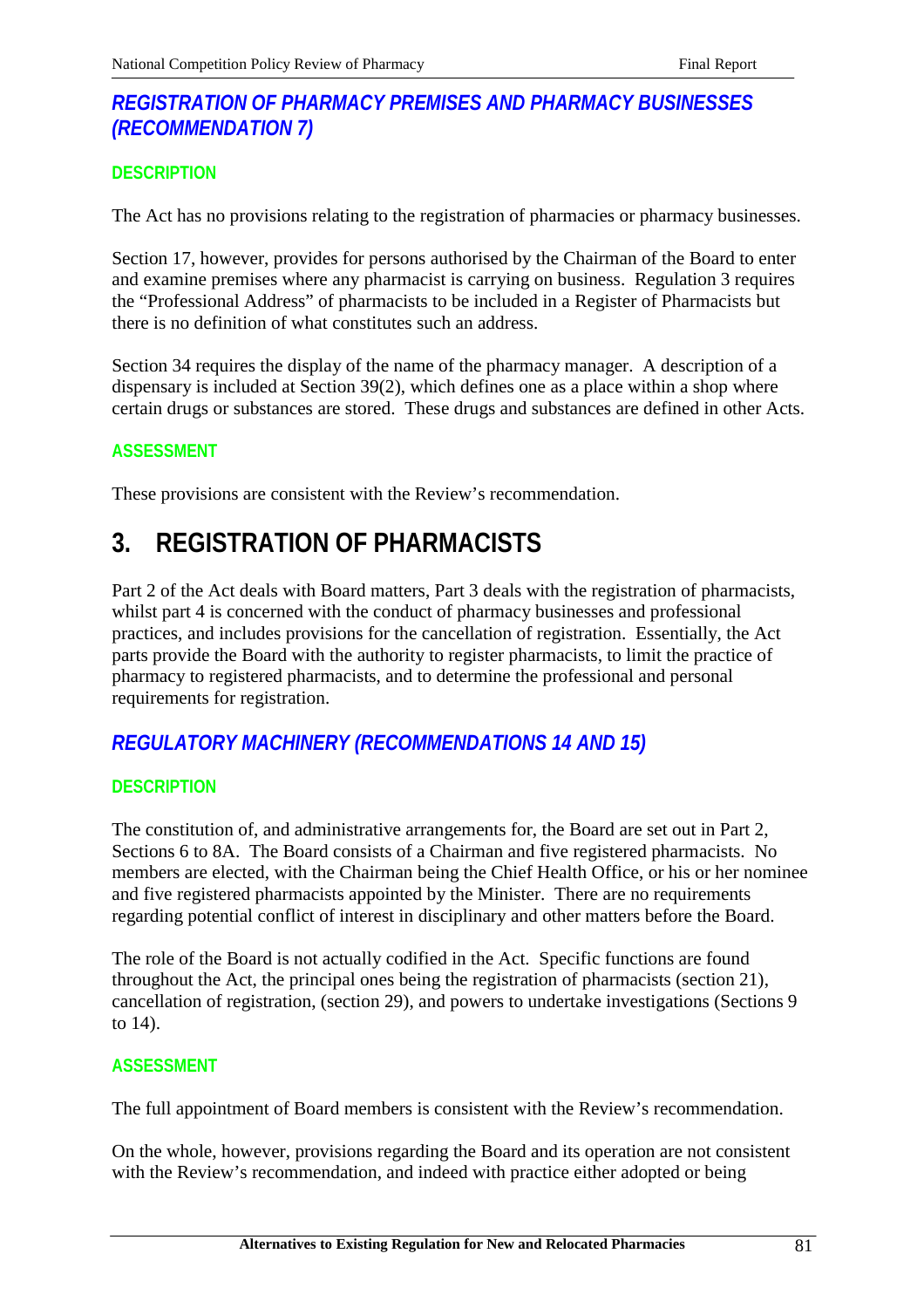# *REGISTRATION OF PHARMACY PREMISES AND PHARMACY BUSINESSES (RECOMMENDATION 7)*

# **DESCRIPTION**

The Act has no provisions relating to the registration of pharmacies or pharmacy businesses.

Section 17, however, provides for persons authorised by the Chairman of the Board to enter and examine premises where any pharmacist is carrying on business. Regulation 3 requires the "Professional Address" of pharmacists to be included in a Register of Pharmacists but there is no definition of what constitutes such an address.

Section 34 requires the display of the name of the pharmacy manager. A description of a dispensary is included at Section 39(2), which defines one as a place within a shop where certain drugs or substances are stored. These drugs and substances are defined in other Acts.

# **ASSESSMENT**

These provisions are consistent with the Review's recommendation.

# **3. REGISTRATION OF PHARMACISTS**

Part 2 of the Act deals with Board matters, Part 3 deals with the registration of pharmacists, whilst part 4 is concerned with the conduct of pharmacy businesses and professional practices, and includes provisions for the cancellation of registration. Essentially, the Act parts provide the Board with the authority to register pharmacists, to limit the practice of pharmacy to registered pharmacists, and to determine the professional and personal requirements for registration.

# *REGULATORY MACHINERY (RECOMMENDATIONS 14 AND 15)*

# **DESCRIPTION**

The constitution of, and administrative arrangements for, the Board are set out in Part 2, Sections 6 to 8A. The Board consists of a Chairman and five registered pharmacists. No members are elected, with the Chairman being the Chief Health Office, or his or her nominee and five registered pharmacists appointed by the Minister. There are no requirements regarding potential conflict of interest in disciplinary and other matters before the Board.

The role of the Board is not actually codified in the Act. Specific functions are found throughout the Act, the principal ones being the registration of pharmacists (section 21), cancellation of registration, (section 29), and powers to undertake investigations (Sections 9 to 14).

# **ASSESSMENT**

The full appointment of Board members is consistent with the Review's recommendation.

On the whole, however, provisions regarding the Board and its operation are not consistent with the Review's recommendation, and indeed with practice either adopted or being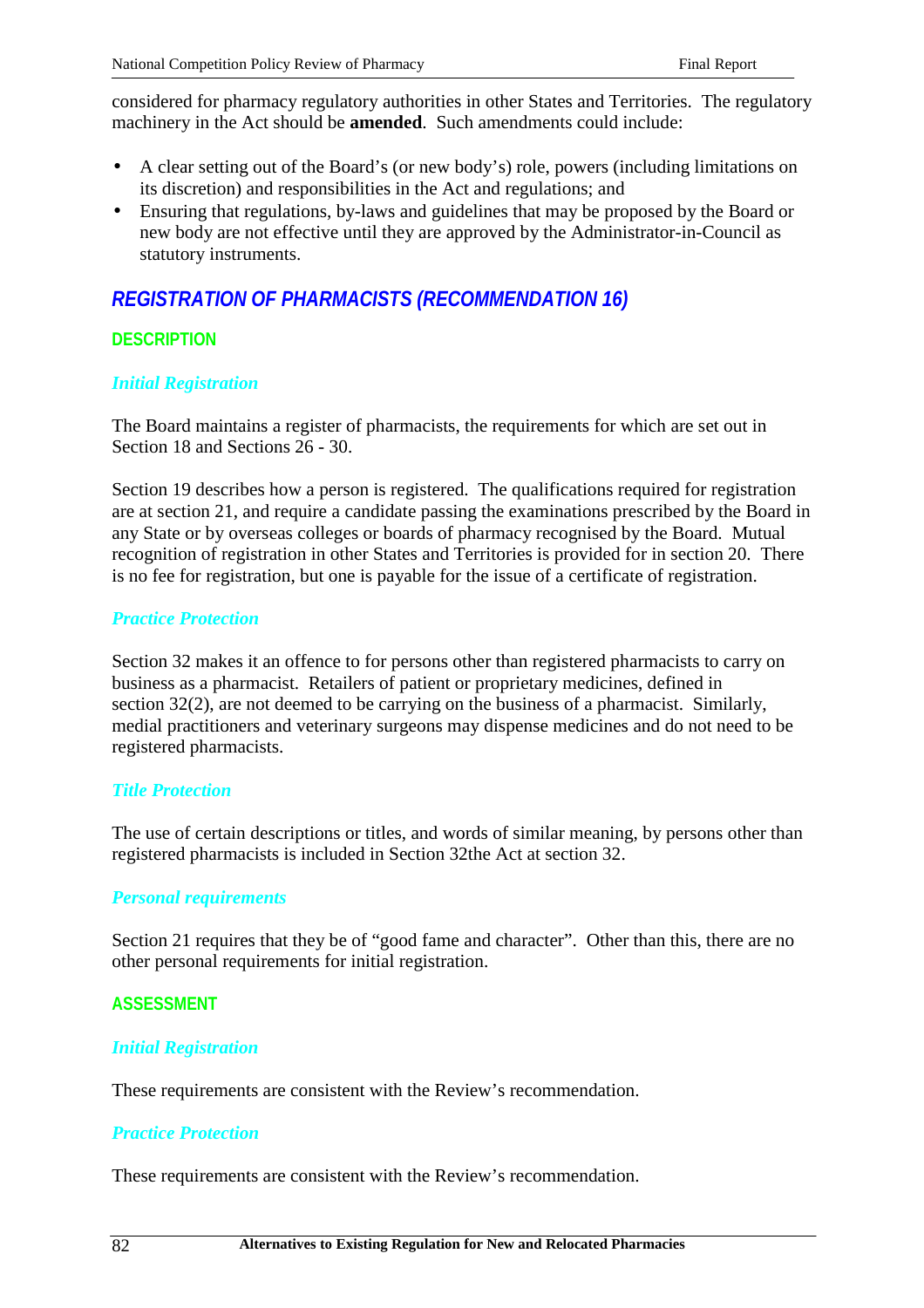considered for pharmacy regulatory authorities in other States and Territories. The regulatory machinery in the Act should be **amended**. Such amendments could include:

- A clear setting out of the Board's (or new body's) role, powers (including limitations on its discretion) and responsibilities in the Act and regulations; and
- Ensuring that regulations, by-laws and guidelines that may be proposed by the Board or new body are not effective until they are approved by the Administrator-in-Council as statutory instruments.

# *REGISTRATION OF PHARMACISTS (RECOMMENDATION 16)*

# **DESCRIPTION**

# *Initial Registration*

The Board maintains a register of pharmacists, the requirements for which are set out in Section 18 and Sections 26 - 30.

Section 19 describes how a person is registered. The qualifications required for registration are at section 21, and require a candidate passing the examinations prescribed by the Board in any State or by overseas colleges or boards of pharmacy recognised by the Board. Mutual recognition of registration in other States and Territories is provided for in section 20. There is no fee for registration, but one is payable for the issue of a certificate of registration.

# *Practice Protection*

Section 32 makes it an offence to for persons other than registered pharmacists to carry on business as a pharmacist. Retailers of patient or proprietary medicines, defined in section 32(2), are not deemed to be carrying on the business of a pharmacist. Similarly, medial practitioners and veterinary surgeons may dispense medicines and do not need to be registered pharmacists.

### *Title Protection*

The use of certain descriptions or titles, and words of similar meaning, by persons other than registered pharmacists is included in Section 32the Act at section 32.

### *Personal requirements*

Section 21 requires that they be of "good fame and character". Other than this, there are no other personal requirements for initial registration.

# **ASSESSMENT**

# *Initial Registration*

These requirements are consistent with the Review's recommendation.

# *Practice Protection*

These requirements are consistent with the Review's recommendation.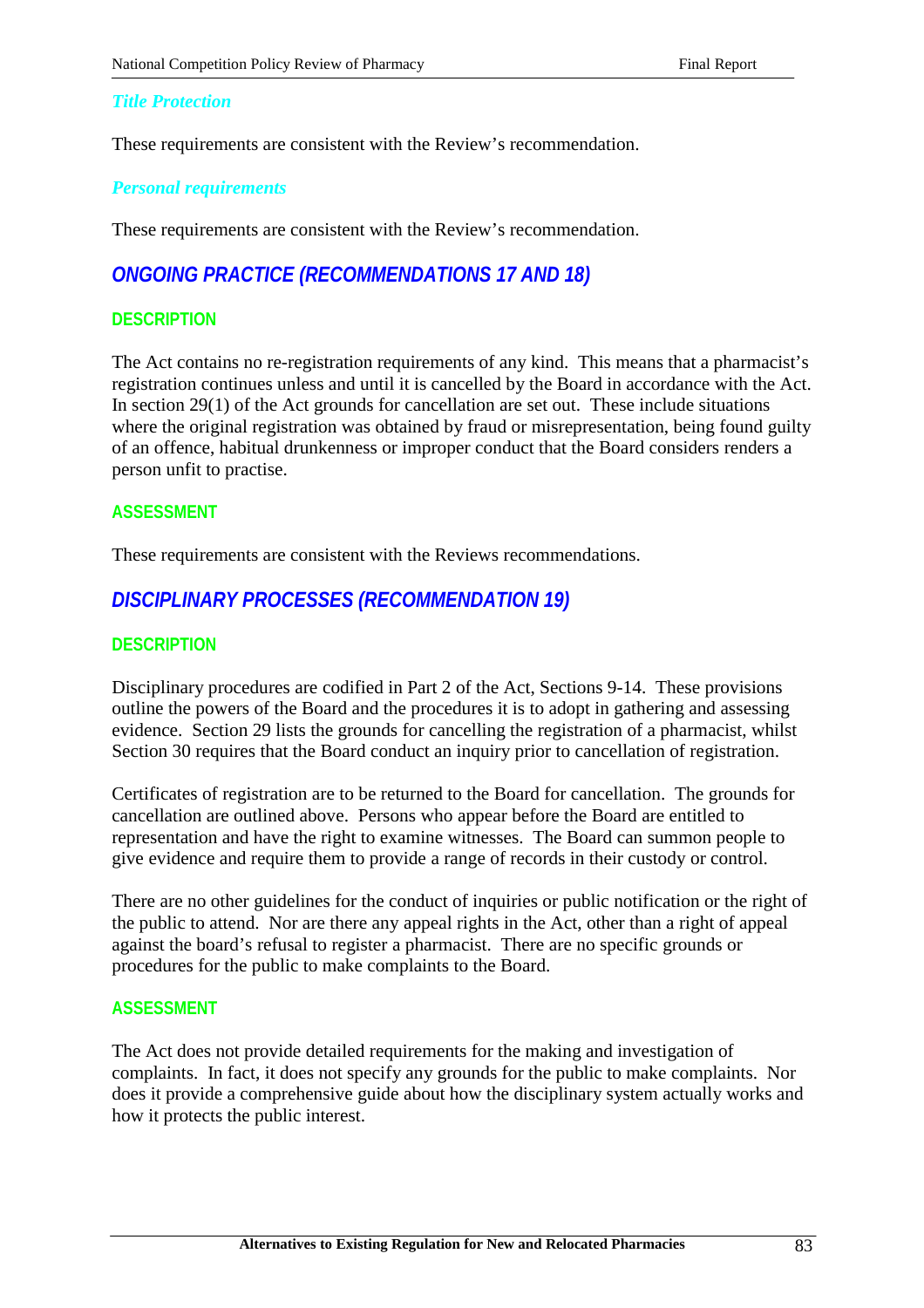## *Title Protection*

These requirements are consistent with the Review's recommendation.

### *Personal requirements*

These requirements are consistent with the Review's recommendation.

# *ONGOING PRACTICE (RECOMMENDATIONS 17 AND 18)*

# **DESCRIPTION**

The Act contains no re-registration requirements of any kind. This means that a pharmacist's registration continues unless and until it is cancelled by the Board in accordance with the Act. In section 29(1) of the Act grounds for cancellation are set out. These include situations where the original registration was obtained by fraud or misrepresentation, being found guilty of an offence, habitual drunkenness or improper conduct that the Board considers renders a person unfit to practise.

### **ASSESSMENT**

These requirements are consistent with the Reviews recommendations.

# *DISCIPLINARY PROCESSES (RECOMMENDATION 19)*

## **DESCRIPTION**

Disciplinary procedures are codified in Part 2 of the Act, Sections 9-14. These provisions outline the powers of the Board and the procedures it is to adopt in gathering and assessing evidence. Section 29 lists the grounds for cancelling the registration of a pharmacist, whilst Section 30 requires that the Board conduct an inquiry prior to cancellation of registration.

Certificates of registration are to be returned to the Board for cancellation. The grounds for cancellation are outlined above. Persons who appear before the Board are entitled to representation and have the right to examine witnesses. The Board can summon people to give evidence and require them to provide a range of records in their custody or control.

There are no other guidelines for the conduct of inquiries or public notification or the right of the public to attend. Nor are there any appeal rights in the Act, other than a right of appeal against the board's refusal to register a pharmacist. There are no specific grounds or procedures for the public to make complaints to the Board.

### **ASSESSMENT**

The Act does not provide detailed requirements for the making and investigation of complaints. In fact, it does not specify any grounds for the public to make complaints. Nor does it provide a comprehensive guide about how the disciplinary system actually works and how it protects the public interest.